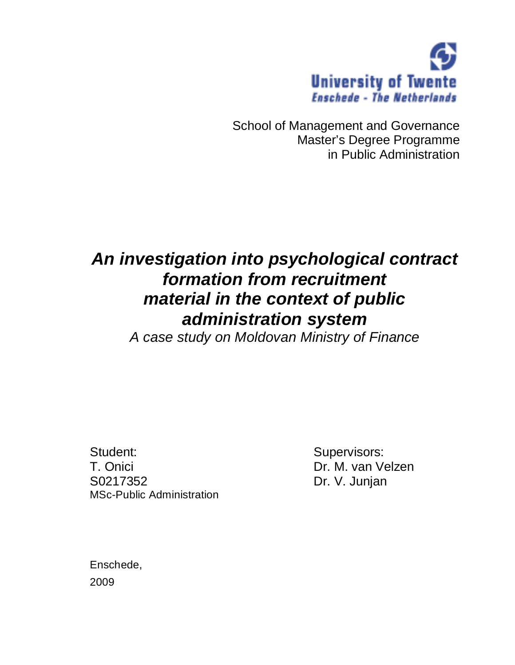

School of Management and Governance Master's Degree Programme in Public Administration

# *An investigation into psychological contract formation from recruitment material in the context of public administration system*

*A case study on Moldovan Ministry of Finance* 

Student: Supervisors: T. Onici Dr. M. van Velzen S0217352 Dr. V. Junjan MSc-Public Administration

Enschede, 2009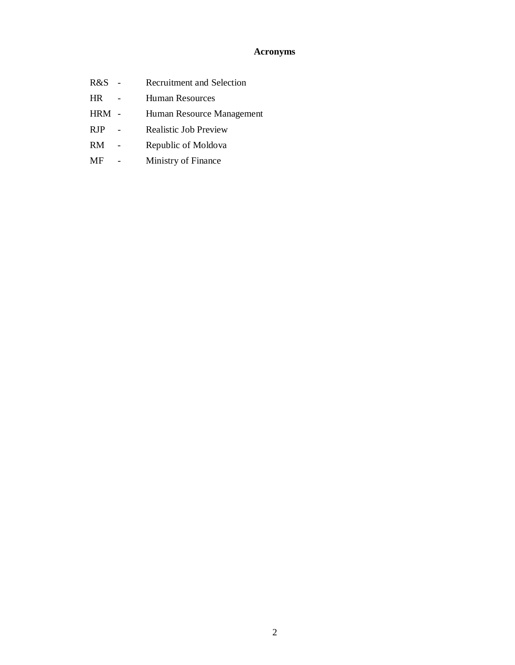# **Acronyms**

- R&S Recruitment and Selection
- HR Human Resources
- HRM Human Resource Management
- RJP Realistic Job Preview
- RM Republic of Moldova
- MF Ministry of Finance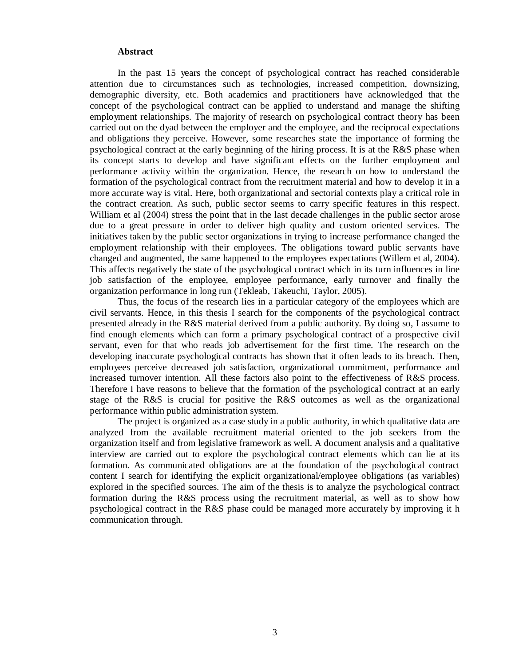#### **Abstract**

In the past 15 years the concept of psychological contract has reached considerable attention due to circumstances such as technologies, increased competition, downsizing, demographic diversity, etc. Both academics and practitioners have acknowledged that the concept of the psychological contract can be applied to understand and manage the shifting employment relationships. The majority of research on psychological contract theory has been carried out on the dyad between the employer and the employee, and the reciprocal expectations and obligations they perceive. However, some researches state the importance of forming the psychological contract at the early beginning of the hiring process. It is at the R&S phase when its concept starts to develop and have significant effects on the further employment and performance activity within the organization. Hence, the research on how to understand the formation of the psychological contract from the recruitment material and how to develop it in a more accurate way is vital. Here, both organizational and sectorial contexts play a critical role in the contract creation. As such, public sector seems to carry specific features in this respect. William et al (2004) stress the point that in the last decade challenges in the public sector arose due to a great pressure in order to deliver high quality and custom oriented services. The initiatives taken by the public sector organizations in trying to increase performance changed the employment relationship with their employees. The obligations toward public servants have changed and augmented, the same happened to the employees expectations (Willem et al, 2004). This affects negatively the state of the psychological contract which in its turn influences in line job satisfaction of the employee, employee performance, early turnover and finally the organization performance in long run (Tekleab, Takeuchi, Taylor, 2005).

Thus, the focus of the research lies in a particular category of the employees which are civil servants. Hence, in this thesis I search for the components of the psychological contract presented already in the R&S material derived from a public authority. By doing so, I assume to find enough elements which can form a primary psychological contract of a prospective civil servant, even for that who reads job advertisement for the first time. The research on the developing inaccurate psychological contracts has shown that it often leads to its breach. Then, employees perceive decreased job satisfaction, organizational commitment, performance and increased turnover intention. All these factors also point to the effectiveness of R&S process. Therefore I have reasons to believe that the formation of the psychological contract at an early stage of the R&S is crucial for positive the R&S outcomes as well as the organizational performance within public administration system.

The project is organized as a case study in a public authority, in which qualitative data are analyzed from the available recruitment material oriented to the job seekers from the organization itself and from legislative framework as well. A document analysis and a qualitative interview are carried out to explore the psychological contract elements which can lie at its formation. As communicated obligations are at the foundation of the psychological contract content I search for identifying the explicit organizational/employee obligations (as variables) explored in the specified sources. The aim of the thesis is to analyze the psychological contract formation during the R&S process using the recruitment material, as well as to show how psychological contract in the R&S phase could be managed more accurately by improving it h communication through.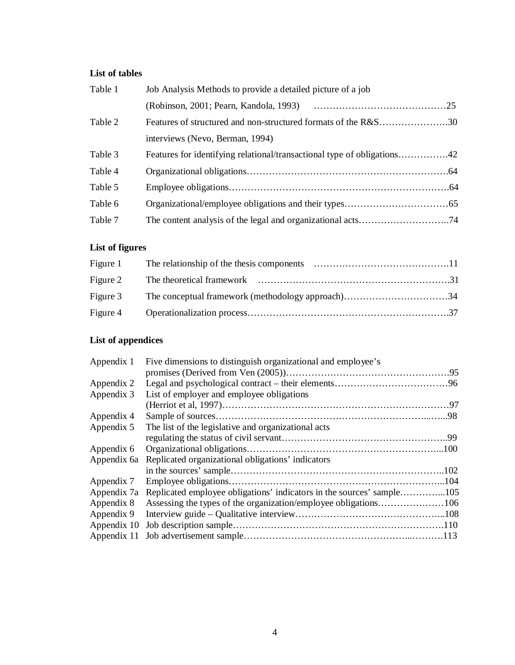# **List of tables**

| Table 1 | Job Analysis Methods to provide a detailed picture of a job    |  |  |
|---------|----------------------------------------------------------------|--|--|
|         |                                                                |  |  |
| Table 2 | Features of structured and non-structured formats of the R&S30 |  |  |
|         | interviews (Nevo, Berman, 1994)                                |  |  |
| Table 3 |                                                                |  |  |
| Table 4 |                                                                |  |  |
| Table 5 |                                                                |  |  |
| Table 6 |                                                                |  |  |
| Table 7 |                                                                |  |  |
|         |                                                                |  |  |

# **List of figures**

# **List of appendices**

| Appendix 1  | Five dimensions to distinguish organizational and employee's          |  |  |
|-------------|-----------------------------------------------------------------------|--|--|
|             |                                                                       |  |  |
| Appendix 2  |                                                                       |  |  |
| Appendix 3  | List of employer and employee obligations                             |  |  |
|             |                                                                       |  |  |
| Appendix 4  |                                                                       |  |  |
| Appendix 5  | The list of the legislative and organizational acts                   |  |  |
|             |                                                                       |  |  |
| Appendix 6  |                                                                       |  |  |
| Appendix 6a | Replicated organizational obligations' indicators                     |  |  |
|             |                                                                       |  |  |
| Appendix 7  |                                                                       |  |  |
| Appendix 7a | Replicated employee obligations' indicators in the sources' sample105 |  |  |
| Appendix 8  |                                                                       |  |  |
| Appendix 9  |                                                                       |  |  |
| Appendix 10 |                                                                       |  |  |
|             |                                                                       |  |  |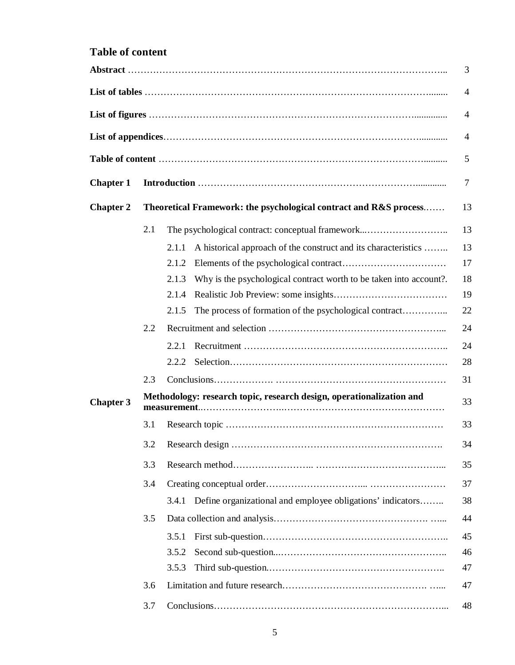# **Table of content**

|                  |     |                                                                                     | 3  |  |  |
|------------------|-----|-------------------------------------------------------------------------------------|----|--|--|
|                  |     |                                                                                     | 4  |  |  |
|                  |     |                                                                                     | 4  |  |  |
|                  |     |                                                                                     | 4  |  |  |
|                  |     |                                                                                     | 5  |  |  |
| <b>Chapter 1</b> |     |                                                                                     |    |  |  |
| <b>Chapter 2</b> |     | Theoretical Framework: the psychological contract and R&S process                   | 13 |  |  |
|                  | 2.1 | The psychological contract: conceptual framework                                    | 13 |  |  |
|                  |     | A historical approach of the construct and its characteristics<br>2.1.1             | 13 |  |  |
|                  |     | 2.1.2                                                                               | 17 |  |  |
|                  |     | Why is the psychological contract worth to be taken into account?.<br>2.1.3         | 18 |  |  |
|                  |     | 2.1.4                                                                               | 19 |  |  |
|                  |     | The process of formation of the psychological contract<br>2.1.5                     | 22 |  |  |
|                  | 2.2 |                                                                                     | 24 |  |  |
|                  |     | 2.2.1                                                                               | 24 |  |  |
|                  |     | 2.2.2                                                                               | 28 |  |  |
|                  | 2.3 |                                                                                     | 31 |  |  |
| <b>Chapter 3</b> |     | Methodology: research topic, research design, operationalization and<br>measurement | 33 |  |  |
|                  | 3.1 |                                                                                     | 33 |  |  |
|                  | 3.2 |                                                                                     | 34 |  |  |
|                  | 3.3 |                                                                                     |    |  |  |
|                  | 3.4 |                                                                                     | 37 |  |  |
|                  |     | Define organizational and employee obligations' indicators<br>3.4.1                 | 38 |  |  |
|                  | 3.5 |                                                                                     | 44 |  |  |
|                  |     | 3.5.1                                                                               | 45 |  |  |
|                  |     | 3.5.2                                                                               | 46 |  |  |
|                  |     | 3.5.3                                                                               | 47 |  |  |
|                  | 3.6 |                                                                                     | 47 |  |  |
|                  | 3.7 |                                                                                     | 48 |  |  |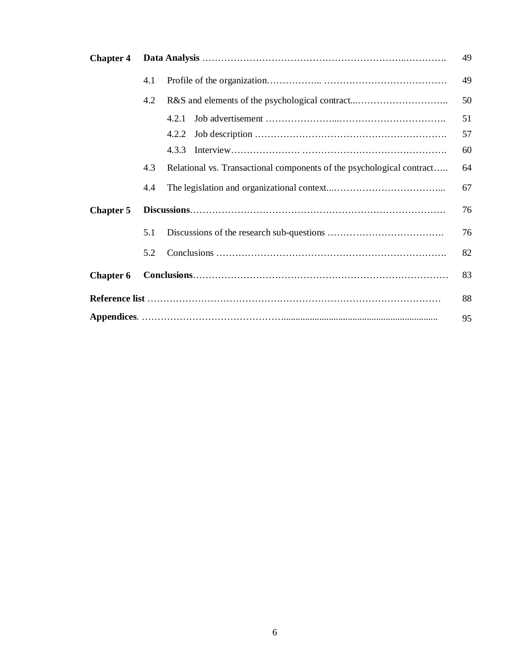| <b>Chapter 4</b> |     | 49                                                                    |    |  |  |
|------------------|-----|-----------------------------------------------------------------------|----|--|--|
|                  | 4.1 |                                                                       | 49 |  |  |
|                  | 4.2 |                                                                       | 50 |  |  |
|                  |     | 4.2.1                                                                 | 51 |  |  |
|                  |     | 4.2.2                                                                 | 57 |  |  |
|                  |     | 4.3.3                                                                 | 60 |  |  |
|                  | 4.3 | Relational vs. Transactional components of the psychological contract | 64 |  |  |
|                  | 4.4 |                                                                       | 67 |  |  |
| <b>Chapter 5</b> |     |                                                                       | 76 |  |  |
|                  | 5.1 |                                                                       | 76 |  |  |
|                  | 5.2 |                                                                       | 82 |  |  |
| <b>Chapter 6</b> |     |                                                                       | 83 |  |  |
| 88               |     |                                                                       |    |  |  |
|                  |     |                                                                       | 95 |  |  |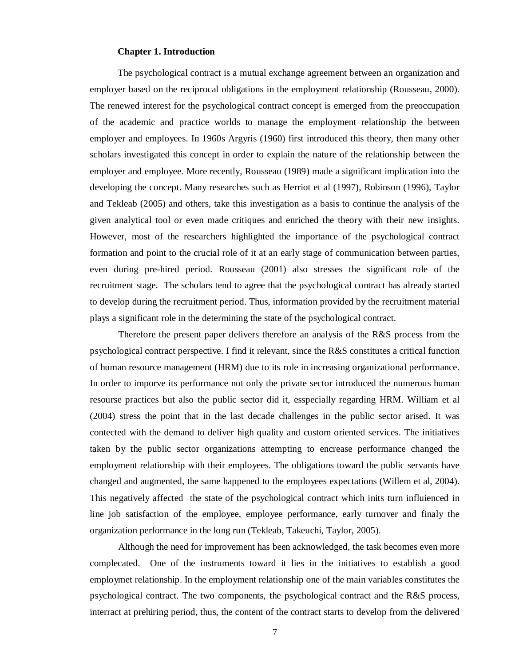#### **Chapter 1. Introduction**

The psychological contract is a mutual exchange agreement between an organization and employer based on the reciprocal obligations in the employment relationship (Rousseau, 2000). The renewed interest for the psychological contract concept is emerged from the preoccupation of the academic and practice worlds to manage the employment relationship the between employer and employees. In 1960s Argyris (1960) first introduced this theory, then many other scholars investigated this concept in order to explain the nature of the relationship between the employer and employee. More recently, Rousseau (1989) made a significant implication into the developing the concept. Many researches such as Herriot et al (1997), Robinson (1996), Taylor and Tekleab (2005) and others, take this investigation as a basis to continue the analysis of the given analytical tool or even made critiques and enriched the theory with their new insights. However, most of the researchers highlighted the importance of the psychological contract formation and point to the crucial role of it at an early stage of communication between parties, even during pre-hired period. Rousseau (2001) also stresses the significant role of the recruitment stage. The scholars tend to agree that the psychological contract has already started to develop during the recruitment period. Thus, information provided by the recruitment material plays a significant role in the determining the state of the psychological contract.

Therefore the present paper delivers therefore an analysis of the R&S process from the psychological contract perspective. I find it relevant, since the R&S constitutes a critical function of human resource management (HRM) due to its role in increasing organizational performance. In order to imporve its performance not only the private sector introduced the numerous human resourse practices but also the public sector did it, esspecially regarding HRM. William et al (2004) stress the point that in the last decade challenges in the public sector arised. It was contected with the demand to deliver high quality and custom oriented services. The initiatives taken by the public sector organizations attempting to encrease performance changed the employment relationship with their employees. The obligations toward the public servants have changed and augmented, the same happened to the employees expectations (Willem et al, 2004). This negatively affected the state of the psychological contract which inits turn influienced in line job satisfaction of the employee, employee performance, early turnover and finaly the organization performance in the long run (Tekleab, Takeuchi, Taylor, 2005).

Although the need for improvement has been acknowledged, the task becomes even more complecated. One of the instruments toward it lies in the initiatives to establish a good employmet relationship. In the employment relationship one of the main variables constitutes the psychological contract. The two components, the psychological contract and the R&S process, interract at prehiring period, thus, the content of the contract starts to develop from the delivered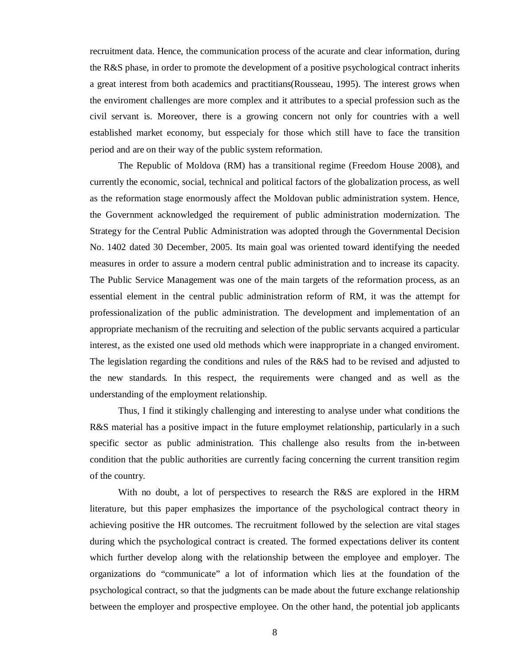recruitment data. Hence, the communication process of the acurate and clear information, during the R&S phase, in order to promote the development of a positive psychological contract inherits a great interest from both academics and practitians(Rousseau, 1995). The interest grows when the enviroment challenges are more complex and it attributes to a special profession such as the civil servant is. Moreover, there is a growing concern not only for countries with a well established market economy, but esspecialy for those which still have to face the transition period and are on their way of the public system reformation.

The Republic of Moldova (RM) has a transitional regime (Freedom House 2008), and currently the economic, social, technical and political factors of the globalization process, as well as the reformation stage enormously affect the Moldovan public administration system. Hence, the Government acknowledged the requirement of public administration modernization. The Strategy for the Central Public Administration was adopted through the Governmental Decision No. 1402 dated 30 December, 2005. Its main goal was oriented toward identifying the needed measures in order to assure a modern central public administration and to increase its capacity. The Public Service Management was one of the main targets of the reformation process, as an essential element in the central public administration reform of RM, it was the attempt for professionalization of the public administration. The development and implementation of an appropriate mechanism of the recruiting and selection of the public servants acquired a particular interest, as the existed one used old methods which were inappropriate in a changed enviroment. The legislation regarding the conditions and rules of the R&S had to be revised and adjusted to the new standards. In this respect, the requirements were changed and as well as the understanding of the employment relationship.

Thus, I find it stikingly challenging and interesting to analyse under what conditions the R&S material has a positive impact in the future employmet relationship, particularly in a such specific sector as public administration. This challenge also results from the in-between condition that the public authorities are currently facing concerning the current transition regim of the country.

With no doubt, a lot of perspectives to research the R&S are explored in the HRM literature, but this paper emphasizes the importance of the psychological contract theory in achieving positive the HR outcomes. The recruitment followed by the selection are vital stages during which the psychological contract is created. The formed expectations deliver its content which further develop along with the relationship between the employee and employer. The organizations do "communicate" a lot of information which lies at the foundation of the psychological contract, so that the judgments can be made about the future exchange relationship between the employer and prospective employee. On the other hand, the potential job applicants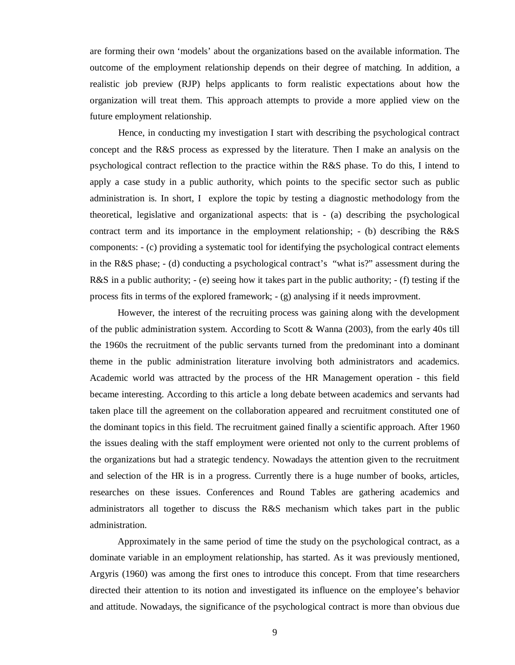are forming their own 'models' about the organizations based on the available information. The outcome of the employment relationship depends on their degree of matching. In addition, a realistic job preview (RJP) helps applicants to form realistic expectations about how the organization will treat them. This approach attempts to provide a more applied view on the future employment relationship.

Hence, in conducting my investigation I start with describing the psychological contract concept and the R&S process as expressed by the literature. Then I make an analysis on the psychological contract reflection to the practice within the R&S phase. To do this, I intend to apply a case study in a public authority, which points to the specific sector such as public administration is. In short, I explore the topic by testing a diagnostic methodology from the theoretical, legislative and organizational aspects: that is - (a) describing the psychological contract term and its importance in the employment relationship; - (b) describing the R&S components: - (c) providing a systematic tool for identifying the psychological contract elements in the R&S phase; - (d) conducting a psychological contract's "what is?" assessment during the R&S in a public authority; - (e) seeing how it takes part in the public authority; - (f) testing if the process fits in terms of the explored framework; - (g) analysing if it needs improvment.

However, the interest of the recruiting process was gaining along with the development of the public administration system. According to Scott & Wanna (2003), from the early 40s till the 1960s the recruitment of the public servants turned from the predominant into a dominant theme in the public administration literature involving both administrators and academics. Academic world was attracted by the process of the HR Management operation - this field became interesting. According to this article a long debate between academics and servants had taken place till the agreement on the collaboration appeared and recruitment constituted one of the dominant topics in this field. The recruitment gained finally a scientific approach. After 1960 the issues dealing with the staff employment were oriented not only to the current problems of the organizations but had a strategic tendency. Nowadays the attention given to the recruitment and selection of the HR is in a progress. Currently there is a huge number of books, articles, researches on these issues. Conferences and Round Tables are gathering academics and administrators all together to discuss the R&S mechanism which takes part in the public administration.

Approximately in the same period of time the study on the psychological contract, as a dominate variable in an employment relationship, has started. As it was previously mentioned, Argyris (1960) was among the first ones to introduce this concept. From that time researchers directed their attention to its notion and investigated its influence on the employee's behavior and attitude. Nowadays, the significance of the psychological contract is more than obvious due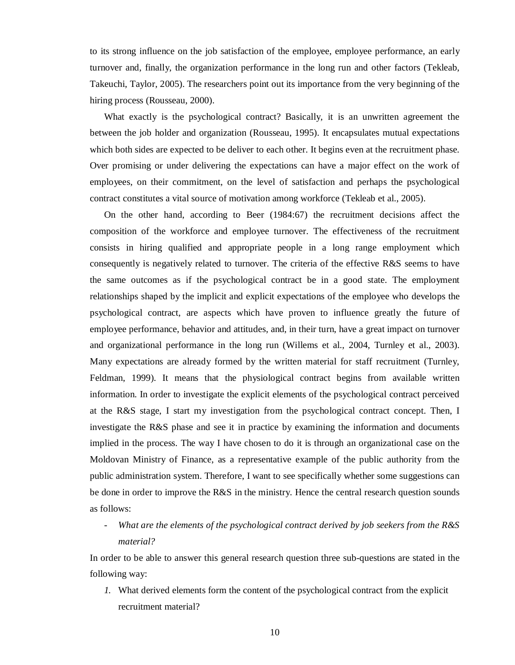to its strong influence on the job satisfaction of the employee, employee performance, an early turnover and, finally, the organization performance in the long run and other factors (Tekleab, Takeuchi, Taylor, 2005). The researchers point out its importance from the very beginning of the hiring process (Rousseau, 2000).

What exactly is the psychological contract? Basically, it is an unwritten agreement the between the job holder and organization (Rousseau, 1995). It encapsulates mutual expectations which both sides are expected to be deliver to each other. It begins even at the recruitment phase. Over promising or under delivering the expectations can have a major effect on the work of employees, on their commitment, on the level of satisfaction and perhaps the psychological contract constitutes a vital source of motivation among workforce (Tekleab et al., 2005).

On the other hand, according to Beer (1984:67) the recruitment decisions affect the composition of the workforce and employee turnover. The effectiveness of the recruitment consists in hiring qualified and appropriate people in a long range employment which consequently is negatively related to turnover. The criteria of the effective R&S seems to have the same outcomes as if the psychological contract be in a good state. The employment relationships shaped by the implicit and explicit expectations of the employee who develops the psychological contract, are aspects which have proven to influence greatly the future of employee performance, behavior and attitudes, and, in their turn, have a great impact on turnover and organizational performance in the long run (Willems et al., 2004, Turnley et al., 2003). Many expectations are already formed by the written material for staff recruitment (Turnley, Feldman, 1999). It means that the physiological contract begins from available written information. In order to investigate the explicit elements of the psychological contract perceived at the R&S stage, I start my investigation from the psychological contract concept. Then, I investigate the R&S phase and see it in practice by examining the information and documents implied in the process. The way I have chosen to do it is through an organizational case on the Moldovan Ministry of Finance, as a representative example of the public authority from the public administration system. Therefore, I want to see specifically whether some suggestions can be done in order to improve the R&S in the ministry. Hence the central research question sounds as follows:

- *What are the elements of the psychological contract derived by job seekers from the R&S material?* 

In order to be able to answer this general research question three sub-questions are stated in the following way:

*1.* What derived elements form the content of the psychological contract from the explicit recruitment material?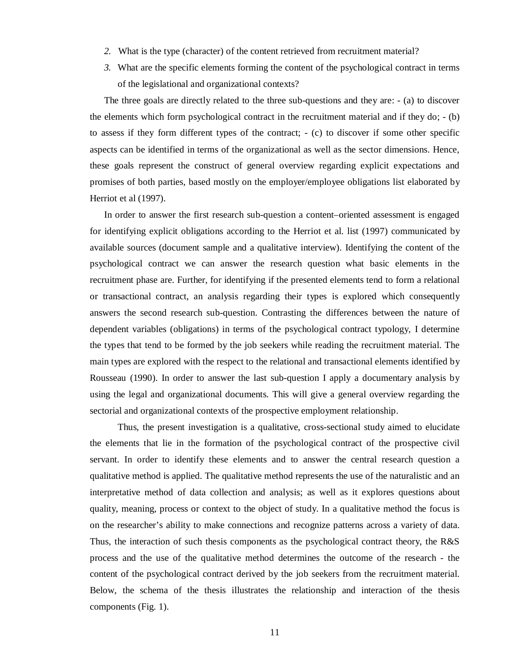- *2.* What is the type (character) of the content retrieved from recruitment material?
- *3.* What are the specific elements forming the content of the psychological contract in terms of the legislational and organizational contexts?

The three goals are directly related to the three sub-questions and they are: - (a) to discover the elements which form psychological contract in the recruitment material and if they do; - (b) to assess if they form different types of the contract; - (c) to discover if some other specific aspects can be identified in terms of the organizational as well as the sector dimensions. Hence, these goals represent the construct of general overview regarding explicit expectations and promises of both parties, based mostly on the employer/employee obligations list elaborated by Herriot et al (1997).

In order to answer the first research sub-question a content–oriented assessment is engaged for identifying explicit obligations according to the Herriot et al. list (1997) communicated by available sources (document sample and a qualitative interview). Identifying the content of the psychological contract we can answer the research question what basic elements in the recruitment phase are. Further, for identifying if the presented elements tend to form a relational or transactional contract, an analysis regarding their types is explored which consequently answers the second research sub-question. Contrasting the differences between the nature of dependent variables (obligations) in terms of the psychological contract typology, I determine the types that tend to be formed by the job seekers while reading the recruitment material. The main types are explored with the respect to the relational and transactional elements identified by Rousseau (1990). In order to answer the last sub-question I apply a documentary analysis by using the legal and organizational documents. This will give a general overview regarding the sectorial and organizational contexts of the prospective employment relationship.

Thus, the present investigation is a qualitative, cross-sectional study aimed to elucidate the elements that lie in the formation of the psychological contract of the prospective civil servant. In order to identify these elements and to answer the central research question a qualitative method is applied. The qualitative method represents the use of the naturalistic and an interpretative method of data collection and analysis; as well as it explores questions about quality, meaning, process or context to the object of study. In a qualitative method the focus is on the researcher's ability to make connections and recognize patterns across a variety of data. Thus, the interaction of such thesis components as the psychological contract theory, the R&S process and the use of the qualitative method determines the outcome of the research - the content of the psychological contract derived by the job seekers from the recruitment material. Below, the schema of the thesis illustrates the relationship and interaction of the thesis components (Fig. 1).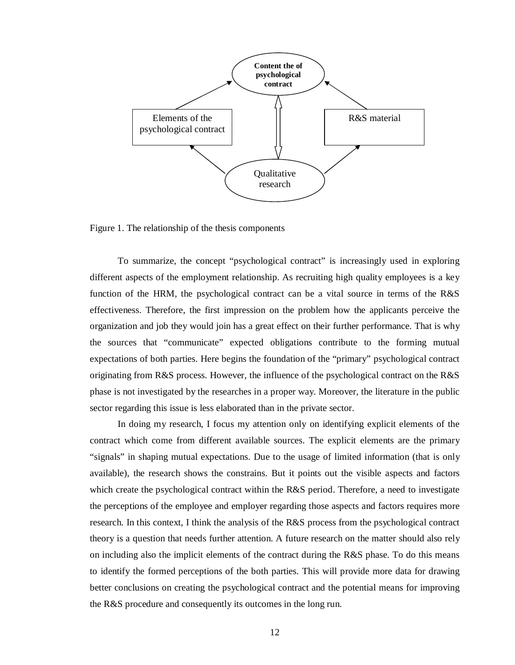

Figure 1. The relationship of the thesis components

To summarize, the concept "psychological contract" is increasingly used in exploring different aspects of the employment relationship. As recruiting high quality employees is a key function of the HRM, the psychological contract can be a vital source in terms of the R&S effectiveness. Therefore, the first impression on the problem how the applicants perceive the organization and job they would join has a great effect on their further performance. That is why the sources that "communicate" expected obligations contribute to the forming mutual expectations of both parties. Here begins the foundation of the "primary" psychological contract originating from R&S process. However, the influence of the psychological contract on the R&S phase is not investigated by the researches in a proper way. Moreover, the literature in the public sector regarding this issue is less elaborated than in the private sector.

In doing my research, I focus my attention only on identifying explicit elements of the contract which come from different available sources. The explicit elements are the primary "signals" in shaping mutual expectations. Due to the usage of limited information (that is only available), the research shows the constrains. But it points out the visible aspects and factors which create the psychological contract within the R&S period. Therefore, a need to investigate the perceptions of the employee and employer regarding those aspects and factors requires more research. In this context, I think the analysis of the R&S process from the psychological contract theory is a question that needs further attention. A future research on the matter should also rely on including also the implicit elements of the contract during the R&S phase. To do this means to identify the formed perceptions of the both parties. This will provide more data for drawing better conclusions on creating the psychological contract and the potential means for improving the R&S procedure and consequently its outcomes in the long run.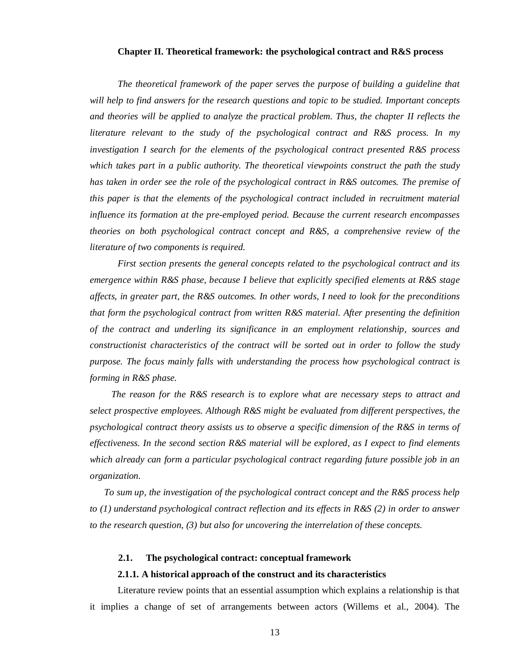## **Chapter II. Theoretical framework: the psychological contract and R&S process**

*The theoretical framework of the paper serves the purpose of building a guideline that will help to find answers for the research questions and topic to be studied. Important concepts and theories will be applied to analyze the practical problem. Thus, the chapter II reflects the literature relevant to the study of the psychological contract and R&S process. In my investigation I search for the elements of the psychological contract presented R&S process which takes part in a public authority. The theoretical viewpoints construct the path the study has taken in order see the role of the psychological contract in R&S outcomes. The premise of this paper is that the elements of the psychological contract included in recruitment material influence its formation at the pre-employed period. Because the current research encompasses theories on both psychological contract concept and R&S, a comprehensive review of the literature of two components is required.* 

*First section presents the general concepts related to the psychological contract and its emergence within R&S phase, because I believe that explicitly specified elements at R&S stage affects, in greater part, the R&S outcomes. In other words, I need to look for the preconditions that form the psychological contract from written R&S material. After presenting the definition of the contract and underling its significance in an employment relationship, sources and constructionist characteristics of the contract will be sorted out in order to follow the study purpose. The focus mainly falls with understanding the process how psychological contract is forming in R&S phase.* 

*The reason for the R&S research is to explore what are necessary steps to attract and select prospective employees. Although R&S might be evaluated from different perspectives, the psychological contract theory assists us to observe a specific dimension of the R&S in terms of effectiveness. In the second section R&S material will be explored, as I expect to find elements which already can form a particular psychological contract regarding future possible job in an organization.* 

*To sum up, the investigation of the psychological contract concept and the R&S process help to (1) understand psychological contract reflection and its effects in R&S (2) in order to answer to the research question, (3) but also for uncovering the interrelation of these concepts.* 

#### **2.1. The psychological contract: conceptual framework**

#### **2.1.1. A historical approach of the construct and its characteristics**

Literature review points that an essential assumption which explains a relationship is that it implies a change of set of arrangements between actors (Willems et al., 2004). The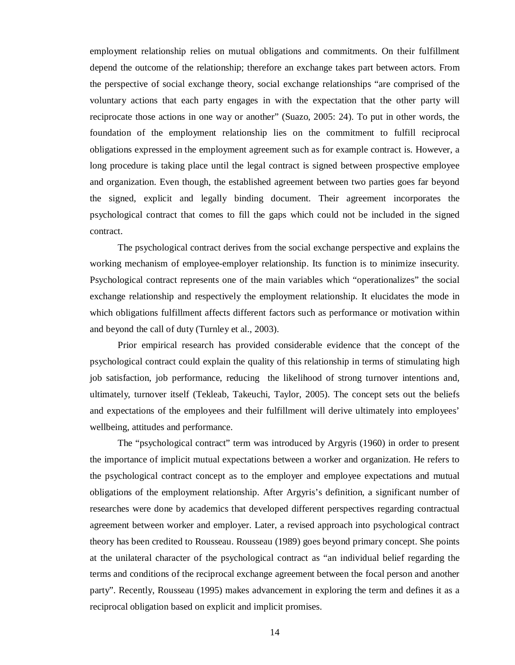employment relationship relies on mutual obligations and commitments. On their fulfillment depend the outcome of the relationship; therefore an exchange takes part between actors. From the perspective of social exchange theory, social exchange relationships "are comprised of the voluntary actions that each party engages in with the expectation that the other party will reciprocate those actions in one way or another" (Suazo, 2005: 24). To put in other words, the foundation of the employment relationship lies on the commitment to fulfill reciprocal obligations expressed in the employment agreement such as for example contract is. However, a long procedure is taking place until the legal contract is signed between prospective employee and organization. Even though, the established agreement between two parties goes far beyond the signed, explicit and legally binding document. Their agreement incorporates the psychological contract that comes to fill the gaps which could not be included in the signed contract.

The psychological contract derives from the social exchange perspective and explains the working mechanism of employee-employer relationship. Its function is to minimize insecurity. Psychological contract represents one of the main variables which "operationalizes" the social exchange relationship and respectively the employment relationship. It elucidates the mode in which obligations fulfillment affects different factors such as performance or motivation within and beyond the call of duty (Turnley et al., 2003).

Prior empirical research has provided considerable evidence that the concept of the psychological contract could explain the quality of this relationship in terms of stimulating high job satisfaction, job performance, reducing the likelihood of strong turnover intentions and, ultimately, turnover itself (Tekleab, Takeuchi, Taylor, 2005). The concept sets out the beliefs and expectations of the employees and their fulfillment will derive ultimately into employees' wellbeing, attitudes and performance.

The "psychological contract" term was introduced by Argyris (1960) in order to present the importance of implicit mutual expectations between a worker and organization. He refers to the psychological contract concept as to the employer and employee expectations and mutual obligations of the employment relationship. After Argyris's definition, a significant number of researches were done by academics that developed different perspectives regarding contractual agreement between worker and employer. Later, a revised approach into psychological contract theory has been credited to Rousseau. Rousseau (1989) goes beyond primary concept. She points at the unilateral character of the psychological contract as "an individual belief regarding the terms and conditions of the reciprocal exchange agreement between the focal person and another party". Recently, Rousseau (1995) makes advancement in exploring the term and defines it as a reciprocal obligation based on explicit and implicit promises.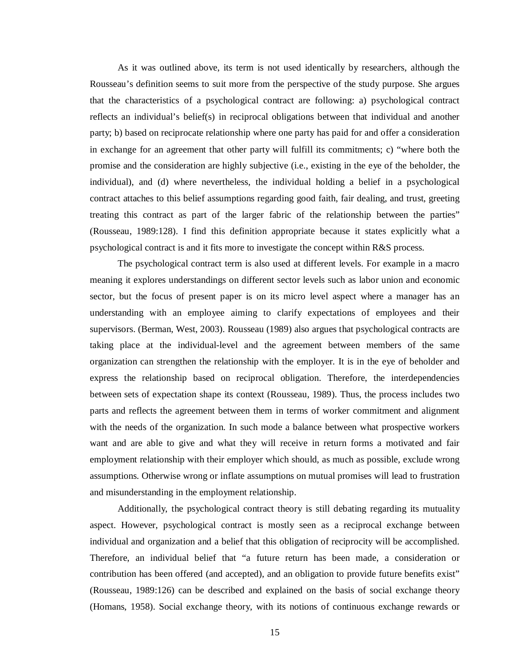As it was outlined above, its term is not used identically by researchers, although the Rousseau's definition seems to suit more from the perspective of the study purpose. She argues that the characteristics of a psychological contract are following: a) psychological contract reflects an individual's belief(s) in reciprocal obligations between that individual and another party; b) based on reciprocate relationship where one party has paid for and offer a consideration in exchange for an agreement that other party will fulfill its commitments; c) "where both the promise and the consideration are highly subjective (i.e., existing in the eye of the beholder, the individual), and (d) where nevertheless, the individual holding a belief in a psychological contract attaches to this belief assumptions regarding good faith, fair dealing, and trust, greeting treating this contract as part of the larger fabric of the relationship between the parties" (Rousseau, 1989:128). I find this definition appropriate because it states explicitly what a psychological contract is and it fits more to investigate the concept within R&S process.

The psychological contract term is also used at different levels. For example in a macro meaning it explores understandings on different sector levels such as labor union and economic sector, but the focus of present paper is on its micro level aspect where a manager has an understanding with an employee aiming to clarify expectations of employees and their supervisors. (Berman, West, 2003). Rousseau (1989) also argues that psychological contracts are taking place at the individual-level and the agreement between members of the same organization can strengthen the relationship with the employer. It is in the eye of beholder and express the relationship based on reciprocal obligation. Therefore, the interdependencies between sets of expectation shape its context (Rousseau, 1989). Thus, the process includes two parts and reflects the agreement between them in terms of worker commitment and alignment with the needs of the organization. In such mode a balance between what prospective workers want and are able to give and what they will receive in return forms a motivated and fair employment relationship with their employer which should, as much as possible, exclude wrong assumptions. Otherwise wrong or inflate assumptions on mutual promises will lead to frustration and misunderstanding in the employment relationship.

Additionally, the psychological contract theory is still debating regarding its mutuality aspect. However, psychological contract is mostly seen as a reciprocal exchange between individual and organization and a belief that this obligation of reciprocity will be accomplished. Therefore, an individual belief that "a future return has been made, a consideration or contribution has been offered (and accepted), and an obligation to provide future benefits exist" (Rousseau, 1989:126) can be described and explained on the basis of social exchange theory (Homans, 1958). Social exchange theory, with its notions of continuous exchange rewards or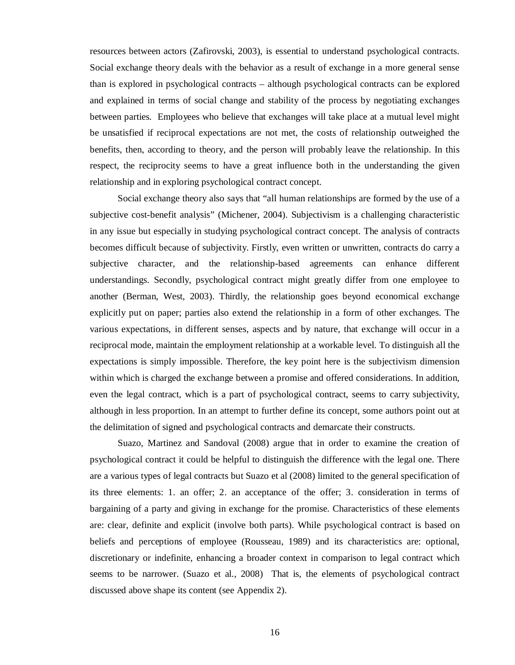resources between actors (Zafirovski, 2003), is essential to understand psychological contracts. Social exchange theory deals with the behavior as a result of exchange in a more general sense than is explored in psychological contracts – although psychological contracts can be explored and explained in terms of social change and stability of the process by negotiating exchanges between parties. Employees who believe that exchanges will take place at a mutual level might be unsatisfied if reciprocal expectations are not met, the costs of relationship outweighed the benefits, then, according to theory, and the person will probably leave the relationship. In this respect, the reciprocity seems to have a great influence both in the understanding the given relationship and in exploring psychological contract concept.

Social exchange theory also says that "all human relationships are formed by the use of a subjective cost-benefit analysis" (Michener, 2004). Subjectivism is a challenging characteristic in any issue but especially in studying psychological contract concept. The analysis of contracts becomes difficult because of subjectivity. Firstly, even written or unwritten, contracts do carry a subjective character, and the relationship-based agreements can enhance different understandings. Secondly, psychological contract might greatly differ from one employee to another (Berman, West, 2003). Thirdly, the relationship goes beyond economical exchange explicitly put on paper; parties also extend the relationship in a form of other exchanges. The various expectations, in different senses, aspects and by nature, that exchange will occur in a reciprocal mode, maintain the employment relationship at a workable level. To distinguish all the expectations is simply impossible. Therefore, the key point here is the subjectivism dimension within which is charged the exchange between a promise and offered considerations. In addition, even the legal contract, which is a part of psychological contract, seems to carry subjectivity, although in less proportion. In an attempt to further define its concept, some authors point out at the delimitation of signed and psychological contracts and demarcate their constructs.

Suazo, Martinez and Sandoval (2008) argue that in order to examine the creation of psychological contract it could be helpful to distinguish the difference with the legal one. There are a various types of legal contracts but Suazo et al (2008) limited to the general specification of its three elements: 1. an offer; 2. an acceptance of the offer; 3. consideration in terms of bargaining of a party and giving in exchange for the promise. Characteristics of these elements are: clear, definite and explicit (involve both parts). While psychological contract is based on beliefs and perceptions of employee (Rousseau, 1989) and its characteristics are: optional, discretionary or indefinite, enhancing a broader context in comparison to legal contract which seems to be narrower. (Suazo et al., 2008) That is, the elements of psychological contract discussed above shape its content (see Appendix 2).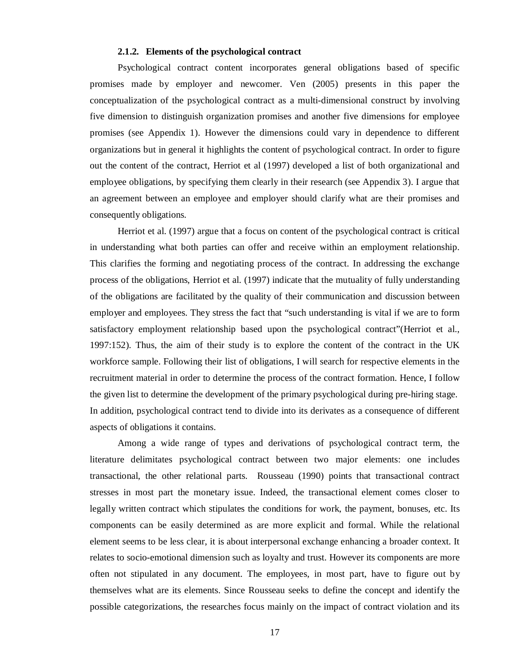#### **2.1.2. Elements of the psychological contract**

Psychological contract content incorporates general obligations based of specific promises made by employer and newcomer. Ven (2005) presents in this paper the conceptualization of the psychological contract as a multi-dimensional construct by involving five dimension to distinguish organization promises and another five dimensions for employee promises (see Appendix 1). However the dimensions could vary in dependence to different organizations but in general it highlights the content of psychological contract. In order to figure out the content of the contract, Herriot et al (1997) developed a list of both organizational and employee obligations, by specifying them clearly in their research (see Appendix 3). I argue that an agreement between an employee and employer should clarify what are their promises and consequently obligations.

Herriot et al. (1997) argue that a focus on content of the psychological contract is critical in understanding what both parties can offer and receive within an employment relationship. This clarifies the forming and negotiating process of the contract. In addressing the exchange process of the obligations, Herriot et al. (1997) indicate that the mutuality of fully understanding of the obligations are facilitated by the quality of their communication and discussion between employer and employees. They stress the fact that "such understanding is vital if we are to form satisfactory employment relationship based upon the psychological contract"(Herriot et al., 1997:152). Thus, the aim of their study is to explore the content of the contract in the UK workforce sample. Following their list of obligations, I will search for respective elements in the recruitment material in order to determine the process of the contract formation. Hence, I follow the given list to determine the development of the primary psychological during pre-hiring stage. In addition, psychological contract tend to divide into its derivates as a consequence of different aspects of obligations it contains.

Among a wide range of types and derivations of psychological contract term, the literature delimitates psychological contract between two major elements: one includes transactional, the other relational parts. Rousseau (1990) points that transactional contract stresses in most part the monetary issue. Indeed, the transactional element comes closer to legally written contract which stipulates the conditions for work, the payment, bonuses, etc. Its components can be easily determined as are more explicit and formal. While the relational element seems to be less clear, it is about interpersonal exchange enhancing a broader context. It relates to socio-emotional dimension such as loyalty and trust. However its components are more often not stipulated in any document. The employees, in most part, have to figure out by themselves what are its elements. Since Rousseau seeks to define the concept and identify the possible categorizations, the researches focus mainly on the impact of contract violation and its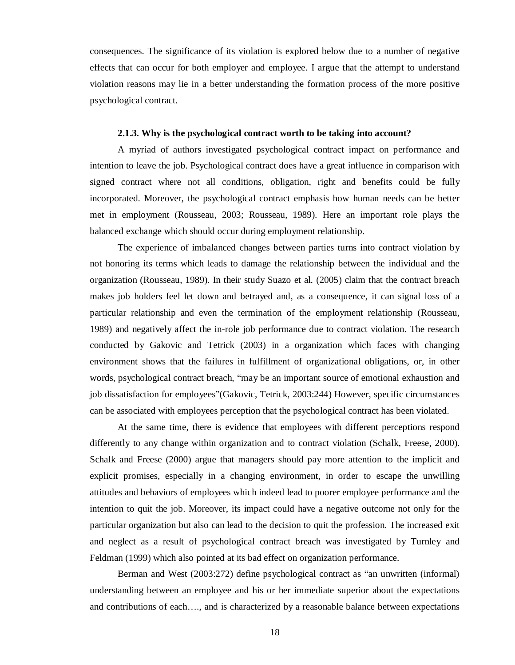consequences. The significance of its violation is explored below due to a number of negative effects that can occur for both employer and employee. I argue that the attempt to understand violation reasons may lie in a better understanding the formation process of the more positive psychological contract.

#### **2.1.3. Why is the psychological contract worth to be taking into account?**

A myriad of authors investigated psychological contract impact on performance and intention to leave the job. Psychological contract does have a great influence in comparison with signed contract where not all conditions, obligation, right and benefits could be fully incorporated. Moreover, the psychological contract emphasis how human needs can be better met in employment (Rousseau, 2003; Rousseau, 1989). Here an important role plays the balanced exchange which should occur during employment relationship.

The experience of imbalanced changes between parties turns into contract violation by not honoring its terms which leads to damage the relationship between the individual and the organization (Rousseau, 1989). In their study Suazo et al. (2005) claim that the contract breach makes job holders feel let down and betrayed and, as a consequence, it can signal loss of a particular relationship and even the termination of the employment relationship (Rousseau, 1989) and negatively affect the in-role job performance due to contract violation. The research conducted by Gakovic and Tetrick (2003) in a organization which faces with changing environment shows that the failures in fulfillment of organizational obligations, or, in other words, psychological contract breach, "may be an important source of emotional exhaustion and job dissatisfaction for employees"(Gakovic, Tetrick, 2003:244) However, specific circumstances can be associated with employees perception that the psychological contract has been violated.

At the same time, there is evidence that employees with different perceptions respond differently to any change within organization and to contract violation (Schalk, Freese, 2000). Schalk and Freese (2000) argue that managers should pay more attention to the implicit and explicit promises, especially in a changing environment, in order to escape the unwilling attitudes and behaviors of employees which indeed lead to poorer employee performance and the intention to quit the job. Moreover, its impact could have a negative outcome not only for the particular organization but also can lead to the decision to quit the profession. The increased exit and neglect as a result of psychological contract breach was investigated by Turnley and Feldman (1999) which also pointed at its bad effect on organization performance.

Berman and West (2003:272) define psychological contract as "an unwritten (informal) understanding between an employee and his or her immediate superior about the expectations and contributions of each…., and is characterized by a reasonable balance between expectations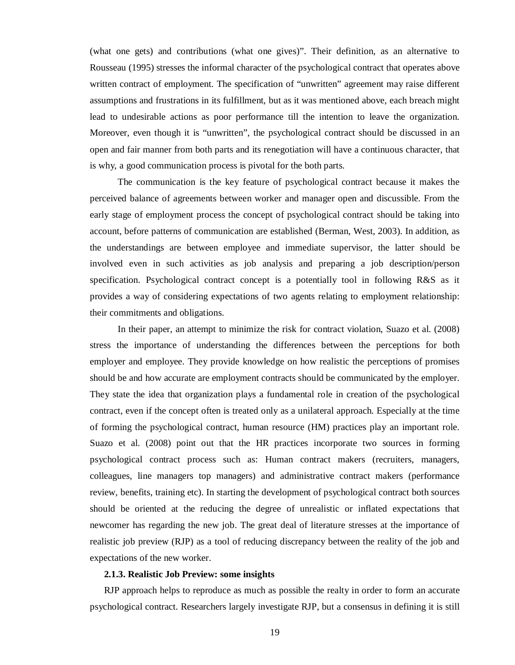(what one gets) and contributions (what one gives)". Their definition, as an alternative to Rousseau (1995) stresses the informal character of the psychological contract that operates above written contract of employment. The specification of "unwritten" agreement may raise different assumptions and frustrations in its fulfillment, but as it was mentioned above, each breach might lead to undesirable actions as poor performance till the intention to leave the organization. Moreover, even though it is "unwritten", the psychological contract should be discussed in an open and fair manner from both parts and its renegotiation will have a continuous character, that is why, a good communication process is pivotal for the both parts.

The communication is the key feature of psychological contract because it makes the perceived balance of agreements between worker and manager open and discussible. From the early stage of employment process the concept of psychological contract should be taking into account, before patterns of communication are established (Berman, West, 2003). In addition, as the understandings are between employee and immediate supervisor, the latter should be involved even in such activities as job analysis and preparing a job description/person specification. Psychological contract concept is a potentially tool in following R&S as it provides a way of considering expectations of two agents relating to employment relationship: their commitments and obligations.

In their paper, an attempt to minimize the risk for contract violation, Suazo et al. (2008) stress the importance of understanding the differences between the perceptions for both employer and employee. They provide knowledge on how realistic the perceptions of promises should be and how accurate are employment contracts should be communicated by the employer. They state the idea that organization plays a fundamental role in creation of the psychological contract, even if the concept often is treated only as a unilateral approach. Especially at the time of forming the psychological contract, human resource (HM) practices play an important role. Suazo et al. (2008) point out that the HR practices incorporate two sources in forming psychological contract process such as: Human contract makers (recruiters, managers, colleagues, line managers top managers) and administrative contract makers (performance review, benefits, training etc). In starting the development of psychological contract both sources should be oriented at the reducing the degree of unrealistic or inflated expectations that newcomer has regarding the new job. The great deal of literature stresses at the importance of realistic job preview (RJP) as a tool of reducing discrepancy between the reality of the job and expectations of the new worker.

## **2.1.3. Realistic Job Preview: some insights**

RJP approach helps to reproduce as much as possible the realty in order to form an accurate psychological contract. Researchers largely investigate RJP, but a consensus in defining it is still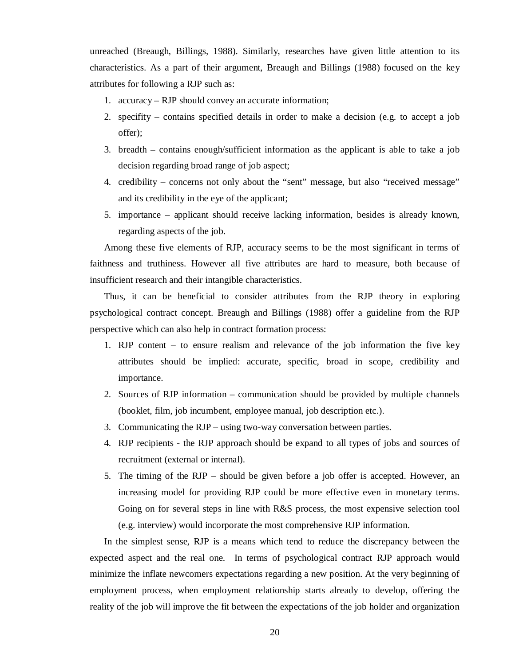unreached (Breaugh, Billings, 1988). Similarly, researches have given little attention to its characteristics. As a part of their argument, Breaugh and Billings (1988) focused on the key attributes for following a RJP such as:

- 1. accuracy RJP should convey an accurate information;
- 2. specifity contains specified details in order to make a decision (e.g. to accept a job offer);
- 3. breadth contains enough/sufficient information as the applicant is able to take a job decision regarding broad range of job aspect;
- 4. credibility concerns not only about the "sent" message, but also "received message" and its credibility in the eye of the applicant;
- 5. importance applicant should receive lacking information, besides is already known, regarding aspects of the job.

Among these five elements of RJP, accuracy seems to be the most significant in terms of faithness and truthiness. However all five attributes are hard to measure, both because of insufficient research and their intangible characteristics.

Thus, it can be beneficial to consider attributes from the RJP theory in exploring psychological contract concept. Breaugh and Billings (1988) offer a guideline from the RJP perspective which can also help in contract formation process:

- 1. RJP content to ensure realism and relevance of the job information the five key attributes should be implied: accurate, specific, broad in scope, credibility and importance.
- 2. Sources of RJP information communication should be provided by multiple channels (booklet, film, job incumbent, employee manual, job description etc.).
- 3. Communicating the RJP using two-way conversation between parties.
- 4. RJP recipients the RJP approach should be expand to all types of jobs and sources of recruitment (external or internal).
- 5. The timing of the RJP should be given before a job offer is accepted. However, an increasing model for providing RJP could be more effective even in monetary terms. Going on for several steps in line with R&S process, the most expensive selection tool (e.g. interview) would incorporate the most comprehensive RJP information.

In the simplest sense, RJP is a means which tend to reduce the discrepancy between the expected aspect and the real one. In terms of psychological contract RJP approach would minimize the inflate newcomers expectations regarding a new position. At the very beginning of employment process, when employment relationship starts already to develop, offering the reality of the job will improve the fit between the expectations of the job holder and organization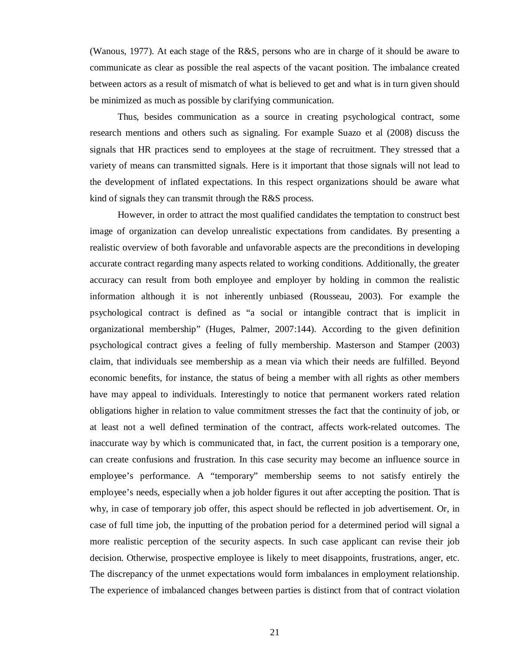(Wanous, 1977). At each stage of the R&S, persons who are in charge of it should be aware to communicate as clear as possible the real aspects of the vacant position. The imbalance created between actors as a result of mismatch of what is believed to get and what is in turn given should be minimized as much as possible by clarifying communication.

Thus, besides communication as a source in creating psychological contract, some research mentions and others such as signaling. For example Suazo et al (2008) discuss the signals that HR practices send to employees at the stage of recruitment. They stressed that a variety of means can transmitted signals. Here is it important that those signals will not lead to the development of inflated expectations. In this respect organizations should be aware what kind of signals they can transmit through the R&S process.

However, in order to attract the most qualified candidates the temptation to construct best image of organization can develop unrealistic expectations from candidates. By presenting a realistic overview of both favorable and unfavorable aspects are the preconditions in developing accurate contract regarding many aspects related to working conditions. Additionally, the greater accuracy can result from both employee and employer by holding in common the realistic information although it is not inherently unbiased (Rousseau, 2003). For example the psychological contract is defined as "a social or intangible contract that is implicit in organizational membership" (Huges, Palmer, 2007:144). According to the given definition psychological contract gives a feeling of fully membership. Masterson and Stamper (2003) claim, that individuals see membership as a mean via which their needs are fulfilled. Beyond economic benefits, for instance, the status of being a member with all rights as other members have may appeal to individuals. Interestingly to notice that permanent workers rated relation obligations higher in relation to value commitment stresses the fact that the continuity of job, or at least not a well defined termination of the contract, affects work-related outcomes. The inaccurate way by which is communicated that, in fact, the current position is a temporary one, can create confusions and frustration. In this case security may become an influence source in employee's performance. A "temporary" membership seems to not satisfy entirely the employee's needs, especially when a job holder figures it out after accepting the position. That is why, in case of temporary job offer, this aspect should be reflected in job advertisement. Or, in case of full time job, the inputting of the probation period for a determined period will signal a more realistic perception of the security aspects. In such case applicant can revise their job decision. Otherwise, prospective employee is likely to meet disappoints, frustrations, anger, etc. The discrepancy of the unmet expectations would form imbalances in employment relationship. The experience of imbalanced changes between parties is distinct from that of contract violation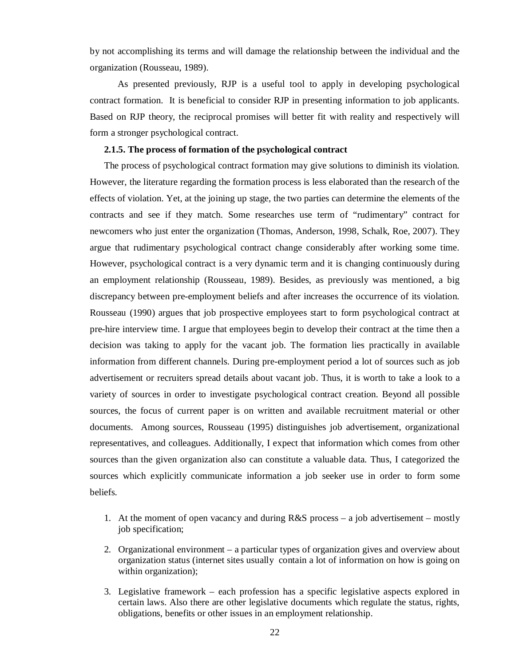by not accomplishing its terms and will damage the relationship between the individual and the organization (Rousseau, 1989).

As presented previously, RJP is a useful tool to apply in developing psychological contract formation. It is beneficial to consider RJP in presenting information to job applicants. Based on RJP theory, the reciprocal promises will better fit with reality and respectively will form a stronger psychological contract.

## **2.1.5. The process of formation of the psychological contract**

The process of psychological contract formation may give solutions to diminish its violation. However, the literature regarding the formation process is less elaborated than the research of the effects of violation. Yet, at the joining up stage, the two parties can determine the elements of the contracts and see if they match. Some researches use term of "rudimentary" contract for newcomers who just enter the organization (Thomas, Anderson, 1998, Schalk, Roe, 2007). They argue that rudimentary psychological contract change considerably after working some time. However, psychological contract is a very dynamic term and it is changing continuously during an employment relationship (Rousseau, 1989). Besides, as previously was mentioned, a big discrepancy between pre-employment beliefs and after increases the occurrence of its violation. Rousseau (1990) argues that job prospective employees start to form psychological contract at pre-hire interview time. I argue that employees begin to develop their contract at the time then a decision was taking to apply for the vacant job. The formation lies practically in available information from different channels. During pre-employment period a lot of sources such as job advertisement or recruiters spread details about vacant job. Thus, it is worth to take a look to a variety of sources in order to investigate psychological contract creation. Beyond all possible sources, the focus of current paper is on written and available recruitment material or other documents. Among sources, Rousseau (1995) distinguishes job advertisement, organizational representatives, and colleagues. Additionally, I expect that information which comes from other sources than the given organization also can constitute a valuable data. Thus, I categorized the sources which explicitly communicate information a job seeker use in order to form some beliefs.

- 1. At the moment of open vacancy and during  $R&S$  process a job advertisement mostly job specification;
- 2. Organizational environment a particular types of organization gives and overview about organization status (internet sites usually contain a lot of information on how is going on within organization);
- 3. Legislative framework each profession has a specific legislative aspects explored in certain laws. Also there are other legislative documents which regulate the status, rights, obligations, benefits or other issues in an employment relationship.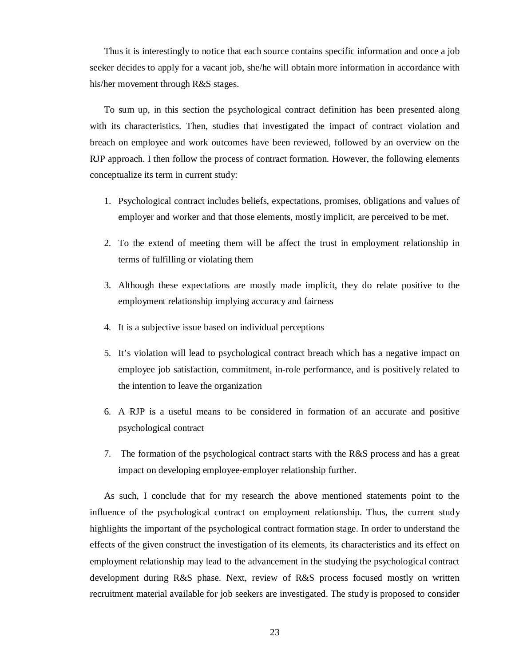Thus it is interestingly to notice that each source contains specific information and once a job seeker decides to apply for a vacant job, she/he will obtain more information in accordance with his/her movement through R&S stages.

To sum up, in this section the psychological contract definition has been presented along with its characteristics. Then, studies that investigated the impact of contract violation and breach on employee and work outcomes have been reviewed, followed by an overview on the RJP approach. I then follow the process of contract formation. However, the following elements conceptualize its term in current study:

- 1. Psychological contract includes beliefs, expectations, promises, obligations and values of employer and worker and that those elements, mostly implicit, are perceived to be met.
- 2. To the extend of meeting them will be affect the trust in employment relationship in terms of fulfilling or violating them
- 3. Although these expectations are mostly made implicit, they do relate positive to the employment relationship implying accuracy and fairness
- 4. It is a subjective issue based on individual perceptions
- 5. It's violation will lead to psychological contract breach which has a negative impact on employee job satisfaction, commitment, in-role performance, and is positively related to the intention to leave the organization
- 6. A RJP is a useful means to be considered in formation of an accurate and positive psychological contract
- 7. The formation of the psychological contract starts with the R&S process and has a great impact on developing employee-employer relationship further.

As such, I conclude that for my research the above mentioned statements point to the influence of the psychological contract on employment relationship. Thus, the current study highlights the important of the psychological contract formation stage. In order to understand the effects of the given construct the investigation of its elements, its characteristics and its effect on employment relationship may lead to the advancement in the studying the psychological contract development during R&S phase. Next, review of R&S process focused mostly on written recruitment material available for job seekers are investigated. The study is proposed to consider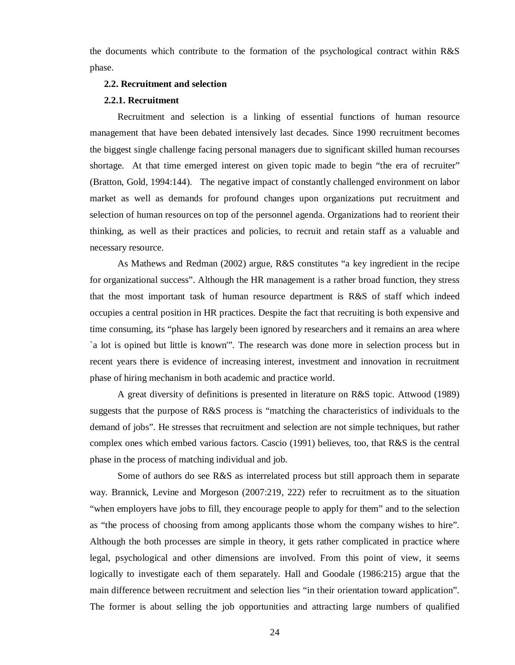the documents which contribute to the formation of the psychological contract within R&S phase.

#### **2.2. Recruitment and selection**

#### **2.2.1. Recruitment**

Recruitment and selection is a linking of essential functions of human resource management that have been debated intensively last decades. Since 1990 recruitment becomes the biggest single challenge facing personal managers due to significant skilled human recourses shortage. At that time emerged interest on given topic made to begin "the era of recruiter" (Bratton, Gold, 1994:144). The negative impact of constantly challenged environment on labor market as well as demands for profound changes upon organizations put recruitment and selection of human resources on top of the personnel agenda. Organizations had to reorient their thinking, as well as their practices and policies, to recruit and retain staff as a valuable and necessary resource.

As Mathews and Redman (2002) argue, R&S constitutes "a key ingredient in the recipe for organizational success". Although the HR management is a rather broad function, they stress that the most important task of human resource department is R&S of staff which indeed occupies a central position in HR practices. Despite the fact that recruiting is both expensive and time consuming, its "phase has largely been ignored by researchers and it remains an area where `a lot is opined but little is known'". The research was done more in selection process but in recent years there is evidence of increasing interest, investment and innovation in recruitment phase of hiring mechanism in both academic and practice world.

A great diversity of definitions is presented in literature on R&S topic. Attwood (1989) suggests that the purpose of R&S process is "matching the characteristics of individuals to the demand of jobs". He stresses that recruitment and selection are not simple techniques, but rather complex ones which embed various factors. Cascio (1991) believes, too, that R&S is the central phase in the process of matching individual and job.

Some of authors do see R&S as interrelated process but still approach them in separate way. Brannick, Levine and Morgeson (2007:219, 222) refer to recruitment as to the situation "when employers have jobs to fill, they encourage people to apply for them" and to the selection as "the process of choosing from among applicants those whom the company wishes to hire". Although the both processes are simple in theory, it gets rather complicated in practice where legal, psychological and other dimensions are involved. From this point of view, it seems logically to investigate each of them separately. Hall and Goodale (1986:215) argue that the main difference between recruitment and selection lies "in their orientation toward application". The former is about selling the job opportunities and attracting large numbers of qualified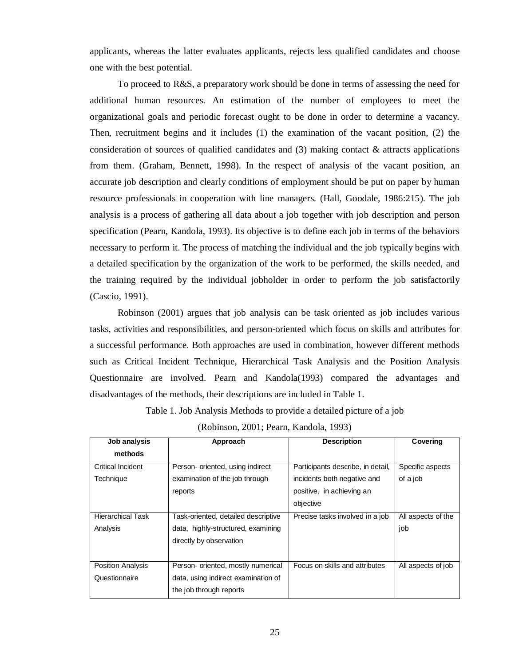applicants, whereas the latter evaluates applicants, rejects less qualified candidates and choose one with the best potential.

To proceed to R&S, a preparatory work should be done in terms of assessing the need for additional human resources. An estimation of the number of employees to meet the organizational goals and periodic forecast ought to be done in order to determine a vacancy. Then, recruitment begins and it includes (1) the examination of the vacant position, (2) the consideration of sources of qualified candidates and  $(3)$  making contact & attracts applications from them. (Graham, Bennett, 1998). In the respect of analysis of the vacant position, an accurate job description and clearly conditions of employment should be put on paper by human resource professionals in cooperation with line managers. (Hall, Goodale, 1986:215). The job analysis is a process of gathering all data about a job together with job description and person specification (Pearn, Kandola, 1993). Its objective is to define each job in terms of the behaviors necessary to perform it. The process of matching the individual and the job typically begins with a detailed specification by the organization of the work to be performed, the skills needed, and the training required by the individual jobholder in order to perform the job satisfactorily (Cascio, 1991).

Robinson (2001) argues that job analysis can be task oriented as job includes various tasks, activities and responsibilities, and person-oriented which focus on skills and attributes for a successful performance. Both approaches are used in combination, however different methods such as Critical Incident Technique, Hierarchical Task Analysis and the Position Analysis Questionnaire are involved. Pearn and Kandola(1993) compared the advantages and disadvantages of the methods, their descriptions are included in Table 1.

Table 1. Job Analysis Methods to provide a detailed picture of a job

| $(K00118011, 2001, 2001, 10011, 10011, 1993)$ |                                     |                                   |                    |  |  |
|-----------------------------------------------|-------------------------------------|-----------------------------------|--------------------|--|--|
| Job analysis                                  | Approach                            | <b>Description</b>                |                    |  |  |
| methods                                       |                                     |                                   |                    |  |  |
| <b>Critical Incident</b>                      | Person- oriented, using indirect    | Participants describe, in detail, | Specific aspects   |  |  |
| Technique                                     | examination of the job through      | incidents both negative and       | of a job           |  |  |
|                                               | reports                             | positive, in achieving an         |                    |  |  |
|                                               |                                     | objective                         |                    |  |  |
| <b>Hierarchical Task</b>                      | Task-oriented, detailed descriptive | Precise tasks involved in a job   | All aspects of the |  |  |
| Analysis                                      | data, highly-structured, examining  |                                   | job                |  |  |
|                                               | directly by observation             |                                   |                    |  |  |
|                                               |                                     |                                   |                    |  |  |
| <b>Position Analysis</b>                      | Person- oriented, mostly numerical  | Focus on skills and attributes    | All aspects of job |  |  |
| Questionnaire                                 | data, using indirect examination of |                                   |                    |  |  |
|                                               | the job through reports             |                                   |                    |  |  |

(Robinson, 2001; Pearn, Kandola, 1993)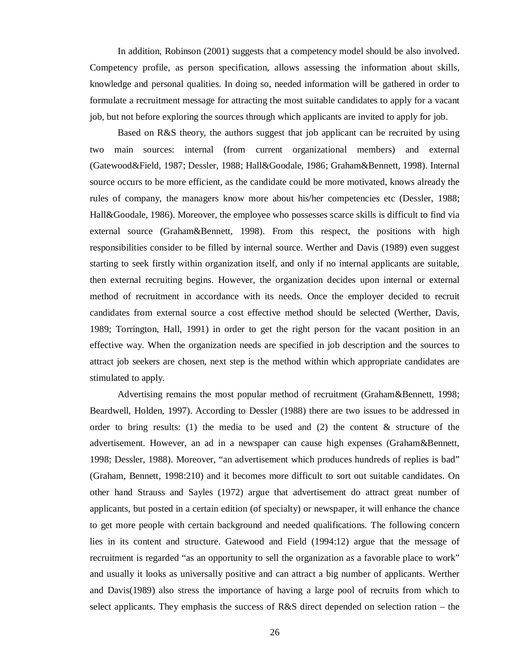In addition, Robinson (2001) suggests that a competency model should be also involved. Competency profile, as person specification, allows assessing the information about skills, knowledge and personal qualities. In doing so, needed information will be gathered in order to formulate a recruitment message for attracting the most suitable candidates to apply for a vacant job, but not before exploring the sources through which applicants are invited to apply for job.

Based on R&S theory, the authors suggest that job applicant can be recruited by using two main sources: internal (from current organizational members) and external (Gatewood&Field, 1987; Dessler, 1988; Hall&Goodale, 1986; Graham&Bennett, 1998). Internal source occurs to be more efficient, as the candidate could be more motivated, knows already the rules of company, the managers know more about his/her competencies etc (Dessler, 1988; Hall&Goodale, 1986). Moreover, the employee who possesses scarce skills is difficult to find via external source (Graham&Bennett, 1998). From this respect, the positions with high responsibilities consider to be filled by internal source. Werther and Davis (1989) even suggest starting to seek firstly within organization itself, and only if no internal applicants are suitable, then external recruiting begins. However, the organization decides upon internal or external method of recruitment in accordance with its needs. Once the employer decided to recruit candidates from external source a cost effective method should be selected (Werther, Davis, 1989; Torrington, Hall, 1991) in order to get the right person for the vacant position in an effective way. When the organization needs are specified in job description and the sources to attract job seekers are chosen, next step is the method within which appropriate candidates are stimulated to apply.

Advertising remains the most popular method of recruitment (Graham&Bennett, 1998; Beardwell, Holden, 1997). According to Dessler (1988) there are two issues to be addressed in order to bring results: (1) the media to be used and (2) the content  $\&$  structure of the advertisement. However, an ad in a newspaper can cause high expenses (Graham&Bennett, 1998; Dessler, 1988). Moreover, "an advertisement which produces hundreds of replies is bad" (Graham, Bennett, 1998:210) and it becomes more difficult to sort out suitable candidates. On other hand Strauss and Sayles (1972) argue that advertisement do attract great number of applicants, but posted in a certain edition (of specialty) or newspaper, it will enhance the chance to get more people with certain background and needed qualifications. The following concern lies in its content and structure. Gatewood and Field (1994:12) argue that the message of recruitment is regarded "as an opportunity to sell the organization as a favorable place to work" and usually it looks as universally positive and can attract a big number of applicants. Werther and Davis(1989) also stress the importance of having a large pool of recruits from which to select applicants. They emphasis the success of R&S direct depended on selection ration – the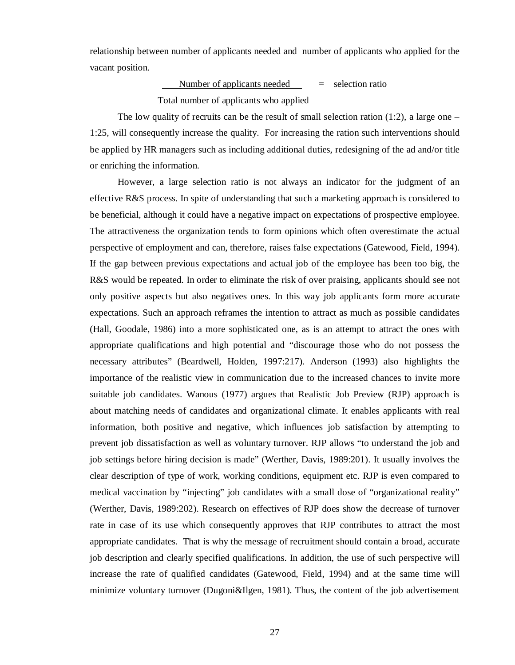relationship between number of applicants needed and number of applicants who applied for the vacant position.

> Number of applicants needed  $=$  selection ratio Total number of applicants who applied

The low quality of recruits can be the result of small selection ration (1:2), a large one – 1:25, will consequently increase the quality. For increasing the ration such interventions should be applied by HR managers such as including additional duties, redesigning of the ad and/or title or enriching the information.

However, a large selection ratio is not always an indicator for the judgment of an effective R&S process. In spite of understanding that such a marketing approach is considered to be beneficial, although it could have a negative impact on expectations of prospective employee. The attractiveness the organization tends to form opinions which often overestimate the actual perspective of employment and can, therefore, raises false expectations (Gatewood, Field, 1994). If the gap between previous expectations and actual job of the employee has been too big, the R&S would be repeated. In order to eliminate the risk of over praising, applicants should see not only positive aspects but also negatives ones. In this way job applicants form more accurate expectations. Such an approach reframes the intention to attract as much as possible candidates (Hall, Goodale, 1986) into a more sophisticated one, as is an attempt to attract the ones with appropriate qualifications and high potential and "discourage those who do not possess the necessary attributes" (Beardwell, Holden, 1997:217). Anderson (1993) also highlights the importance of the realistic view in communication due to the increased chances to invite more suitable job candidates. Wanous (1977) argues that Realistic Job Preview (RJP) approach is about matching needs of candidates and organizational climate. It enables applicants with real information, both positive and negative, which influences job satisfaction by attempting to prevent job dissatisfaction as well as voluntary turnover. RJP allows "to understand the job and job settings before hiring decision is made" (Werther, Davis, 1989:201). It usually involves the clear description of type of work, working conditions, equipment etc. RJP is even compared to medical vaccination by "injecting" job candidates with a small dose of "organizational reality" (Werther, Davis, 1989:202). Research on effectives of RJP does show the decrease of turnover rate in case of its use which consequently approves that RJP contributes to attract the most appropriate candidates. That is why the message of recruitment should contain a broad, accurate job description and clearly specified qualifications. In addition, the use of such perspective will increase the rate of qualified candidates (Gatewood, Field, 1994) and at the same time will minimize voluntary turnover (Dugoni&Ilgen, 1981). Thus, the content of the job advertisement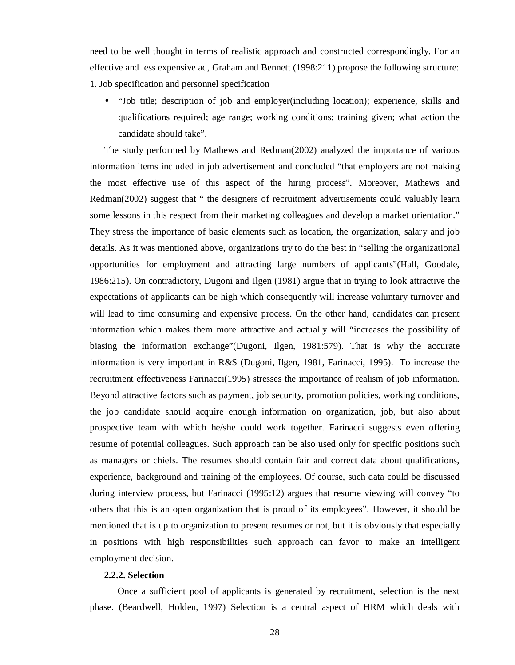need to be well thought in terms of realistic approach and constructed correspondingly. For an effective and less expensive ad, Graham and Bennett (1998:211) propose the following structure: 1. Job specification and personnel specification

• "Job title; description of job and employer(including location); experience, skills and qualifications required; age range; working conditions; training given; what action the candidate should take".

The study performed by Mathews and Redman(2002) analyzed the importance of various information items included in job advertisement and concluded "that employers are not making the most effective use of this aspect of the hiring process". Moreover, Mathews and Redman(2002) suggest that " the designers of recruitment advertisements could valuably learn some lessons in this respect from their marketing colleagues and develop a market orientation." They stress the importance of basic elements such as location, the organization, salary and job details. As it was mentioned above, organizations try to do the best in "selling the organizational opportunities for employment and attracting large numbers of applicants"(Hall, Goodale, 1986:215). On contradictory, Dugoni and Ilgen (1981) argue that in trying to look attractive the expectations of applicants can be high which consequently will increase voluntary turnover and will lead to time consuming and expensive process. On the other hand, candidates can present information which makes them more attractive and actually will "increases the possibility of biasing the information exchange"(Dugoni, Ilgen, 1981:579). That is why the accurate information is very important in R&S (Dugoni, Ilgen, 1981, Farinacci, 1995). To increase the recruitment effectiveness Farinacci(1995) stresses the importance of realism of job information. Beyond attractive factors such as payment, job security, promotion policies, working conditions, the job candidate should acquire enough information on organization, job, but also about prospective team with which he/she could work together. Farinacci suggests even offering resume of potential colleagues. Such approach can be also used only for specific positions such as managers or chiefs. The resumes should contain fair and correct data about qualifications, experience, background and training of the employees. Of course, such data could be discussed during interview process, but Farinacci (1995:12) argues that resume viewing will convey "to others that this is an open organization that is proud of its employees". However, it should be mentioned that is up to organization to present resumes or not, but it is obviously that especially in positions with high responsibilities such approach can favor to make an intelligent employment decision.

## **2.2.2. Selection**

Once a sufficient pool of applicants is generated by recruitment, selection is the next phase. (Beardwell, Holden, 1997) Selection is a central aspect of HRM which deals with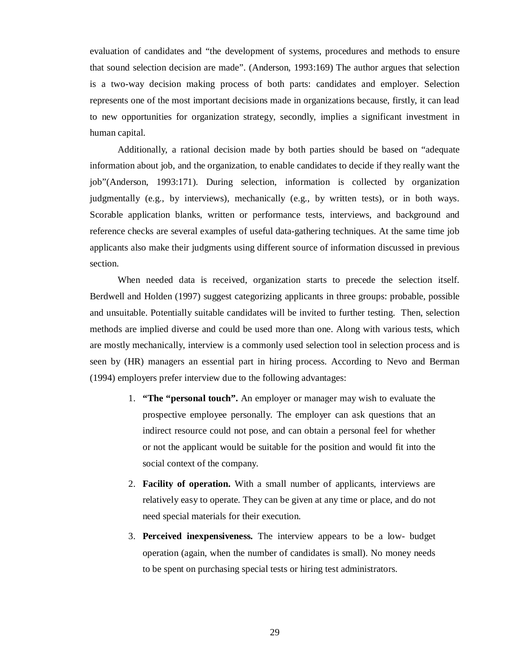evaluation of candidates and "the development of systems, procedures and methods to ensure that sound selection decision are made". (Anderson, 1993:169) The author argues that selection is a two-way decision making process of both parts: candidates and employer. Selection represents one of the most important decisions made in organizations because, firstly, it can lead to new opportunities for organization strategy, secondly, implies a significant investment in human capital.

Additionally, a rational decision made by both parties should be based on "adequate information about job, and the organization, to enable candidates to decide if they really want the job"(Anderson, 1993:171). During selection, information is collected by organization judgmentally (e.g., by interviews), mechanically (e.g., by written tests), or in both ways. Scorable application blanks, written or performance tests, interviews, and background and reference checks are several examples of useful data-gathering techniques. At the same time job applicants also make their judgments using different source of information discussed in previous section.

When needed data is received, organization starts to precede the selection itself. Berdwell and Holden (1997) suggest categorizing applicants in three groups: probable, possible and unsuitable. Potentially suitable candidates will be invited to further testing. Then, selection methods are implied diverse and could be used more than one. Along with various tests, which are mostly mechanically, interview is a commonly used selection tool in selection process and is seen by (HR) managers an essential part in hiring process. According to Nevo and Berman (1994) employers prefer interview due to the following advantages:

- 1. **"The "personal touch".** An employer or manager may wish to evaluate the prospective employee personally. The employer can ask questions that an indirect resource could not pose, and can obtain a personal feel for whether or not the applicant would be suitable for the position and would fit into the social context of the company.
- 2. **Facility of operation.** With a small number of applicants, interviews are relatively easy to operate. They can be given at any time or place, and do not need special materials for their execution.
- 3. **Perceived inexpensiveness.** The interview appears to be a low- budget operation (again, when the number of candidates is small). No money needs to be spent on purchasing special tests or hiring test administrators.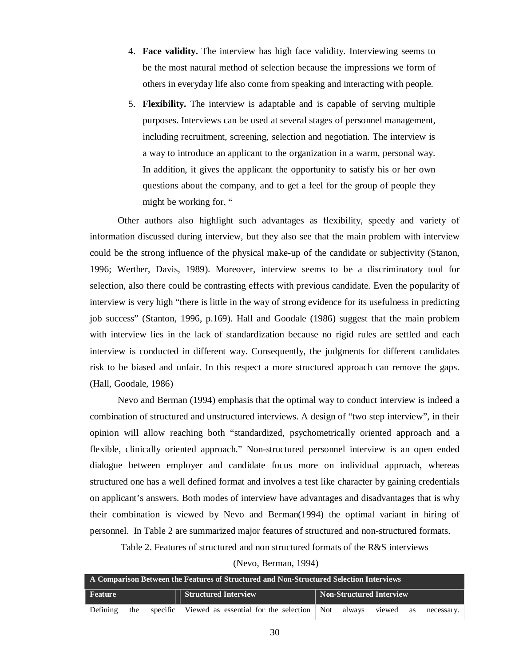- 4. **Face validity.** The interview has high face validity. Interviewing seems to be the most natural method of selection because the impressions we form of others in everyday life also come from speaking and interacting with people.
- 5. **Flexibility.** The interview is adaptable and is capable of serving multiple purposes. Interviews can be used at several stages of personnel management, including recruitment, screening, selection and negotiation. The interview is a way to introduce an applicant to the organization in a warm, personal way. In addition, it gives the applicant the opportunity to satisfy his or her own questions about the company, and to get a feel for the group of people they might be working for. "

Other authors also highlight such advantages as flexibility, speedy and variety of information discussed during interview, but they also see that the main problem with interview could be the strong influence of the physical make-up of the candidate or subjectivity (Stanon, 1996; Werther, Davis, 1989). Moreover, interview seems to be a discriminatory tool for selection, also there could be contrasting effects with previous candidate. Even the popularity of interview is very high "there is little in the way of strong evidence for its usefulness in predicting job success" (Stanton, 1996, p.169). Hall and Goodale (1986) suggest that the main problem with interview lies in the lack of standardization because no rigid rules are settled and each interview is conducted in different way. Consequently, the judgments for different candidates risk to be biased and unfair. In this respect a more structured approach can remove the gaps. (Hall, Goodale, 1986)

Nevo and Berman (1994) emphasis that the optimal way to conduct interview is indeed a combination of structured and unstructured interviews. A design of "two step interview", in their opinion will allow reaching both "standardized, psychometrically oriented approach and a flexible, clinically oriented approach." Non-structured personnel interview is an open ended dialogue between employer and candidate focus more on individual approach, whereas structured one has a well defined format and involves a test like character by gaining credentials on applicant's answers. Both modes of interview have advantages and disadvantages that is why their combination is viewed by Nevo and Berman(1994) the optimal variant in hiring of personnel. In Table 2 are summarized major features of structured and non-structured formats.

Table 2. Features of structured and non structured formats of the R&S interviews

(Nevo, Berman, 1994)

| $\parallel$ A Comparison Between the Features of Structured and Non-Structured Selection Interviews |     |  |                                                                          |                                 |  |  |    |            |
|-----------------------------------------------------------------------------------------------------|-----|--|--------------------------------------------------------------------------|---------------------------------|--|--|----|------------|
| Feature                                                                                             |     |  | <b>Structured Interview</b>                                              | <b>Non-Structured Interview</b> |  |  |    |            |
| Defining                                                                                            | the |  | specific Viewed as essential for the selection $\vert$ Not always viewed |                                 |  |  | as | necessary. |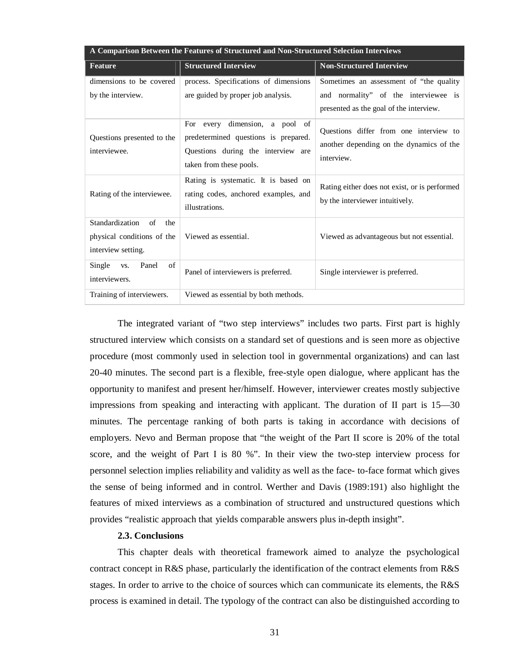| A Comparison Between the Features of Structured and Non-Structured Selection Interviews |                                                                                                                                            |                                                                                                  |  |  |  |
|-----------------------------------------------------------------------------------------|--------------------------------------------------------------------------------------------------------------------------------------------|--------------------------------------------------------------------------------------------------|--|--|--|
| Feature                                                                                 | <b>Structured Interview</b>                                                                                                                | <b>Non-Structured Interview</b>                                                                  |  |  |  |
| dimensions to be covered                                                                | process. Specifications of dimensions                                                                                                      | Sometimes an assessment of "the quality"                                                         |  |  |  |
| by the interview.                                                                       | are guided by proper job analysis.                                                                                                         | and normality" of the interviewee is<br>presented as the goal of the interview.                  |  |  |  |
| Questions presented to the<br>interviewee.                                              | dimension, a pool of<br>For every<br>predetermined questions is prepared.<br>Questions during the interview are<br>taken from these pools. | Questions differ from one interview to<br>another depending on the dynamics of the<br>interview. |  |  |  |
| Rating of the interviewee.                                                              | Rating is systematic. It is based on<br>rating codes, anchored examples, and<br>illustrations.                                             | Rating either does not exist, or is performed<br>by the interviewer intuitively.                 |  |  |  |
| Standardization<br>of<br>the<br>physical conditions of the<br>interview setting.        | Viewed as essential.                                                                                                                       | Viewed as advantageous but not essential.                                                        |  |  |  |
| Single<br>Panel<br>of<br>VS.<br>interviewers.                                           | Panel of interviewers is preferred.                                                                                                        | Single interviewer is preferred.                                                                 |  |  |  |
| Training of interviewers.                                                               | Viewed as essential by both methods.                                                                                                       |                                                                                                  |  |  |  |

The integrated variant of "two step interviews" includes two parts. First part is highly structured interview which consists on a standard set of questions and is seen more as objective procedure (most commonly used in selection tool in governmental organizations) and can last 20-40 minutes. The second part is a flexible, free-style open dialogue, where applicant has the opportunity to manifest and present her/himself. However, interviewer creates mostly subjective impressions from speaking and interacting with applicant. The duration of II part is 15—30 minutes. The percentage ranking of both parts is taking in accordance with decisions of employers. Nevo and Berman propose that "the weight of the Part II score is 20% of the total score, and the weight of Part I is 80 %". In their view the two-step interview process for personnel selection implies reliability and validity as well as the face- to-face format which gives the sense of being informed and in control. Werther and Davis (1989:191) also highlight the features of mixed interviews as a combination of structured and unstructured questions which provides "realistic approach that yields comparable answers plus in-depth insight".

## **2.3. Conclusions**

This chapter deals with theoretical framework aimed to analyze the psychological contract concept in R&S phase, particularly the identification of the contract elements from R&S stages. In order to arrive to the choice of sources which can communicate its elements, the R&S process is examined in detail. The typology of the contract can also be distinguished according to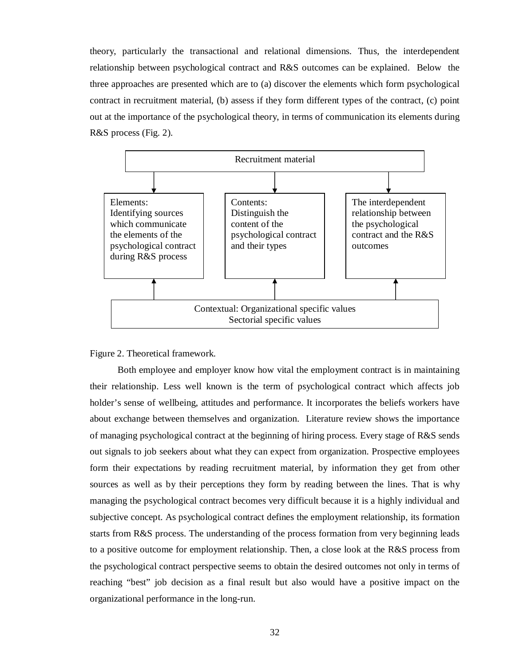theory, particularly the transactional and relational dimensions. Thus, the interdependent relationship between psychological contract and R&S outcomes can be explained. Below the three approaches are presented which are to (a) discover the elements which form psychological contract in recruitment material, (b) assess if they form different types of the contract, (c) point out at the importance of the psychological theory, in terms of communication its elements during R&S process (Fig. 2).



### Figure 2. Theoretical framework.

Both employee and employer know how vital the employment contract is in maintaining their relationship. Less well known is the term of psychological contract which affects job holder's sense of wellbeing, attitudes and performance. It incorporates the beliefs workers have about exchange between themselves and organization. Literature review shows the importance of managing psychological contract at the beginning of hiring process. Every stage of R&S sends out signals to job seekers about what they can expect from organization. Prospective employees form their expectations by reading recruitment material, by information they get from other sources as well as by their perceptions they form by reading between the lines. That is why managing the psychological contract becomes very difficult because it is a highly individual and subjective concept. As psychological contract defines the employment relationship, its formation starts from R&S process. The understanding of the process formation from very beginning leads to a positive outcome for employment relationship. Then, a close look at the R&S process from the psychological contract perspective seems to obtain the desired outcomes not only in terms of reaching "best" job decision as a final result but also would have a positive impact on the organizational performance in the long-run.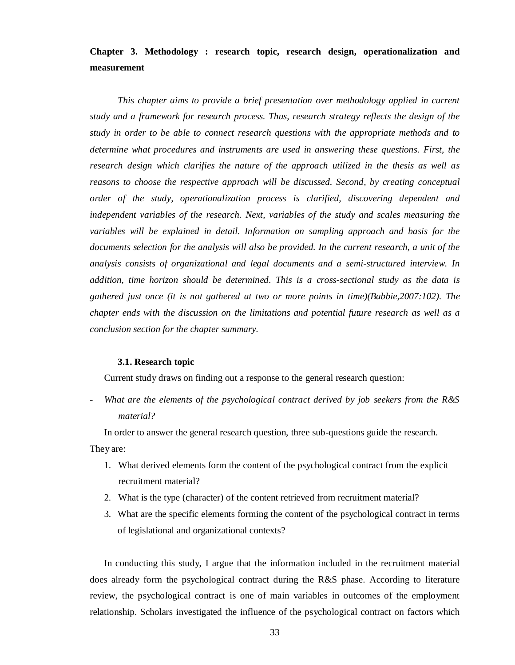**Chapter 3. Methodology : research topic, research design, operationalization and measurement** 

*This chapter aims to provide a brief presentation over methodology applied in current study and a framework for research process. Thus, research strategy reflects the design of the study in order to be able to connect research questions with the appropriate methods and to determine what procedures and instruments are used in answering these questions. First, the research design which clarifies the nature of the approach utilized in the thesis as well as reasons to choose the respective approach will be discussed. Second, by creating conceptual order of the study, operationalization process is clarified, discovering dependent and independent variables of the research. Next, variables of the study and scales measuring the variables will be explained in detail. Information on sampling approach and basis for the documents selection for the analysis will also be provided. In the current research, a unit of the analysis consists of organizational and legal documents and a semi-structured interview. In addition, time horizon should be determined. This is a cross-sectional study as the data is gathered just once (it is not gathered at two or more points in time)(Babbie,2007:102). The chapter ends with the discussion on the limitations and potential future research as well as a conclusion section for the chapter summary.* 

#### **3.1. Research topic**

Current study draws on finding out a response to the general research question:

- *What are the elements of the psychological contract derived by job seekers from the R&S material?* 

In order to answer the general research question, three sub-questions guide the research.

They are:

- 1. What derived elements form the content of the psychological contract from the explicit recruitment material?
- 2. What is the type (character) of the content retrieved from recruitment material?
- 3. What are the specific elements forming the content of the psychological contract in terms of legislational and organizational contexts?

In conducting this study, I argue that the information included in the recruitment material does already form the psychological contract during the R&S phase. According to literature review, the psychological contract is one of main variables in outcomes of the employment relationship. Scholars investigated the influence of the psychological contract on factors which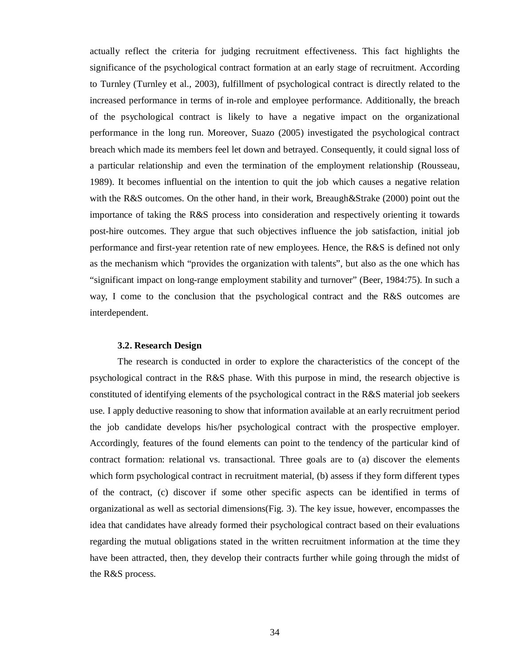actually reflect the criteria for judging recruitment effectiveness. This fact highlights the significance of the psychological contract formation at an early stage of recruitment. According to Turnley (Turnley et al., 2003), fulfillment of psychological contract is directly related to the increased performance in terms of in-role and employee performance. Additionally, the breach of the psychological contract is likely to have a negative impact on the organizational performance in the long run. Moreover, Suazo (2005) investigated the psychological contract breach which made its members feel let down and betrayed. Consequently, it could signal loss of a particular relationship and even the termination of the employment relationship (Rousseau, 1989). It becomes influential on the intention to quit the job which causes a negative relation with the R&S outcomes. On the other hand, in their work, Breaugh&Strake (2000) point out the importance of taking the R&S process into consideration and respectively orienting it towards post-hire outcomes. They argue that such objectives influence the job satisfaction, initial job performance and first-year retention rate of new employees. Hence, the R&S is defined not only as the mechanism which "provides the organization with talents", but also as the one which has "significant impact on long-range employment stability and turnover" (Beer, 1984:75). In such a way, I come to the conclusion that the psychological contract and the R&S outcomes are interdependent.

## **3.2. Research Design**

The research is conducted in order to explore the characteristics of the concept of the psychological contract in the R&S phase. With this purpose in mind, the research objective is constituted of identifying elements of the psychological contract in the R&S material job seekers use. I apply deductive reasoning to show that information available at an early recruitment period the job candidate develops his/her psychological contract with the prospective employer. Accordingly, features of the found elements can point to the tendency of the particular kind of contract formation: relational vs. transactional. Three goals are to (a) discover the elements which form psychological contract in recruitment material, (b) assess if they form different types of the contract, (c) discover if some other specific aspects can be identified in terms of organizational as well as sectorial dimensions(Fig. 3). The key issue, however, encompasses the idea that candidates have already formed their psychological contract based on their evaluations regarding the mutual obligations stated in the written recruitment information at the time they have been attracted, then, they develop their contracts further while going through the midst of the R&S process.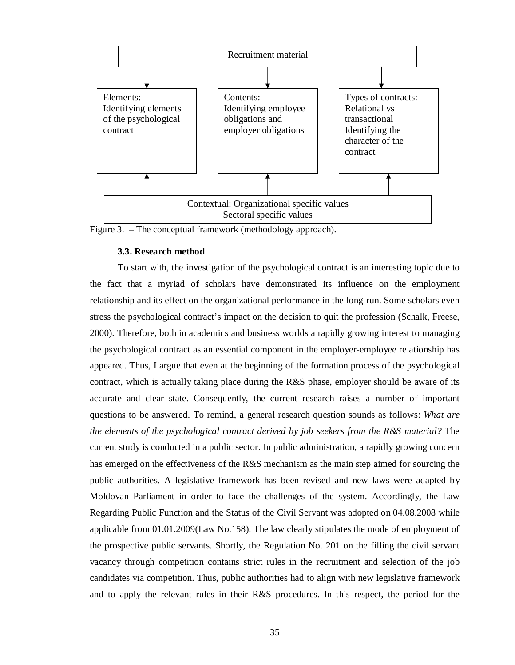

Figure 3. – The conceptual framework (methodology approach).

#### **3.3. Research method**

To start with, the investigation of the psychological contract is an interesting topic due to the fact that a myriad of scholars have demonstrated its influence on the employment relationship and its effect on the organizational performance in the long-run. Some scholars even stress the psychological contract's impact on the decision to quit the profession (Schalk, Freese, 2000). Therefore, both in academics and business worlds a rapidly growing interest to managing the psychological contract as an essential component in the employer-employee relationship has appeared. Thus, I argue that even at the beginning of the formation process of the psychological contract, which is actually taking place during the R&S phase, employer should be aware of its accurate and clear state. Consequently, the current research raises a number of important questions to be answered. To remind, a general research question sounds as follows: *What are the elements of the psychological contract derived by job seekers from the R&S material?* The current study is conducted in a public sector. In public administration, a rapidly growing concern has emerged on the effectiveness of the R&S mechanism as the main step aimed for sourcing the public authorities. A legislative framework has been revised and new laws were adapted by Moldovan Parliament in order to face the challenges of the system. Accordingly, the Law Regarding Public Function and the Status of the Civil Servant was adopted on 04.08.2008 while applicable from 01.01.2009(Law No.158). The law clearly stipulates the mode of employment of the prospective public servants. Shortly, the Regulation No. 201 on the filling the civil servant vacancy through competition contains strict rules in the recruitment and selection of the job candidates via competition. Thus, public authorities had to align with new legislative framework and to apply the relevant rules in their R&S procedures. In this respect, the period for the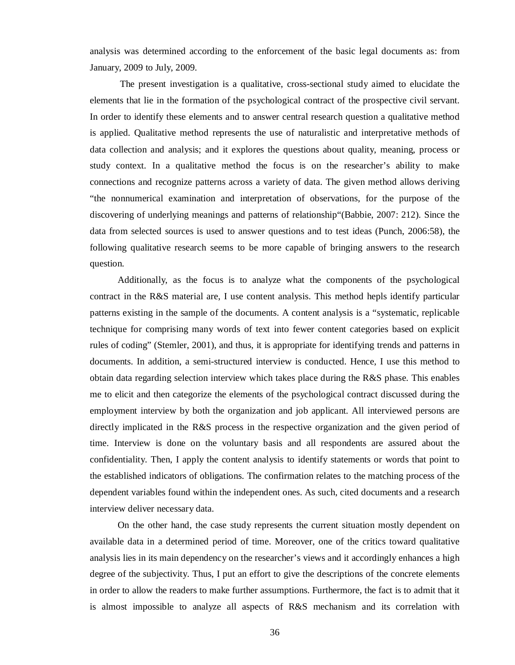analysis was determined according to the enforcement of the basic legal documents as: from January, 2009 to July, 2009.

 The present investigation is a qualitative, cross-sectional study aimed to elucidate the elements that lie in the formation of the psychological contract of the prospective civil servant. In order to identify these elements and to answer central research question a qualitative method is applied. Qualitative method represents the use of naturalistic and interpretative methods of data collection and analysis; and it explores the questions about quality, meaning, process or study context. In a qualitative method the focus is on the researcher's ability to make connections and recognize patterns across a variety of data. The given method allows deriving "the nonnumerical examination and interpretation of observations, for the purpose of the discovering of underlying meanings and patterns of relationship"(Babbie, 2007: 212). Since the data from selected sources is used to answer questions and to test ideas (Punch, 2006:58), the following qualitative research seems to be more capable of bringing answers to the research question.

Additionally, as the focus is to analyze what the components of the psychological contract in the R&S material are, I use content analysis. This method hepls identify particular patterns existing in the sample of the documents. A content analysis is a "systematic, replicable technique for comprising many words of text into fewer content categories based on explicit rules of coding" (Stemler, 2001), and thus, it is appropriate for identifying trends and patterns in documents. In addition, a semi-structured interview is conducted. Hence, I use this method to obtain data regarding selection interview which takes place during the R&S phase. This enables me to elicit and then categorize the elements of the psychological contract discussed during the employment interview by both the organization and job applicant. All interviewed persons are directly implicated in the R&S process in the respective organization and the given period of time. Interview is done on the voluntary basis and all respondents are assured about the confidentiality. Then, I apply the content analysis to identify statements or words that point to the established indicators of obligations. The confirmation relates to the matching process of the dependent variables found within the independent ones. As such, cited documents and a research interview deliver necessary data.

On the other hand, the case study represents the current situation mostly dependent on available data in a determined period of time. Moreover, one of the critics toward qualitative analysis lies in its main dependency on the researcher's views and it accordingly enhances a high degree of the subjectivity. Thus, I put an effort to give the descriptions of the concrete elements in order to allow the readers to make further assumptions. Furthermore, the fact is to admit that it is almost impossible to analyze all aspects of R&S mechanism and its correlation with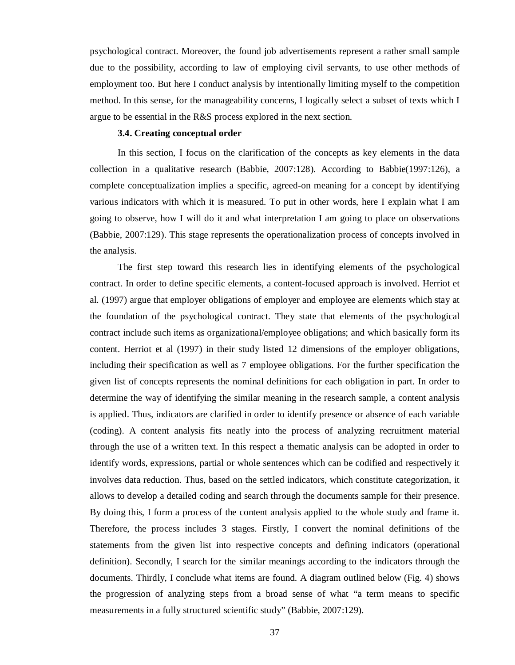psychological contract. Moreover, the found job advertisements represent a rather small sample due to the possibility, according to law of employing civil servants, to use other methods of employment too. But here I conduct analysis by intentionally limiting myself to the competition method. In this sense, for the manageability concerns, I logically select a subset of texts which I argue to be essential in the R&S process explored in the next section.

#### **3.4. Creating conceptual order**

In this section, I focus on the clarification of the concepts as key elements in the data collection in a qualitative research (Babbie, 2007:128). According to Babbie(1997:126), a complete conceptualization implies a specific, agreed-on meaning for a concept by identifying various indicators with which it is measured. To put in other words, here I explain what I am going to observe, how I will do it and what interpretation I am going to place on observations (Babbie, 2007:129). This stage represents the operationalization process of concepts involved in the analysis.

The first step toward this research lies in identifying elements of the psychological contract. In order to define specific elements, a content-focused approach is involved. Herriot et al. (1997) argue that employer obligations of employer and employee are elements which stay at the foundation of the psychological contract. They state that elements of the psychological contract include such items as organizational/employee obligations; and which basically form its content. Herriot et al (1997) in their study listed 12 dimensions of the employer obligations, including their specification as well as 7 employee obligations. For the further specification the given list of concepts represents the nominal definitions for each obligation in part. In order to determine the way of identifying the similar meaning in the research sample, a content analysis is applied. Thus, indicators are clarified in order to identify presence or absence of each variable (coding). A content analysis fits neatly into the process of analyzing recruitment material through the use of a written text. In this respect a thematic analysis can be adopted in order to identify words, expressions, partial or whole sentences which can be codified and respectively it involves data reduction. Thus, based on the settled indicators, which constitute categorization, it allows to develop a detailed coding and search through the documents sample for their presence. By doing this, I form a process of the content analysis applied to the whole study and frame it. Therefore, the process includes 3 stages. Firstly, I convert the nominal definitions of the statements from the given list into respective concepts and defining indicators (operational definition). Secondly, I search for the similar meanings according to the indicators through the documents. Thirdly, I conclude what items are found. A diagram outlined below (Fig. 4) shows the progression of analyzing steps from a broad sense of what "a term means to specific measurements in a fully structured scientific study" (Babbie, 2007:129).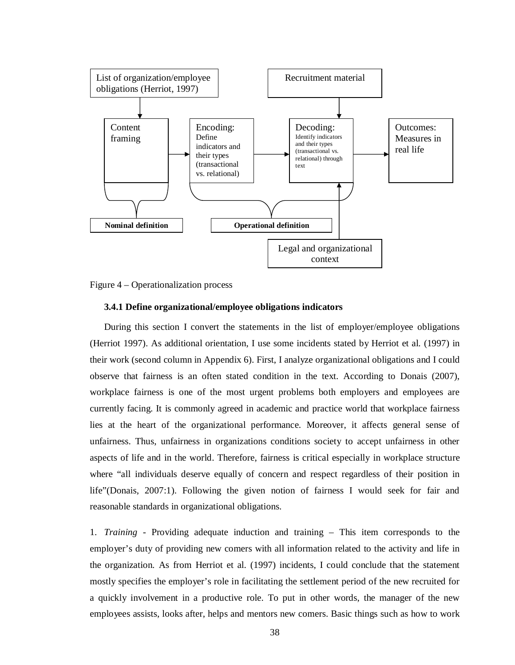



#### **3.4.1 Define organizational/employee obligations indicators**

During this section I convert the statements in the list of employer/employee obligations (Herriot 1997). As additional orientation, I use some incidents stated by Herriot et al. (1997) in their work (second column in Appendix 6). First, I analyze organizational obligations and I could observe that fairness is an often stated condition in the text. According to Donais (2007), workplace fairness is one of the most urgent problems both employers and employees are currently facing. It is commonly agreed in academic and practice world that workplace fairness lies at the heart of the organizational performance. Moreover, it affects general sense of unfairness. Thus, unfairness in organizations conditions society to accept unfairness in other aspects of life and in the world. Therefore, fairness is critical especially in workplace structure where "all individuals deserve equally of concern and respect regardless of their position in life"(Donais, 2007:1). Following the given notion of fairness I would seek for fair and reasonable standards in organizational obligations.

1. *Training* - Providing adequate induction and training – This item corresponds to the employer's duty of providing new comers with all information related to the activity and life in the organization. As from Herriot et al. (1997) incidents, I could conclude that the statement mostly specifies the employer's role in facilitating the settlement period of the new recruited for a quickly involvement in a productive role. To put in other words, the manager of the new employees assists, looks after, helps and mentors new comers. Basic things such as how to work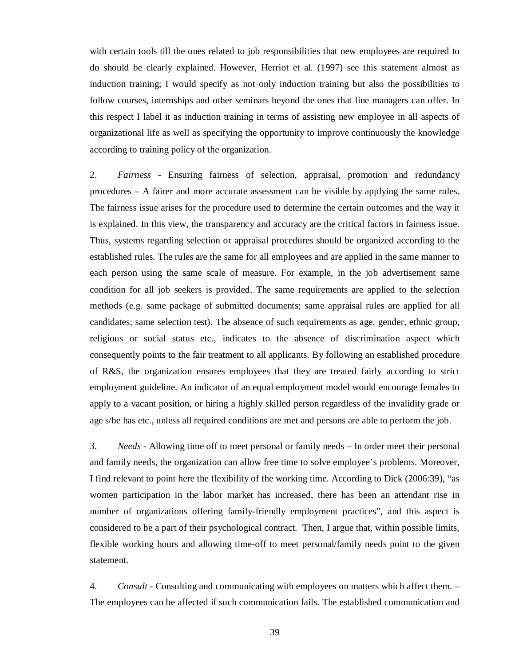with certain tools till the ones related to job responsibilities that new employees are required to do should be clearly explained. However, Herriot et al. (1997) see this statement almost as induction training; I would specify as not only induction training but also the possibilities to follow courses, internships and other seminars beyond the ones that line managers can offer. In this respect I label it as induction training in terms of assisting new employee in all aspects of organizational life as well as specifying the opportunity to improve continuously the knowledge according to training policy of the organization.

2. *Fairness* - Ensuring fairness of selection, appraisal, promotion and redundancy procedures – A fairer and more accurate assessment can be visible by applying the same rules. The fairness issue arises for the procedure used to determine the certain outcomes and the way it is explained. In this view, the transparency and accuracy are the critical factors in fairness issue. Thus, systems regarding selection or appraisal procedures should be organized according to the established rules. The rules are the same for all employees and are applied in the same manner to each person using the same scale of measure. For example, in the job advertisement same condition for all job seekers is provided. The same requirements are applied to the selection methods (e.g. same package of submitted documents; same appraisal rules are applied for all candidates; same selection test). The absence of such requirements as age, gender, ethnic group, religious or social status etc., indicates to the absence of discrimination aspect which consequently points to the fair treatment to all applicants. By following an established procedure of R&S, the organization ensures employees that they are treated fairly according to strict employment guideline. An indicator of an equal employment model would encourage females to apply to a vacant position, or hiring a highly skilled person regardless of the invalidity grade or age s/he has etc., unless all required conditions are met and persons are able to perform the job.

3. *Needs* - Allowing time off to meet personal or family needs – In order meet their personal and family needs, the organization can allow free time to solve employee's problems. Moreover, I find relevant to point here the flexibility of the working time. According to Dick (2006:39), "as women participation in the labor market has increased, there has been an attendant rise in number of organizations offering family-friendly employment practices", and this aspect is considered to be a part of their psychological contract. Then, I argue that, within possible limits, flexible working hours and allowing time-off to meet personal/family needs point to the given statement.

4. *Consult* - Consulting and communicating with employees on matters which affect them. – The employees can be affected if such communication fails. The established communication and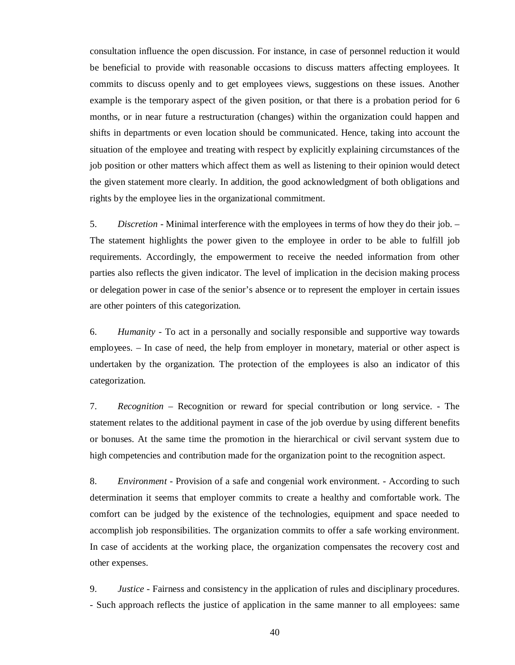consultation influence the open discussion. For instance, in case of personnel reduction it would be beneficial to provide with reasonable occasions to discuss matters affecting employees. It commits to discuss openly and to get employees views, suggestions on these issues. Another example is the temporary aspect of the given position, or that there is a probation period for 6 months, or in near future a restructuration (changes) within the organization could happen and shifts in departments or even location should be communicated. Hence, taking into account the situation of the employee and treating with respect by explicitly explaining circumstances of the job position or other matters which affect them as well as listening to their opinion would detect the given statement more clearly. In addition, the good acknowledgment of both obligations and rights by the employee lies in the organizational commitment.

5. *Discretion* - Minimal interference with the employees in terms of how they do their job. – The statement highlights the power given to the employee in order to be able to fulfill job requirements. Accordingly, the empowerment to receive the needed information from other parties also reflects the given indicator. The level of implication in the decision making process or delegation power in case of the senior's absence or to represent the employer in certain issues are other pointers of this categorization.

6. *Humanity* - To act in a personally and socially responsible and supportive way towards employees. – In case of need, the help from employer in monetary, material or other aspect is undertaken by the organization. The protection of the employees is also an indicator of this categorization.

7. *Recognition* – Recognition or reward for special contribution or long service. - The statement relates to the additional payment in case of the job overdue by using different benefits or bonuses. At the same time the promotion in the hierarchical or civil servant system due to high competencies and contribution made for the organization point to the recognition aspect.

8. *Environment* - Provision of a safe and congenial work environment. - According to such determination it seems that employer commits to create a healthy and comfortable work. The comfort can be judged by the existence of the technologies, equipment and space needed to accomplish job responsibilities. The organization commits to offer a safe working environment. In case of accidents at the working place, the organization compensates the recovery cost and other expenses.

9. *Justice* - Fairness and consistency in the application of rules and disciplinary procedures. - Such approach reflects the justice of application in the same manner to all employees: same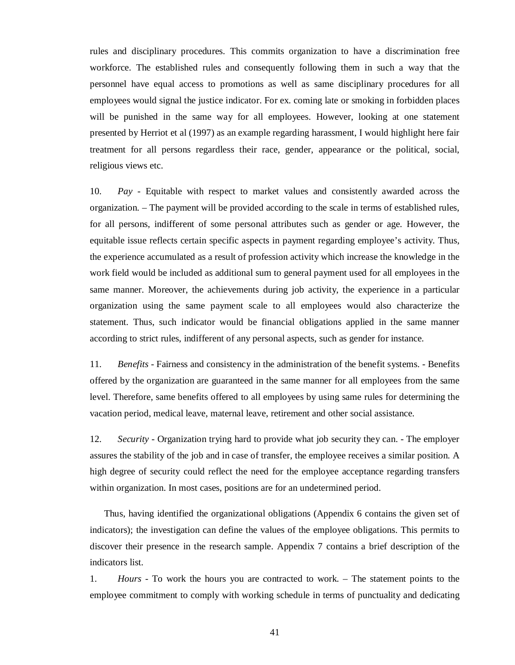rules and disciplinary procedures. This commits organization to have a discrimination free workforce. The established rules and consequently following them in such a way that the personnel have equal access to promotions as well as same disciplinary procedures for all employees would signal the justice indicator. For ex. coming late or smoking in forbidden places will be punished in the same way for all employees. However, looking at one statement presented by Herriot et al (1997) as an example regarding harassment, I would highlight here fair treatment for all persons regardless their race, gender, appearance or the political, social, religious views etc.

10. *Pay* - Equitable with respect to market values and consistently awarded across the organization. – The payment will be provided according to the scale in terms of established rules, for all persons, indifferent of some personal attributes such as gender or age. However, the equitable issue reflects certain specific aspects in payment regarding employee's activity. Thus, the experience accumulated as a result of profession activity which increase the knowledge in the work field would be included as additional sum to general payment used for all employees in the same manner. Moreover, the achievements during job activity, the experience in a particular organization using the same payment scale to all employees would also characterize the statement. Thus, such indicator would be financial obligations applied in the same manner according to strict rules, indifferent of any personal aspects, such as gender for instance.

11. *Benefits* - Fairness and consistency in the administration of the benefit systems. - Benefits offered by the organization are guaranteed in the same manner for all employees from the same level. Therefore, same benefits offered to all employees by using same rules for determining the vacation period, medical leave, maternal leave, retirement and other social assistance.

12. *Security* - Organization trying hard to provide what job security they can. - The employer assures the stability of the job and in case of transfer, the employee receives a similar position. A high degree of security could reflect the need for the employee acceptance regarding transfers within organization. In most cases, positions are for an undetermined period.

Thus, having identified the organizational obligations (Appendix 6 contains the given set of indicators); the investigation can define the values of the employee obligations. This permits to discover their presence in the research sample. Appendix 7 contains a brief description of the indicators list.

1. *Hours -* To work the hours you are contracted to work. – The statement points to the employee commitment to comply with working schedule in terms of punctuality and dedicating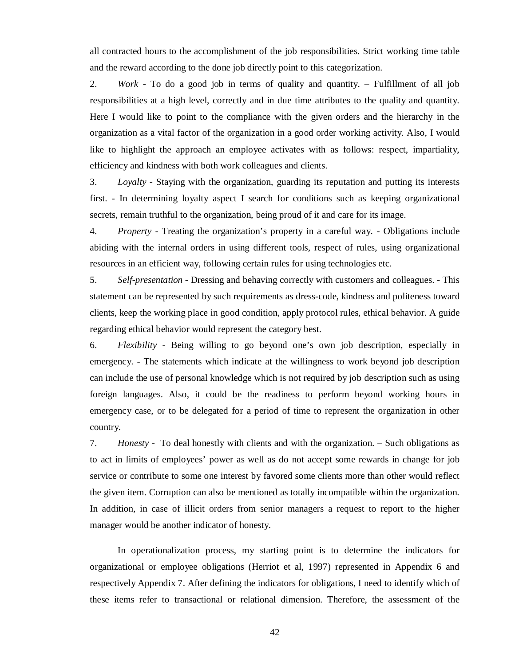all contracted hours to the accomplishment of the job responsibilities. Strict working time table and the reward according to the done job directly point to this categorization.

2. *Work -* To do a good job in terms of quality and quantity. – Fulfillment of all job responsibilities at a high level, correctly and in due time attributes to the quality and quantity. Here I would like to point to the compliance with the given orders and the hierarchy in the organization as a vital factor of the organization in a good order working activity. Also, I would like to highlight the approach an employee activates with as follows: respect, impartiality, efficiency and kindness with both work colleagues and clients.

3. *Loyalty -* Staying with the organization, guarding its reputation and putting its interests first. - In determining loyalty aspect I search for conditions such as keeping organizational secrets, remain truthful to the organization, being proud of it and care for its image.

4. *Property -* Treating the organization's property in a careful way. - Obligations include abiding with the internal orders in using different tools, respect of rules, using organizational resources in an efficient way, following certain rules for using technologies etc.

5. *Self-presentation -* Dressing and behaving correctly with customers and colleagues. - This statement can be represented by such requirements as dress-code, kindness and politeness toward clients, keep the working place in good condition, apply protocol rules, ethical behavior. A guide regarding ethical behavior would represent the category best.

6. *Flexibility -* Being willing to go beyond one's own job description, especially in emergency. - The statements which indicate at the willingness to work beyond job description can include the use of personal knowledge which is not required by job description such as using foreign languages. Also, it could be the readiness to perform beyond working hours in emergency case, or to be delegated for a period of time to represent the organization in other country.

7. *Honesty -* To deal honestly with clients and with the organization. – Such obligations as to act in limits of employees' power as well as do not accept some rewards in change for job service or contribute to some one interest by favored some clients more than other would reflect the given item. Corruption can also be mentioned as totally incompatible within the organization. In addition, in case of illicit orders from senior managers a request to report to the higher manager would be another indicator of honesty.

In operationalization process, my starting point is to determine the indicators for organizational or employee obligations (Herriot et al, 1997) represented in Appendix 6 and respectively Appendix 7. After defining the indicators for obligations, I need to identify which of these items refer to transactional or relational dimension. Therefore, the assessment of the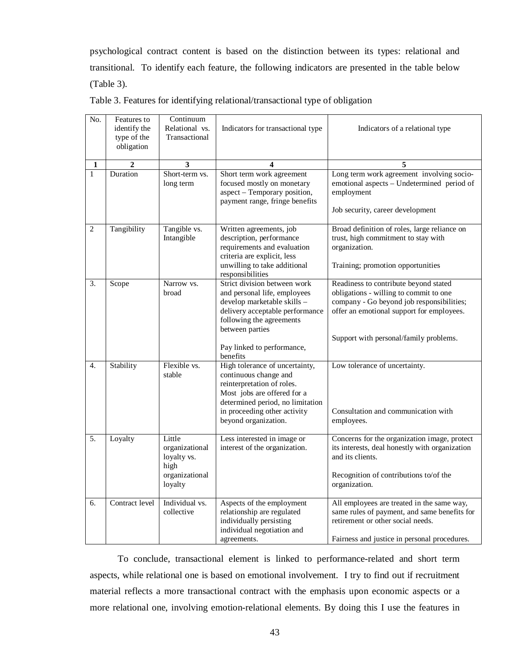psychological contract content is based on the distinction between its types: relational and transitional. To identify each feature, the following indicators are presented in the table below (Table 3).

| No.            | Features to<br>identify the<br>type of the<br>obligation | Continuum<br>Relational vs.<br>Transactional                                 | Indicators for transactional type                                                                                                                                                                                            | Indicators of a relational type                                                                                                                                                                                     |
|----------------|----------------------------------------------------------|------------------------------------------------------------------------------|------------------------------------------------------------------------------------------------------------------------------------------------------------------------------------------------------------------------------|---------------------------------------------------------------------------------------------------------------------------------------------------------------------------------------------------------------------|
| 1              | $\overline{2}$                                           | 3                                                                            | 4                                                                                                                                                                                                                            | 5                                                                                                                                                                                                                   |
| $\mathbf{1}$   | Duration                                                 | Short-term vs.<br>long term                                                  | Short term work agreement<br>focused mostly on monetary<br>aspect – Temporary position,<br>payment range, fringe benefits                                                                                                    | Long term work agreement involving socio-<br>emotional aspects - Undetermined period of<br>employment<br>Job security, career development                                                                           |
| $\overline{2}$ | Tangibility                                              | Tangible vs.<br>Intangible                                                   | Written agreements, job<br>description, performance<br>requirements and evaluation<br>criteria are explicit, less<br>unwilling to take additional<br>responsibilities                                                        | Broad definition of roles, large reliance on<br>trust, high commitment to stay with<br>organization.<br>Training; promotion opportunities                                                                           |
| 3.             | Scope                                                    | Narrow vs.<br>broad                                                          | Strict division between work<br>and personal life, employees<br>develop marketable skills -<br>delivery acceptable performance<br>following the agreements<br>between parties<br>Pay linked to performance,                  | Readiness to contribute beyond stated<br>obligations - willing to commit to one<br>company - Go beyond job responsibilities;<br>offer an emotional support for employees.<br>Support with personal/family problems. |
| 4.             | Stability                                                | Flexible vs.<br>stable                                                       | benefits<br>High tolerance of uncertainty,<br>continuous change and<br>reinterpretation of roles.<br>Most jobs are offered for a<br>determined period, no limitation<br>in proceeding other activity<br>beyond organization. | Low tolerance of uncertainty.<br>Consultation and communication with<br>employees.                                                                                                                                  |
| 5.             | Loyalty                                                  | Little<br>organizational<br>loyalty vs.<br>high<br>organizational<br>loyalty | Less interested in image or<br>interest of the organization.                                                                                                                                                                 | Concerns for the organization image, protect<br>its interests, deal honestly with organization<br>and its clients.<br>Recognition of contributions to/of the<br>organization.                                       |
| 6.             | Contract level                                           | Individual vs.<br>collective                                                 | Aspects of the employment<br>relationship are regulated<br>individually persisting<br>individual negotiation and<br>agreements.                                                                                              | All employees are treated in the same way,<br>same rules of payment, and same benefits for<br>retirement or other social needs.<br>Fairness and justice in personal procedures.                                     |

Table 3. Features for identifying relational/transactional type of obligation

To conclude, transactional element is linked to performance-related and short term aspects, while relational one is based on emotional involvement. I try to find out if recruitment material reflects a more transactional contract with the emphasis upon economic aspects or a more relational one, involving emotion-relational elements. By doing this I use the features in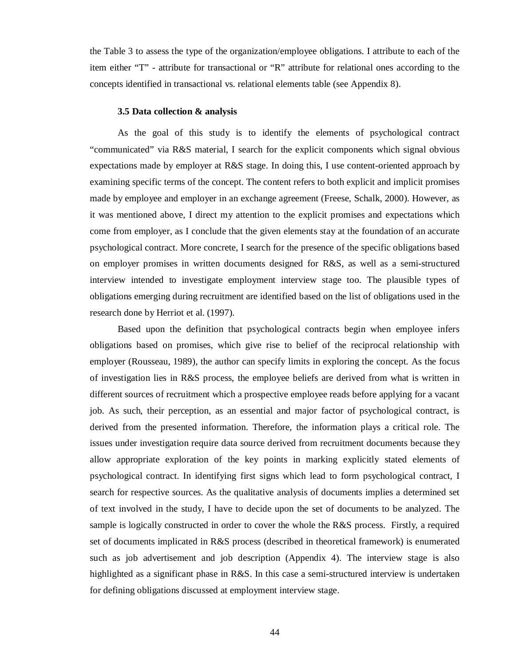the Table 3 to assess the type of the organization/employee obligations. I attribute to each of the item either "T" - attribute for transactional or "R" attribute for relational ones according to the concepts identified in transactional vs. relational elements table (see Appendix 8).

#### **3.5 Data collection & analysis**

As the goal of this study is to identify the elements of psychological contract "communicated" via R&S material, I search for the explicit components which signal obvious expectations made by employer at R&S stage. In doing this, I use content-oriented approach by examining specific terms of the concept. The content refers to both explicit and implicit promises made by employee and employer in an exchange agreement (Freese, Schalk, 2000). However, as it was mentioned above, I direct my attention to the explicit promises and expectations which come from employer, as I conclude that the given elements stay at the foundation of an accurate psychological contract. More concrete, I search for the presence of the specific obligations based on employer promises in written documents designed for R&S, as well as a semi-structured interview intended to investigate employment interview stage too. The plausible types of obligations emerging during recruitment are identified based on the list of obligations used in the research done by Herriot et al. (1997).

Based upon the definition that psychological contracts begin when employee infers obligations based on promises, which give rise to belief of the reciprocal relationship with employer (Rousseau, 1989), the author can specify limits in exploring the concept. As the focus of investigation lies in R&S process, the employee beliefs are derived from what is written in different sources of recruitment which a prospective employee reads before applying for a vacant job. As such, their perception, as an essential and major factor of psychological contract, is derived from the presented information. Therefore, the information plays a critical role. The issues under investigation require data source derived from recruitment documents because they allow appropriate exploration of the key points in marking explicitly stated elements of psychological contract. In identifying first signs which lead to form psychological contract, I search for respective sources. As the qualitative analysis of documents implies a determined set of text involved in the study, I have to decide upon the set of documents to be analyzed. The sample is logically constructed in order to cover the whole the R&S process. Firstly, a required set of documents implicated in R&S process (described in theoretical framework) is enumerated such as job advertisement and job description (Appendix 4). The interview stage is also highlighted as a significant phase in R&S. In this case a semi-structured interview is undertaken for defining obligations discussed at employment interview stage.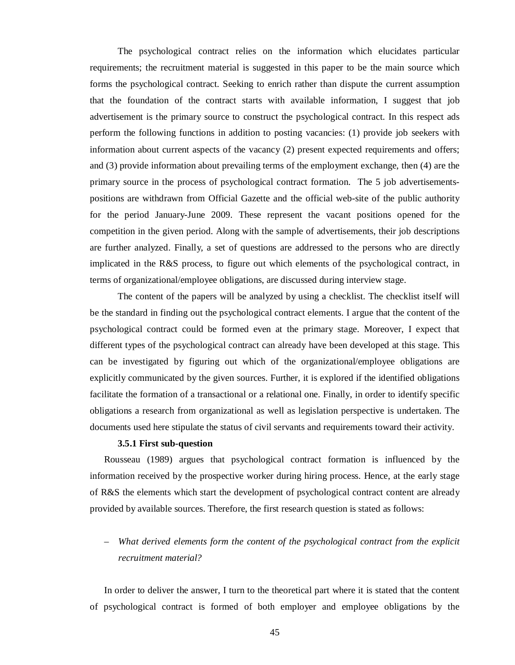The psychological contract relies on the information which elucidates particular requirements; the recruitment material is suggested in this paper to be the main source which forms the psychological contract. Seeking to enrich rather than dispute the current assumption that the foundation of the contract starts with available information, I suggest that job advertisement is the primary source to construct the psychological contract. In this respect ads perform the following functions in addition to posting vacancies: (1) provide job seekers with information about current aspects of the vacancy (2) present expected requirements and offers; and (3) provide information about prevailing terms of the employment exchange, then (4) are the primary source in the process of psychological contract formation. The 5 job advertisementspositions are withdrawn from Official Gazette and the official web-site of the public authority for the period January-June 2009. These represent the vacant positions opened for the competition in the given period. Along with the sample of advertisements, their job descriptions are further analyzed. Finally, a set of questions are addressed to the persons who are directly implicated in the R&S process, to figure out which elements of the psychological contract, in terms of organizational/employee obligations, are discussed during interview stage.

The content of the papers will be analyzed by using a checklist. The checklist itself will be the standard in finding out the psychological contract elements. I argue that the content of the psychological contract could be formed even at the primary stage. Moreover, I expect that different types of the psychological contract can already have been developed at this stage. This can be investigated by figuring out which of the organizational/employee obligations are explicitly communicated by the given sources. Further, it is explored if the identified obligations facilitate the formation of a transactional or a relational one. Finally, in order to identify specific obligations a research from organizational as well as legislation perspective is undertaken. The documents used here stipulate the status of civil servants and requirements toward their activity.

#### **3.5.1 First sub-question**

Rousseau (1989) argues that psychological contract formation is influenced by the information received by the prospective worker during hiring process. Hence, at the early stage of R&S the elements which start the development of psychological contract content are already provided by available sources. Therefore, the first research question is stated as follows:

# – *What derived elements form the content of the psychological contract from the explicit recruitment material?*

In order to deliver the answer, I turn to the theoretical part where it is stated that the content of psychological contract is formed of both employer and employee obligations by the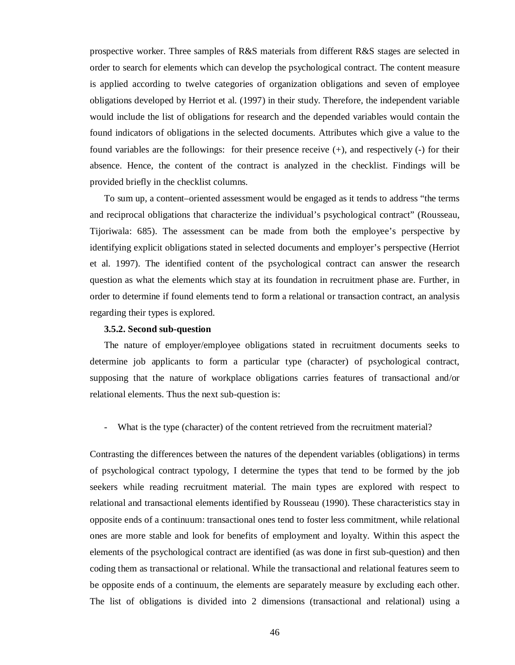prospective worker. Three samples of R&S materials from different R&S stages are selected in order to search for elements which can develop the psychological contract. The content measure is applied according to twelve categories of organization obligations and seven of employee obligations developed by Herriot et al. (1997) in their study. Therefore, the independent variable would include the list of obligations for research and the depended variables would contain the found indicators of obligations in the selected documents. Attributes which give a value to the found variables are the followings: for their presence receive (+), and respectively (-) for their absence. Hence, the content of the contract is analyzed in the checklist. Findings will be provided briefly in the checklist columns.

To sum up, a content–oriented assessment would be engaged as it tends to address "the terms and reciprocal obligations that characterize the individual's psychological contract" (Rousseau, Tijoriwala: 685). The assessment can be made from both the employee's perspective by identifying explicit obligations stated in selected documents and employer's perspective (Herriot et al. 1997). The identified content of the psychological contract can answer the research question as what the elements which stay at its foundation in recruitment phase are. Further, in order to determine if found elements tend to form a relational or transaction contract, an analysis regarding their types is explored.

#### **3.5.2. Second sub-question**

The nature of employer/employee obligations stated in recruitment documents seeks to determine job applicants to form a particular type (character) of psychological contract, supposing that the nature of workplace obligations carries features of transactional and/or relational elements. Thus the next sub-question is:

- What is the type (character) of the content retrieved from the recruitment material?

Contrasting the differences between the natures of the dependent variables (obligations) in terms of psychological contract typology, I determine the types that tend to be formed by the job seekers while reading recruitment material. The main types are explored with respect to relational and transactional elements identified by Rousseau (1990). These characteristics stay in opposite ends of a continuum: transactional ones tend to foster less commitment, while relational ones are more stable and look for benefits of employment and loyalty. Within this aspect the elements of the psychological contract are identified (as was done in first sub-question) and then coding them as transactional or relational. While the transactional and relational features seem to be opposite ends of a continuum, the elements are separately measure by excluding each other. The list of obligations is divided into 2 dimensions (transactional and relational) using a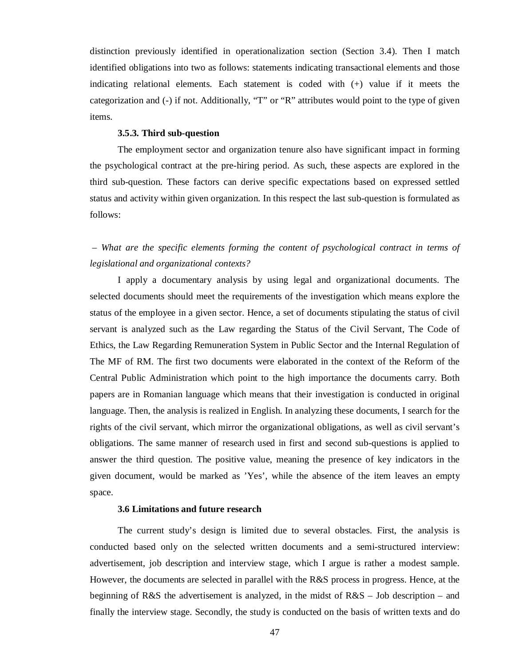distinction previously identified in operationalization section (Section 3.4). Then I match identified obligations into two as follows: statements indicating transactional elements and those indicating relational elements. Each statement is coded with (+) value if it meets the categorization and (-) if not. Additionally, "T" or "R" attributes would point to the type of given items.

## **3.5.3. Third sub-question**

The employment sector and organization tenure also have significant impact in forming the psychological contract at the pre-hiring period. As such, these aspects are explored in the third sub-question. These factors can derive specific expectations based on expressed settled status and activity within given organization. In this respect the last sub-question is formulated as follows:

*– What are the specific elements forming the content of psychological contract in terms of legislational and organizational contexts?* 

I apply a documentary analysis by using legal and organizational documents. The selected documents should meet the requirements of the investigation which means explore the status of the employee in a given sector. Hence, a set of documents stipulating the status of civil servant is analyzed such as the Law regarding the Status of the Civil Servant, The Code of Ethics, the Law Regarding Remuneration System in Public Sector and the Internal Regulation of The MF of RM. The first two documents were elaborated in the context of the Reform of the Central Public Administration which point to the high importance the documents carry. Both papers are in Romanian language which means that their investigation is conducted in original language. Then, the analysis is realized in English. In analyzing these documents, I search for the rights of the civil servant, which mirror the organizational obligations, as well as civil servant's obligations. The same manner of research used in first and second sub-questions is applied to answer the third question. The positive value, meaning the presence of key indicators in the given document, would be marked as 'Yes', while the absence of the item leaves an empty space.

## **3.6 Limitations and future research**

The current study's design is limited due to several obstacles. First, the analysis is conducted based only on the selected written documents and a semi-structured interview: advertisement, job description and interview stage, which I argue is rather a modest sample. However, the documents are selected in parallel with the R&S process in progress. Hence, at the beginning of R&S the advertisement is analyzed, in the midst of  $R&S$  – Job description – and finally the interview stage. Secondly, the study is conducted on the basis of written texts and do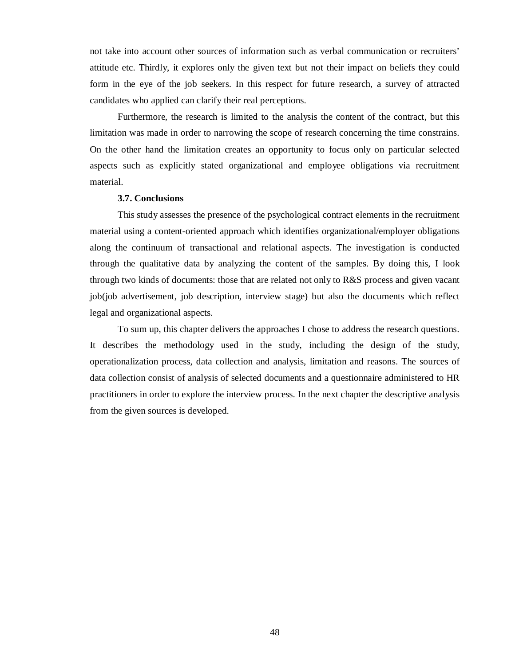not take into account other sources of information such as verbal communication or recruiters' attitude etc. Thirdly, it explores only the given text but not their impact on beliefs they could form in the eye of the job seekers. In this respect for future research, a survey of attracted candidates who applied can clarify their real perceptions.

Furthermore, the research is limited to the analysis the content of the contract, but this limitation was made in order to narrowing the scope of research concerning the time constrains. On the other hand the limitation creates an opportunity to focus only on particular selected aspects such as explicitly stated organizational and employee obligations via recruitment material.

## **3.7. Conclusions**

This study assesses the presence of the psychological contract elements in the recruitment material using a content-oriented approach which identifies organizational/employer obligations along the continuum of transactional and relational aspects. The investigation is conducted through the qualitative data by analyzing the content of the samples. By doing this, I look through two kinds of documents: those that are related not only to R&S process and given vacant job(job advertisement, job description, interview stage) but also the documents which reflect legal and organizational aspects.

To sum up, this chapter delivers the approaches I chose to address the research questions. It describes the methodology used in the study, including the design of the study, operationalization process, data collection and analysis, limitation and reasons. The sources of data collection consist of analysis of selected documents and a questionnaire administered to HR practitioners in order to explore the interview process. In the next chapter the descriptive analysis from the given sources is developed.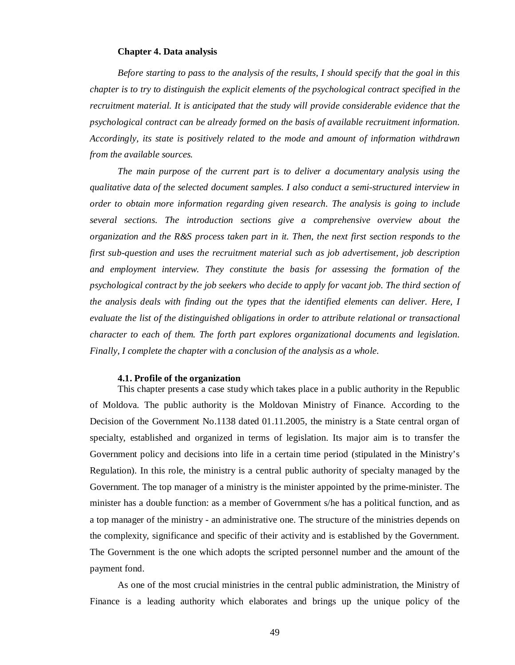#### **Chapter 4. Data analysis**

*Before starting to pass to the analysis of the results, I should specify that the goal in this chapter is to try to distinguish the explicit elements of the psychological contract specified in the recruitment material. It is anticipated that the study will provide considerable evidence that the psychological contract can be already formed on the basis of available recruitment information. Accordingly, its state is positively related to the mode and amount of information withdrawn from the available sources.* 

*The main purpose of the current part is to deliver a documentary analysis using the qualitative data of the selected document samples. I also conduct a semi-structured interview in order to obtain more information regarding given research. The analysis is going to include several sections. The introduction sections give a comprehensive overview about the organization and the R&S process taken part in it. Then, the next first section responds to the first sub-question and uses the recruitment material such as job advertisement, job description and employment interview. They constitute the basis for assessing the formation of the psychological contract by the job seekers who decide to apply for vacant job. The third section of the analysis deals with finding out the types that the identified elements can deliver. Here, I evaluate the list of the distinguished obligations in order to attribute relational or transactional character to each of them. The forth part explores organizational documents and legislation. Finally, I complete the chapter with a conclusion of the analysis as a whole.* 

#### **4.1. Profile of the organization**

This chapter presents a case study which takes place in a public authority in the Republic of Moldova. The public authority is the Moldovan Ministry of Finance. According to the Decision of the Government No.1138 dated 01.11.2005, the ministry is a State central organ of specialty, established and organized in terms of legislation. Its major aim is to transfer the Government policy and decisions into life in a certain time period (stipulated in the Ministry's Regulation). In this role, the ministry is a central public authority of specialty managed by the Government. The top manager of a ministry is the minister appointed by the prime-minister. The minister has a double function: as a member of Government s/he has a political function, and as a top manager of the ministry - an administrative one. The structure of the ministries depends on the complexity, significance and specific of their activity and is established by the Government. The Government is the one which adopts the scripted personnel number and the amount of the payment fond.

As one of the most crucial ministries in the central public administration, the Ministry of Finance is a leading authority which elaborates and brings up the unique policy of the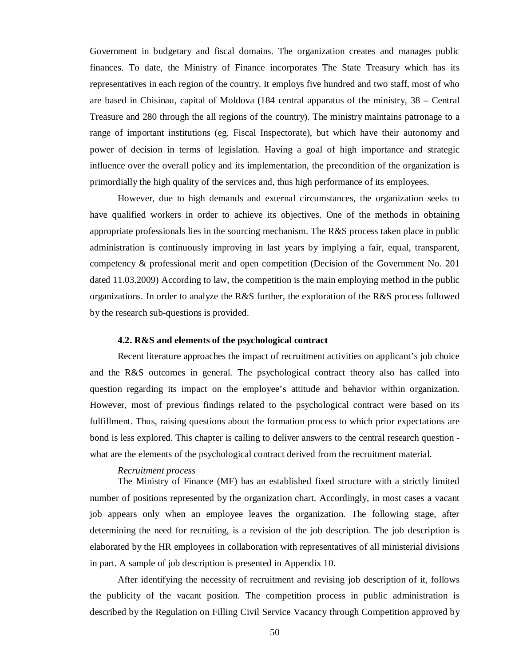Government in budgetary and fiscal domains. The organization creates and manages public finances. To date, the Ministry of Finance incorporates The State Treasury which has its representatives in each region of the country. It employs five hundred and two staff, most of who are based in Chisinau, capital of Moldova (184 central apparatus of the ministry, 38 – Central Treasure and 280 through the all regions of the country). The ministry maintains patronage to a range of important institutions (eg. Fiscal Inspectorate), but which have their autonomy and power of decision in terms of legislation. Having a goal of high importance and strategic influence over the overall policy and its implementation, the precondition of the organization is primordially the high quality of the services and, thus high performance of its employees.

However, due to high demands and external circumstances, the organization seeks to have qualified workers in order to achieve its objectives. One of the methods in obtaining appropriate professionals lies in the sourcing mechanism. The R&S process taken place in public administration is continuously improving in last years by implying a fair, equal, transparent, competency & professional merit and open competition (Decision of the Government No. 201 dated 11.03.2009) According to law, the competition is the main employing method in the public organizations. In order to analyze the R&S further, the exploration of the R&S process followed by the research sub-questions is provided.

#### **4.2. R&S and elements of the psychological contract**

Recent literature approaches the impact of recruitment activities on applicant's job choice and the R&S outcomes in general. The psychological contract theory also has called into question regarding its impact on the employee's attitude and behavior within organization. However, most of previous findings related to the psychological contract were based on its fulfillment. Thus, raising questions about the formation process to which prior expectations are bond is less explored. This chapter is calling to deliver answers to the central research question what are the elements of the psychological contract derived from the recruitment material.

## *Recruitment process*

The Ministry of Finance (MF) has an established fixed structure with a strictly limited number of positions represented by the organization chart. Accordingly, in most cases a vacant job appears only when an employee leaves the organization. The following stage, after determining the need for recruiting, is a revision of the job description. The job description is elaborated by the HR employees in collaboration with representatives of all ministerial divisions in part. A sample of job description is presented in Appendix 10.

After identifying the necessity of recruitment and revising job description of it, follows the publicity of the vacant position. The competition process in public administration is described by the Regulation on Filling Civil Service Vacancy through Competition approved by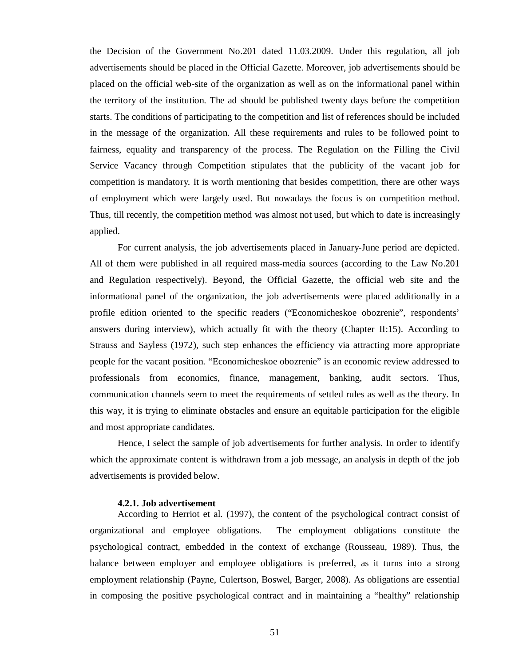the Decision of the Government No.201 dated 11.03.2009. Under this regulation, all job advertisements should be placed in the Official Gazette. Moreover, job advertisements should be placed on the official web-site of the organization as well as on the informational panel within the territory of the institution. The ad should be published twenty days before the competition starts. The conditions of participating to the competition and list of references should be included in the message of the organization. All these requirements and rules to be followed point to fairness, equality and transparency of the process. The Regulation on the Filling the Civil Service Vacancy through Competition stipulates that the publicity of the vacant job for competition is mandatory. It is worth mentioning that besides competition, there are other ways of employment which were largely used. But nowadays the focus is on competition method. Thus, till recently, the competition method was almost not used, but which to date is increasingly applied.

For current analysis, the job advertisements placed in January-June period are depicted. All of them were published in all required mass-media sources (according to the Law No.201 and Regulation respectively). Beyond, the Official Gazette, the official web site and the informational panel of the organization, the job advertisements were placed additionally in a profile edition oriented to the specific readers ("Economicheskoe obozrenie", respondents' answers during interview), which actually fit with the theory (Chapter II:15). According to Strauss and Sayless (1972), such step enhances the efficiency via attracting more appropriate people for the vacant position. "Economicheskoe obozrenie" is an economic review addressed to professionals from economics, finance, management, banking, audit sectors. Thus, communication channels seem to meet the requirements of settled rules as well as the theory. In this way, it is trying to eliminate obstacles and ensure an equitable participation for the eligible and most appropriate candidates.

Hence, I select the sample of job advertisements for further analysis. In order to identify which the approximate content is withdrawn from a job message, an analysis in depth of the job advertisements is provided below.

#### **4.2.1. Job advertisement**

According to Herriot et al. (1997), the content of the psychological contract consist of organizational and employee obligations. The employment obligations constitute the psychological contract, embedded in the context of exchange (Rousseau, 1989). Thus, the balance between employer and employee obligations is preferred, as it turns into a strong employment relationship (Payne, Culertson, Boswel, Barger, 2008). As obligations are essential in composing the positive psychological contract and in maintaining a "healthy" relationship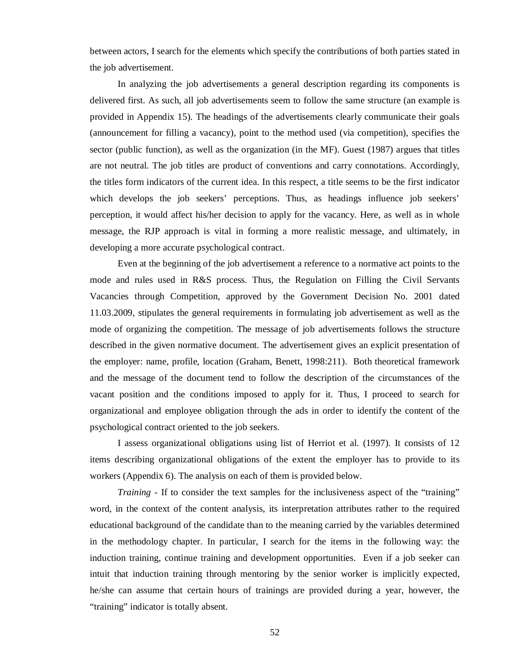between actors, I search for the elements which specify the contributions of both parties stated in the job advertisement.

In analyzing the job advertisements a general description regarding its components is delivered first. As such, all job advertisements seem to follow the same structure (an example is provided in Appendix 15). The headings of the advertisements clearly communicate their goals (announcement for filling a vacancy), point to the method used (via competition), specifies the sector (public function), as well as the organization (in the MF). Guest (1987) argues that titles are not neutral. The job titles are product of conventions and carry connotations. Accordingly, the titles form indicators of the current idea. In this respect, a title seems to be the first indicator which develops the job seekers' perceptions. Thus, as headings influence job seekers' perception, it would affect his/her decision to apply for the vacancy. Here, as well as in whole message, the RJP approach is vital in forming a more realistic message, and ultimately, in developing a more accurate psychological contract.

Even at the beginning of the job advertisement a reference to a normative act points to the mode and rules used in R&S process. Thus, the Regulation on Filling the Civil Servants Vacancies through Competition, approved by the Government Decision No. 2001 dated 11.03.2009, stipulates the general requirements in formulating job advertisement as well as the mode of organizing the competition. The message of job advertisements follows the structure described in the given normative document. The advertisement gives an explicit presentation of the employer: name, profile, location (Graham, Benett, 1998:211). Both theoretical framework and the message of the document tend to follow the description of the circumstances of the vacant position and the conditions imposed to apply for it. Thus, I proceed to search for organizational and employee obligation through the ads in order to identify the content of the psychological contract oriented to the job seekers.

I assess organizational obligations using list of Herriot et al. (1997). It consists of 12 items describing organizational obligations of the extent the employer has to provide to its workers (Appendix 6). The analysis on each of them is provided below.

*Training* - If to consider the text samples for the inclusiveness aspect of the "training" word, in the context of the content analysis, its interpretation attributes rather to the required educational background of the candidate than to the meaning carried by the variables determined in the methodology chapter. In particular, I search for the items in the following way: the induction training, continue training and development opportunities. Even if a job seeker can intuit that induction training through mentoring by the senior worker is implicitly expected, he/she can assume that certain hours of trainings are provided during a year, however, the "training" indicator is totally absent.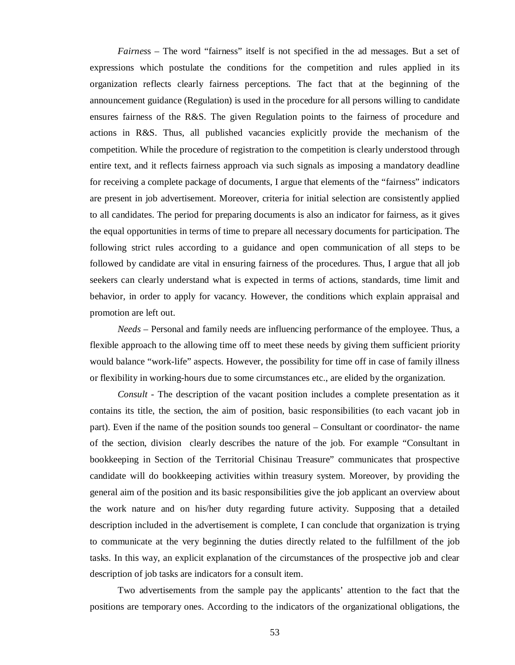*Fairnes*s – The word "fairness" itself is not specified in the ad messages. But a set of expressions which postulate the conditions for the competition and rules applied in its organization reflects clearly fairness perceptions. The fact that at the beginning of the announcement guidance (Regulation) is used in the procedure for all persons willing to candidate ensures fairness of the R&S. The given Regulation points to the fairness of procedure and actions in R&S. Thus, all published vacancies explicitly provide the mechanism of the competition. While the procedure of registration to the competition is clearly understood through entire text, and it reflects fairness approach via such signals as imposing a mandatory deadline for receiving a complete package of documents, I argue that elements of the "fairness" indicators are present in job advertisement. Moreover, criteria for initial selection are consistently applied to all candidates. The period for preparing documents is also an indicator for fairness, as it gives the equal opportunities in terms of time to prepare all necessary documents for participation. The following strict rules according to a guidance and open communication of all steps to be followed by candidate are vital in ensuring fairness of the procedures. Thus, I argue that all job seekers can clearly understand what is expected in terms of actions, standards, time limit and behavior, in order to apply for vacancy. However, the conditions which explain appraisal and promotion are left out.

*Needs* – Personal and family needs are influencing performance of the employee. Thus, a flexible approach to the allowing time off to meet these needs by giving them sufficient priority would balance "work-life" aspects. However, the possibility for time off in case of family illness or flexibility in working-hours due to some circumstances etc., are elided by the organization.

*Consult* - The description of the vacant position includes a complete presentation as it contains its title, the section, the aim of position, basic responsibilities (to each vacant job in part). Even if the name of the position sounds too general – Consultant or coordinator- the name of the section, division clearly describes the nature of the job. For example "Consultant in bookkeeping in Section of the Territorial Chisinau Treasure" communicates that prospective candidate will do bookkeeping activities within treasury system. Moreover, by providing the general aim of the position and its basic responsibilities give the job applicant an overview about the work nature and on his/her duty regarding future activity. Supposing that a detailed description included in the advertisement is complete, I can conclude that organization is trying to communicate at the very beginning the duties directly related to the fulfillment of the job tasks. In this way, an explicit explanation of the circumstances of the prospective job and clear description of job tasks are indicators for a consult item.

Two advertisements from the sample pay the applicants' attention to the fact that the positions are temporary ones. According to the indicators of the organizational obligations, the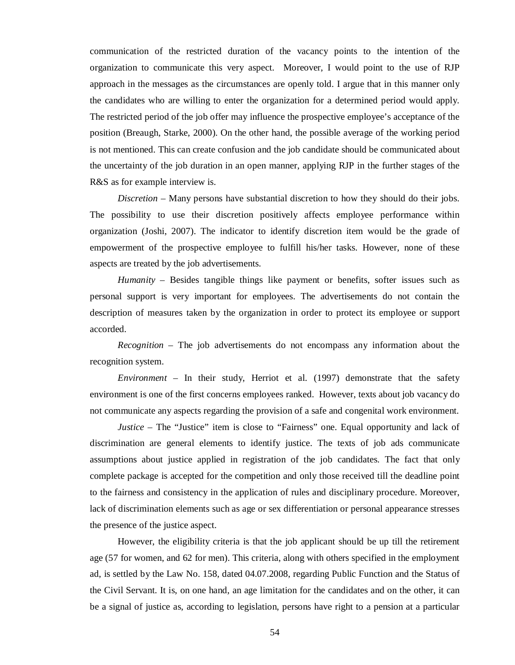communication of the restricted duration of the vacancy points to the intention of the organization to communicate this very aspect. Moreover, I would point to the use of RJP approach in the messages as the circumstances are openly told. I argue that in this manner only the candidates who are willing to enter the organization for a determined period would apply. The restricted period of the job offer may influence the prospective employee's acceptance of the position (Breaugh, Starke, 2000). On the other hand, the possible average of the working period is not mentioned. This can create confusion and the job candidate should be communicated about the uncertainty of the job duration in an open manner, applying RJP in the further stages of the R&S as for example interview is.

*Discretion* – Many persons have substantial discretion to how they should do their jobs. The possibility to use their discretion positively affects employee performance within organization (Joshi, 2007). The indicator to identify discretion item would be the grade of empowerment of the prospective employee to fulfill his/her tasks. However, none of these aspects are treated by the job advertisements.

*Humanity* – Besides tangible things like payment or benefits, softer issues such as personal support is very important for employees. The advertisements do not contain the description of measures taken by the organization in order to protect its employee or support accorded.

*Recognition* – The job advertisements do not encompass any information about the recognition system.

*Environment* – In their study, Herriot et al. (1997) demonstrate that the safety environment is one of the first concerns employees ranked. However, texts about job vacancy do not communicate any aspects regarding the provision of a safe and congenital work environment.

*Justice* – The "Justice" item is close to "Fairness" one. Equal opportunity and lack of discrimination are general elements to identify justice. The texts of job ads communicate assumptions about justice applied in registration of the job candidates. The fact that only complete package is accepted for the competition and only those received till the deadline point to the fairness and consistency in the application of rules and disciplinary procedure. Moreover, lack of discrimination elements such as age or sex differentiation or personal appearance stresses the presence of the justice aspect.

However, the eligibility criteria is that the job applicant should be up till the retirement age (57 for women, and 62 for men). This criteria, along with others specified in the employment ad, is settled by the Law No. 158, dated 04.07.2008, regarding Public Function and the Status of the Civil Servant. It is, on one hand, an age limitation for the candidates and on the other, it can be a signal of justice as, according to legislation, persons have right to a pension at a particular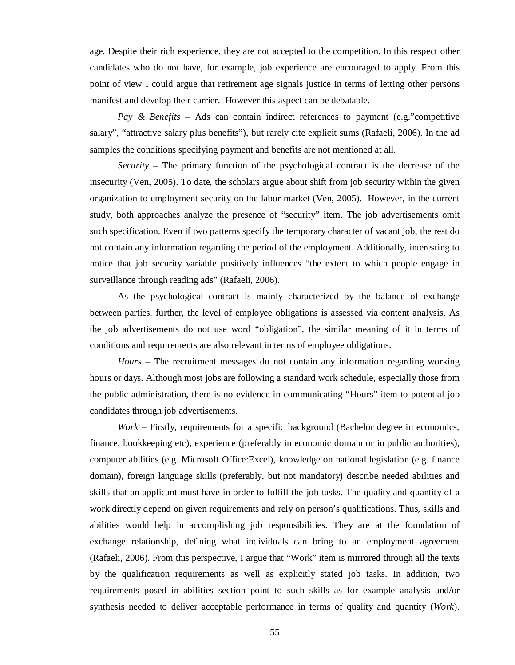age. Despite their rich experience, they are not accepted to the competition. In this respect other candidates who do not have, for example, job experience are encouraged to apply. From this point of view I could argue that retirement age signals justice in terms of letting other persons manifest and develop their carrier. However this aspect can be debatable.

*Pay & Benefits* – Ads can contain indirect references to payment (e.g."competitive salary", "attractive salary plus benefits"), but rarely cite explicit sums (Rafaeli, 2006). In the ad samples the conditions specifying payment and benefits are not mentioned at all.

*Security* – The primary function of the psychological contract is the decrease of the insecurity (Ven, 2005). To date, the scholars argue about shift from job security within the given organization to employment security on the labor market (Ven, 2005). However, in the current study, both approaches analyze the presence of "security" item. The job advertisements omit such specification. Even if two patterns specify the temporary character of vacant job, the rest do not contain any information regarding the period of the employment. Additionally, interesting to notice that job security variable positively influences "the extent to which people engage in surveillance through reading ads" (Rafaeli, 2006).

As the psychological contract is mainly characterized by the balance of exchange between parties, further, the level of employee obligations is assessed via content analysis. As the job advertisements do not use word "obligation", the similar meaning of it in terms of conditions and requirements are also relevant in terms of employee obligations.

*Hours* – The recruitment messages do not contain any information regarding working hours or days. Although most jobs are following a standard work schedule, especially those from the public administration, there is no evidence in communicating "Hours" item to potential job candidates through job advertisements.

*Work* – Firstly, requirements for a specific background (Bachelor degree in economics, finance, bookkeeping etc), experience (preferably in economic domain or in public authorities), computer abilities (e.g. Microsoft Office:Excel), knowledge on national legislation (e.g. finance domain), foreign language skills (preferably, but not mandatory) describe needed abilities and skills that an applicant must have in order to fulfill the job tasks. The quality and quantity of a work directly depend on given requirements and rely on person's qualifications. Thus, skills and abilities would help in accomplishing job responsibilities. They are at the foundation of exchange relationship, defining what individuals can bring to an employment agreement (Rafaeli, 2006). From this perspective, I argue that "Work" item is mirrored through all the texts by the qualification requirements as well as explicitly stated job tasks. In addition, two requirements posed in abilities section point to such skills as for example analysis and/or synthesis needed to deliver acceptable performance in terms of quality and quantity (*Work*).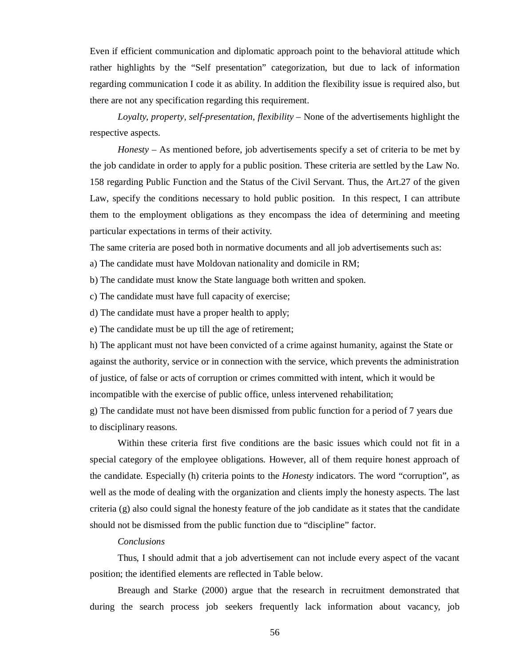Even if efficient communication and diplomatic approach point to the behavioral attitude which rather highlights by the "Self presentation" categorization, but due to lack of information regarding communication I code it as ability. In addition the flexibility issue is required also, but there are not any specification regarding this requirement.

*Loyalty, property, self-presentation, flexibility* – None of the advertisements highlight the respective aspects.

 *Honesty* – As mentioned before, job advertisements specify a set of criteria to be met by the job candidate in order to apply for a public position. These criteria are settled by the Law No. 158 regarding Public Function and the Status of the Civil Servant. Thus, the Art.27 of the given Law, specify the conditions necessary to hold public position. In this respect, I can attribute them to the employment obligations as they encompass the idea of determining and meeting particular expectations in terms of their activity.

The same criteria are posed both in normative documents and all job advertisements such as:

a) The candidate must have Moldovan nationality and domicile in RM;

b) The candidate must know the State language both written and spoken.

c) The candidate must have full capacity of exercise;

d) The candidate must have a proper health to apply;

e) The candidate must be up till the age of retirement;

h) The applicant must not have been convicted of a crime against humanity, against the State or against the authority, service or in connection with the service, which prevents the administration of justice, of false or acts of corruption or crimes committed with intent, which it would be incompatible with the exercise of public office, unless intervened rehabilitation;

g) The candidate must not have been dismissed from public function for a period of 7 years due to disciplinary reasons.

Within these criteria first five conditions are the basic issues which could not fit in a special category of the employee obligations. However, all of them require honest approach of the candidate. Especially (h) criteria points to the *Honesty* indicators. The word "corruption", as well as the mode of dealing with the organization and clients imply the honesty aspects. The last criteria (g) also could signal the honesty feature of the job candidate as it states that the candidate should not be dismissed from the public function due to "discipline" factor.

## *Conclusions*

Thus, I should admit that a job advertisement can not include every aspect of the vacant position; the identified elements are reflected in Table below.

Breaugh and Starke (2000) argue that the research in recruitment demonstrated that during the search process job seekers frequently lack information about vacancy, job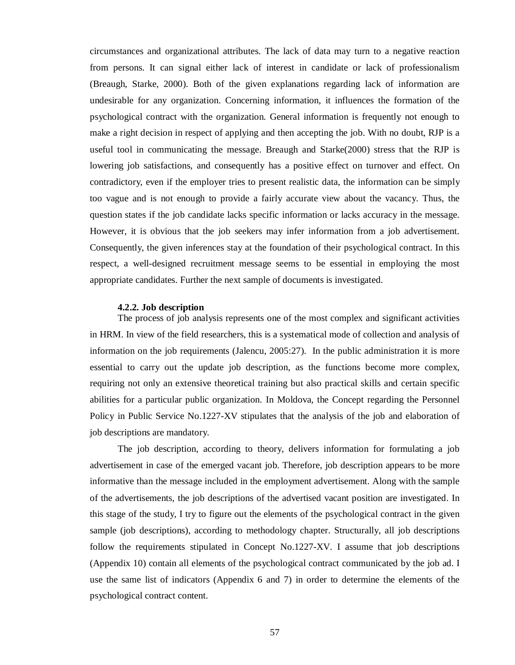circumstances and organizational attributes. The lack of data may turn to a negative reaction from persons. It can signal either lack of interest in candidate or lack of professionalism (Breaugh, Starke, 2000). Both of the given explanations regarding lack of information are undesirable for any organization. Concerning information, it influences the formation of the psychological contract with the organization. General information is frequently not enough to make a right decision in respect of applying and then accepting the job. With no doubt, RJP is a useful tool in communicating the message. Breaugh and Starke(2000) stress that the RJP is lowering job satisfactions, and consequently has a positive effect on turnover and effect. On contradictory, even if the employer tries to present realistic data, the information can be simply too vague and is not enough to provide a fairly accurate view about the vacancy. Thus, the question states if the job candidate lacks specific information or lacks accuracy in the message. However, it is obvious that the job seekers may infer information from a job advertisement. Consequently, the given inferences stay at the foundation of their psychological contract. In this respect, a well-designed recruitment message seems to be essential in employing the most appropriate candidates. Further the next sample of documents is investigated.

#### **4.2.2. Job description**

The process of job analysis represents one of the most complex and significant activities in HRM. In view of the field researchers, this is a systematical mode of collection and analysis of information on the job requirements (Jalencu, 2005:27). In the public administration it is more essential to carry out the update job description, as the functions become more complex, requiring not only an extensive theoretical training but also practical skills and certain specific abilities for a particular public organization. In Moldova, the Concept regarding the Personnel Policy in Public Service No.1227-XV stipulates that the analysis of the job and elaboration of job descriptions are mandatory.

The job description, according to theory, delivers information for formulating a job advertisement in case of the emerged vacant job. Therefore, job description appears to be more informative than the message included in the employment advertisement. Along with the sample of the advertisements, the job descriptions of the advertised vacant position are investigated. In this stage of the study, I try to figure out the elements of the psychological contract in the given sample (job descriptions), according to methodology chapter. Structurally, all job descriptions follow the requirements stipulated in Concept No.1227-XV. I assume that job descriptions (Appendix 10) contain all elements of the psychological contract communicated by the job ad. I use the same list of indicators (Appendix 6 and 7) in order to determine the elements of the psychological contract content.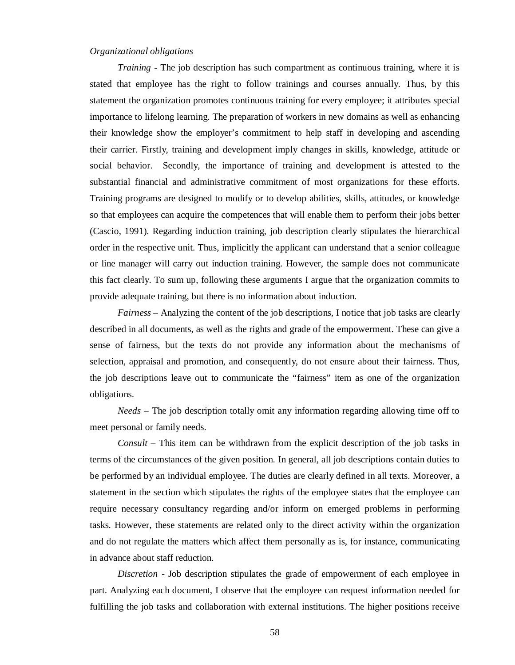## *Organizational obligations*

*Training* - The job description has such compartment as continuous training, where it is stated that employee has the right to follow trainings and courses annually. Thus, by this statement the organization promotes continuous training for every employee; it attributes special importance to lifelong learning. The preparation of workers in new domains as well as enhancing their knowledge show the employer's commitment to help staff in developing and ascending their carrier. Firstly, training and development imply changes in skills, knowledge, attitude or social behavior. Secondly, the importance of training and development is attested to the substantial financial and administrative commitment of most organizations for these efforts. Training programs are designed to modify or to develop abilities, skills, attitudes, or knowledge so that employees can acquire the competences that will enable them to perform their jobs better (Cascio, 1991). Regarding induction training, job description clearly stipulates the hierarchical order in the respective unit. Thus, implicitly the applicant can understand that a senior colleague or line manager will carry out induction training. However, the sample does not communicate this fact clearly. To sum up, following these arguments I argue that the organization commits to provide adequate training, but there is no information about induction.

*Fairness* – Analyzing the content of the job descriptions, I notice that job tasks are clearly described in all documents, as well as the rights and grade of the empowerment. These can give a sense of fairness, but the texts do not provide any information about the mechanisms of selection, appraisal and promotion, and consequently, do not ensure about their fairness. Thus, the job descriptions leave out to communicate the "fairness" item as one of the organization obligations.

*Needs* – The job description totally omit any information regarding allowing time off to meet personal or family needs.

*Consult* – This item can be withdrawn from the explicit description of the job tasks in terms of the circumstances of the given position. In general, all job descriptions contain duties to be performed by an individual employee. The duties are clearly defined in all texts. Moreover, a statement in the section which stipulates the rights of the employee states that the employee can require necessary consultancy regarding and/or inform on emerged problems in performing tasks. However, these statements are related only to the direct activity within the organization and do not regulate the matters which affect them personally as is, for instance, communicating in advance about staff reduction.

*Discretion* - Job description stipulates the grade of empowerment of each employee in part. Analyzing each document, I observe that the employee can request information needed for fulfilling the job tasks and collaboration with external institutions. The higher positions receive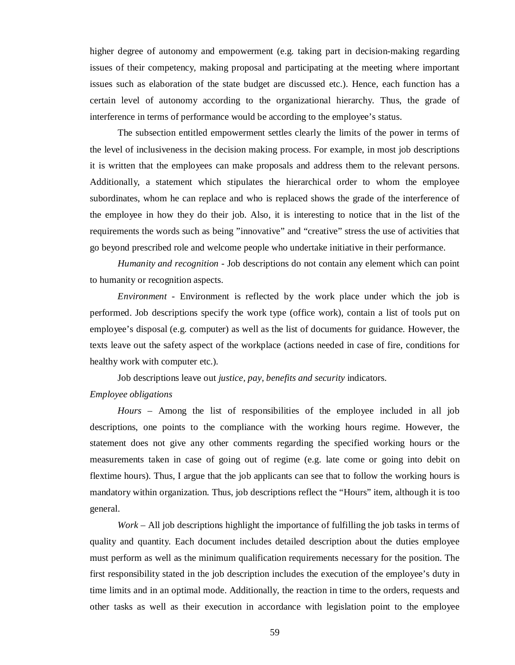higher degree of autonomy and empowerment (e.g. taking part in decision-making regarding issues of their competency, making proposal and participating at the meeting where important issues such as elaboration of the state budget are discussed etc.). Hence, each function has a certain level of autonomy according to the organizational hierarchy. Thus, the grade of interference in terms of performance would be according to the employee's status.

The subsection entitled empowerment settles clearly the limits of the power in terms of the level of inclusiveness in the decision making process. For example, in most job descriptions it is written that the employees can make proposals and address them to the relevant persons. Additionally, a statement which stipulates the hierarchical order to whom the employee subordinates, whom he can replace and who is replaced shows the grade of the interference of the employee in how they do their job. Also, it is interesting to notice that in the list of the requirements the words such as being "innovative" and "creative" stress the use of activities that go beyond prescribed role and welcome people who undertake initiative in their performance.

*Humanity and recognition* - Job descriptions do not contain any element which can point to humanity or recognition aspects.

*Environment* - Environment is reflected by the work place under which the job is performed. Job descriptions specify the work type (office work), contain a list of tools put on employee's disposal (e.g. computer) as well as the list of documents for guidance. However, the texts leave out the safety aspect of the workplace (actions needed in case of fire, conditions for healthy work with computer etc.).

Job descriptions leave out *justice, pay, benefits and security* indicators. *Employee obligations* 

*Hours* – Among the list of responsibilities of the employee included in all job descriptions, one points to the compliance with the working hours regime. However, the statement does not give any other comments regarding the specified working hours or the measurements taken in case of going out of regime (e.g. late come or going into debit on flextime hours). Thus, I argue that the job applicants can see that to follow the working hours is mandatory within organization. Thus, job descriptions reflect the "Hours" item, although it is too general.

*Work* – All job descriptions highlight the importance of fulfilling the job tasks in terms of quality and quantity. Each document includes detailed description about the duties employee must perform as well as the minimum qualification requirements necessary for the position. The first responsibility stated in the job description includes the execution of the employee's duty in time limits and in an optimal mode. Additionally, the reaction in time to the orders, requests and other tasks as well as their execution in accordance with legislation point to the employee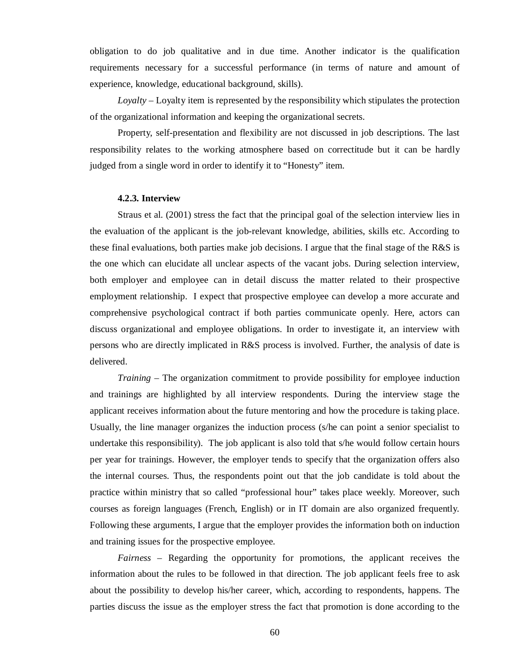obligation to do job qualitative and in due time. Another indicator is the qualification requirements necessary for a successful performance (in terms of nature and amount of experience, knowledge, educational background, skills).

*Loyalty* – Loyalty item is represented by the responsibility which stipulates the protection of the organizational information and keeping the organizational secrets.

Property, self-presentation and flexibility are not discussed in job descriptions. The last responsibility relates to the working atmosphere based on correctitude but it can be hardly judged from a single word in order to identify it to "Honesty" item.

#### **4.2.3. Interview**

Straus et al. (2001) stress the fact that the principal goal of the selection interview lies in the evaluation of the applicant is the job-relevant knowledge, abilities, skills etc. According to these final evaluations, both parties make job decisions. I argue that the final stage of the R&S is the one which can elucidate all unclear aspects of the vacant jobs. During selection interview, both employer and employee can in detail discuss the matter related to their prospective employment relationship. I expect that prospective employee can develop a more accurate and comprehensive psychological contract if both parties communicate openly. Here, actors can discuss organizational and employee obligations. In order to investigate it, an interview with persons who are directly implicated in R&S process is involved. Further, the analysis of date is delivered.

*Training* – The organization commitment to provide possibility for employee induction and trainings are highlighted by all interview respondents. During the interview stage the applicant receives information about the future mentoring and how the procedure is taking place. Usually, the line manager organizes the induction process (s/he can point a senior specialist to undertake this responsibility). The job applicant is also told that s/he would follow certain hours per year for trainings. However, the employer tends to specify that the organization offers also the internal courses. Thus, the respondents point out that the job candidate is told about the practice within ministry that so called "professional hour" takes place weekly. Moreover, such courses as foreign languages (French, English) or in IT domain are also organized frequently. Following these arguments, I argue that the employer provides the information both on induction and training issues for the prospective employee.

*Fairness* – Regarding the opportunity for promotions, the applicant receives the information about the rules to be followed in that direction. The job applicant feels free to ask about the possibility to develop his/her career, which, according to respondents, happens. The parties discuss the issue as the employer stress the fact that promotion is done according to the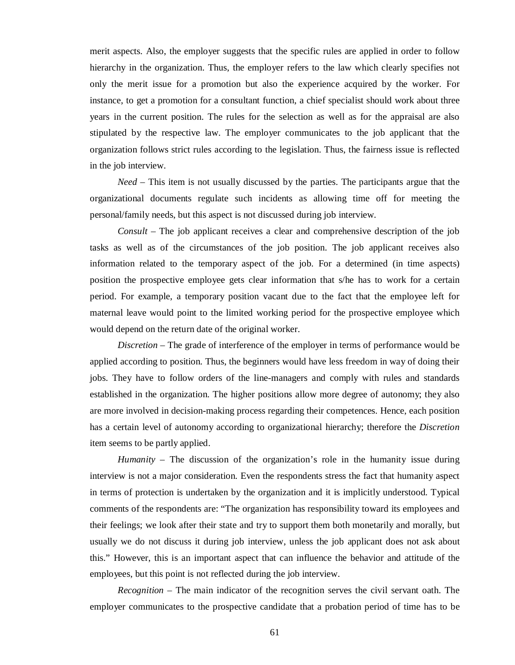merit aspects. Also, the employer suggests that the specific rules are applied in order to follow hierarchy in the organization. Thus, the employer refers to the law which clearly specifies not only the merit issue for a promotion but also the experience acquired by the worker. For instance, to get a promotion for a consultant function, a chief specialist should work about three years in the current position. The rules for the selection as well as for the appraisal are also stipulated by the respective law. The employer communicates to the job applicant that the organization follows strict rules according to the legislation. Thus, the fairness issue is reflected in the job interview.

*Need* – This item is not usually discussed by the parties. The participants argue that the organizational documents regulate such incidents as allowing time off for meeting the personal/family needs, but this aspect is not discussed during job interview.

*Consult* – The job applicant receives a clear and comprehensive description of the job tasks as well as of the circumstances of the job position. The job applicant receives also information related to the temporary aspect of the job. For a determined (in time aspects) position the prospective employee gets clear information that s/he has to work for a certain period. For example, a temporary position vacant due to the fact that the employee left for maternal leave would point to the limited working period for the prospective employee which would depend on the return date of the original worker.

*Discretion* – The grade of interference of the employer in terms of performance would be applied according to position. Thus, the beginners would have less freedom in way of doing their jobs. They have to follow orders of the line-managers and comply with rules and standards established in the organization. The higher positions allow more degree of autonomy; they also are more involved in decision-making process regarding their competences. Hence, each position has a certain level of autonomy according to organizational hierarchy; therefore the *Discretion* item seems to be partly applied.

*Humanity* – The discussion of the organization's role in the humanity issue during interview is not a major consideration. Even the respondents stress the fact that humanity aspect in terms of protection is undertaken by the organization and it is implicitly understood. Typical comments of the respondents are: "The organization has responsibility toward its employees and their feelings; we look after their state and try to support them both monetarily and morally, but usually we do not discuss it during job interview, unless the job applicant does not ask about this." However, this is an important aspect that can influence the behavior and attitude of the employees, but this point is not reflected during the job interview.

*Recognition* – The main indicator of the recognition serves the civil servant oath. The employer communicates to the prospective candidate that a probation period of time has to be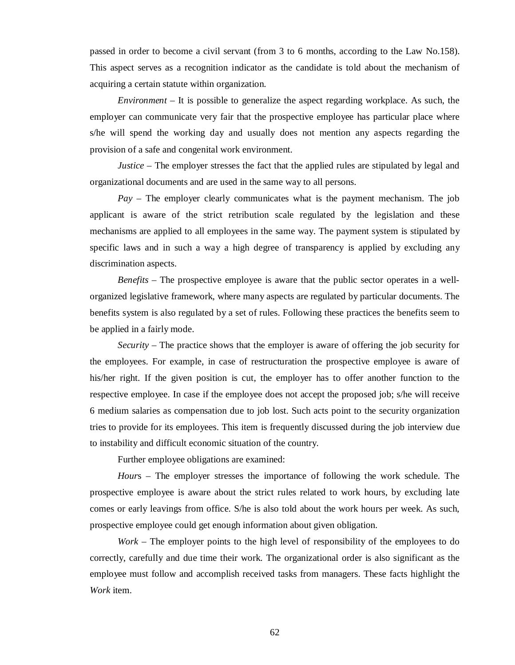passed in order to become a civil servant (from 3 to 6 months, according to the Law No.158). This aspect serves as a recognition indicator as the candidate is told about the mechanism of acquiring a certain statute within organization.

*Environment* – It is possible to generalize the aspect regarding workplace. As such, the employer can communicate very fair that the prospective employee has particular place where s/he will spend the working day and usually does not mention any aspects regarding the provision of a safe and congenital work environment.

*Justice* – The employer stresses the fact that the applied rules are stipulated by legal and organizational documents and are used in the same way to all persons.

*Pay* – The employer clearly communicates what is the payment mechanism. The job applicant is aware of the strict retribution scale regulated by the legislation and these mechanisms are applied to all employees in the same way. The payment system is stipulated by specific laws and in such a way a high degree of transparency is applied by excluding any discrimination aspects.

*Benefits* – The prospective employee is aware that the public sector operates in a wellorganized legislative framework, where many aspects are regulated by particular documents. The benefits system is also regulated by a set of rules. Following these practices the benefits seem to be applied in a fairly mode.

*Security* – The practice shows that the employer is aware of offering the job security for the employees. For example, in case of restructuration the prospective employee is aware of his/her right. If the given position is cut, the employer has to offer another function to the respective employee. In case if the employee does not accept the proposed job; s/he will receive 6 medium salaries as compensation due to job lost. Such acts point to the security organization tries to provide for its employees. This item is frequently discussed during the job interview due to instability and difficult economic situation of the country.

Further employee obligations are examined:

*Hour*s – The employer stresses the importance of following the work schedule. The prospective employee is aware about the strict rules related to work hours, by excluding late comes or early leavings from office. S/he is also told about the work hours per week. As such, prospective employee could get enough information about given obligation.

*Work* – The employer points to the high level of responsibility of the employees to do correctly, carefully and due time their work. The organizational order is also significant as the employee must follow and accomplish received tasks from managers. These facts highlight the *Work* item.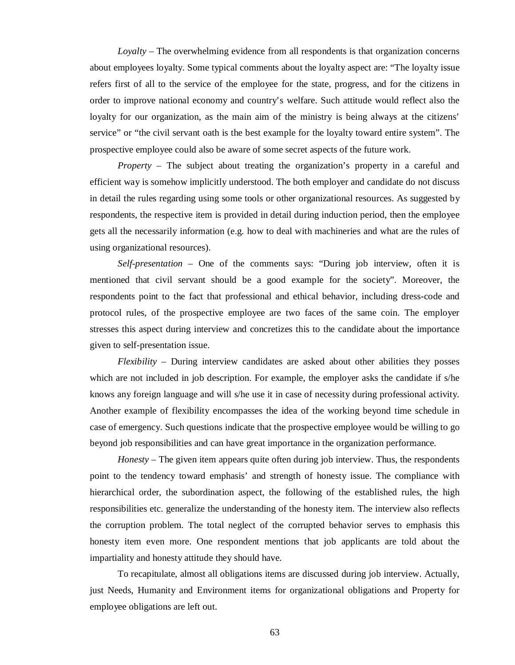*Loyalty* – The overwhelming evidence from all respondents is that organization concerns about employees loyalty. Some typical comments about the loyalty aspect are: "The loyalty issue refers first of all to the service of the employee for the state, progress, and for the citizens in order to improve national economy and country's welfare. Such attitude would reflect also the loyalty for our organization, as the main aim of the ministry is being always at the citizens' service" or "the civil servant oath is the best example for the loyalty toward entire system". The prospective employee could also be aware of some secret aspects of the future work.

*Property* – The subject about treating the organization's property in a careful and efficient way is somehow implicitly understood. The both employer and candidate do not discuss in detail the rules regarding using some tools or other organizational resources. As suggested by respondents, the respective item is provided in detail during induction period, then the employee gets all the necessarily information (e.g. how to deal with machineries and what are the rules of using organizational resources).

*Self-presentation* – One of the comments says: "During job interview, often it is mentioned that civil servant should be a good example for the society". Moreover, the respondents point to the fact that professional and ethical behavior, including dress-code and protocol rules, of the prospective employee are two faces of the same coin. The employer stresses this aspect during interview and concretizes this to the candidate about the importance given to self-presentation issue.

*Flexibility* – During interview candidates are asked about other abilities they posses which are not included in job description. For example, the employer asks the candidate if s/he knows any foreign language and will s/he use it in case of necessity during professional activity. Another example of flexibility encompasses the idea of the working beyond time schedule in case of emergency. Such questions indicate that the prospective employee would be willing to go beyond job responsibilities and can have great importance in the organization performance.

*Honesty* – The given item appears quite often during job interview. Thus, the respondents point to the tendency toward emphasis' and strength of honesty issue. The compliance with hierarchical order, the subordination aspect, the following of the established rules, the high responsibilities etc. generalize the understanding of the honesty item. The interview also reflects the corruption problem. The total neglect of the corrupted behavior serves to emphasis this honesty item even more. One respondent mentions that job applicants are told about the impartiality and honesty attitude they should have.

To recapitulate, almost all obligations items are discussed during job interview. Actually, just Needs, Humanity and Environment items for organizational obligations and Property for employee obligations are left out.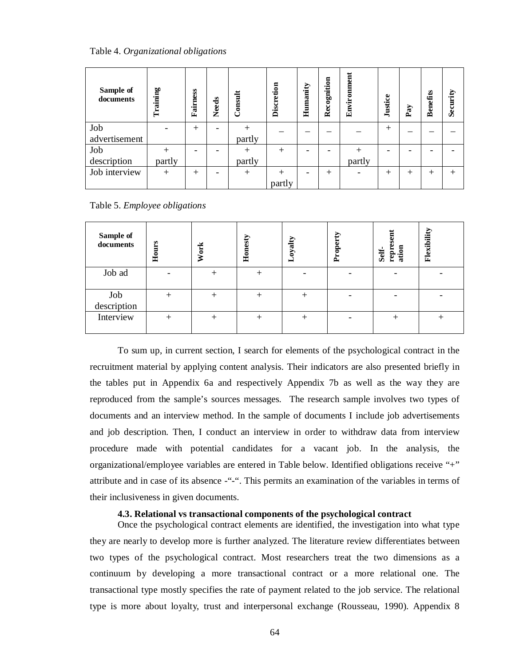Table 4. *Organizational obligations*

| Sample of<br>documents | Training | Fairness | <b>Needs</b> | Consult | Discretion | Humanity | Recognition | Environment | Justice | Pay    | <b>Benefits</b> | Security |
|------------------------|----------|----------|--------------|---------|------------|----------|-------------|-------------|---------|--------|-----------------|----------|
| Job                    |          | $^{+}$   |              | $+$     |            |          |             |             | $^{+}$  |        |                 |          |
| advertisement          |          |          |              | partly  |            |          |             |             |         |        |                 |          |
| Job                    |          |          |              |         | $+$        |          |             |             |         |        |                 |          |
| description            | partly   |          |              | partly  |            |          |             | partly      |         |        |                 |          |
| Job interview          | $+$      | $^{+}$   |              | $+$     | $+$        |          | $^{+}$      |             | $^{+}$  | $^{+}$ | $^{+}$          | $+$      |
|                        |          |          |              |         | partly     |          |             |             |         |        |                 |          |

| Sample of<br>documents | Hours | <b>Work</b> | Honesty | Loyalty | Propert | šen<br>ation<br>repro<br>Self- | Flexibility |
|------------------------|-------|-------------|---------|---------|---------|--------------------------------|-------------|
| Job ad                 |       | $^{+}$      | $^{+}$  |         |         |                                |             |
| Job<br>description     |       | $^+$        | $^+$    |         |         |                                |             |
| Interview              | +     | $^{+}$      | $^{+}$  |         |         |                                |             |

To sum up, in current section, I search for elements of the psychological contract in the recruitment material by applying content analysis. Their indicators are also presented briefly in the tables put in Appendix 6a and respectively Appendix 7b as well as the way they are reproduced from the sample's sources messages. The research sample involves two types of documents and an interview method. In the sample of documents I include job advertisements and job description. Then, I conduct an interview in order to withdraw data from interview procedure made with potential candidates for a vacant job. In the analysis, the organizational/employee variables are entered in Table below. Identified obligations receive "+" attribute and in case of its absence -"-". This permits an examination of the variables in terms of their inclusiveness in given documents.

#### **4.3. Relational vs transactional components of the psychological contract**

Once the psychological contract elements are identified, the investigation into what type they are nearly to develop more is further analyzed. The literature review differentiates between two types of the psychological contract. Most researchers treat the two dimensions as a continuum by developing a more transactional contract or a more relational one. The transactional type mostly specifies the rate of payment related to the job service. The relational type is more about loyalty, trust and interpersonal exchange (Rousseau, 1990). Appendix 8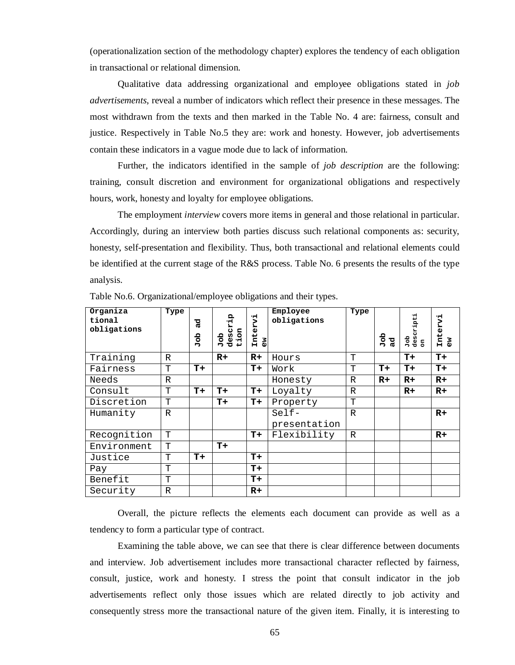(operationalization section of the methodology chapter) explores the tendency of each obligation in transactional or relational dimension.

Qualitative data addressing organizational and employee obligations stated in *job advertisements*, reveal a number of indicators which reflect their presence in these messages. The most withdrawn from the texts and then marked in the Table No. 4 are: fairness, consult and justice. Respectively in Table No.5 they are: work and honesty. However, job advertisements contain these indicators in a vague mode due to lack of information.

Further, the indicators identified in the sample of *job description* are the following: training, consult discretion and environment for organizational obligations and respectively hours, work, honesty and loyalty for employee obligations.

The employment *interview* covers more items in general and those relational in particular. Accordingly, during an interview both parties discuss such relational components as: security, honesty, self-presentation and flexibility. Thus, both transactional and relational elements could be identified at the current stage of the R&S process. Table No. 6 presents the results of the type analysis.

| Organiza<br>tional<br>obligations | Type         | ್ದರ<br>dol<br>D | descrip<br>tion<br>dol | Intervi<br>δõ | Employee<br>obligations | Type         | dol<br>D<br>್ದರ | Job<br>descripti<br>on | ٠H<br>Inter<br>ិច |
|-----------------------------------|--------------|-----------------|------------------------|---------------|-------------------------|--------------|-----------------|------------------------|-------------------|
| Training                          | R            |                 | $R+$                   | $R+$          | Hours                   | T            |                 | $T+$                   | $T+$              |
| Fairness                          | T            | $T+$            |                        | $T+$          | Work                    | T            | $T+$            | T+                     | $T+$              |
| Needs                             | $\mathbb{R}$ |                 |                        |               | Honesty                 | $\mathbb{R}$ | $R+$            | $R+$                   | $R+$              |
| Consult                           | T            | $T+$            | T+                     | $T+$          | Loyalty                 | R            |                 | $R+$                   | $R+$              |
| Discretion                        | T            |                 | $T+$                   | $T+$          | Property                | T            |                 |                        |                   |
| Humanity                          | $\mathbb{R}$ |                 |                        |               | $Setf -$                | $\mathbb{R}$ |                 |                        | $R+$              |
|                                   |              |                 |                        |               | presentation            |              |                 |                        |                   |
| Recognition                       | T            |                 |                        | $T+$          | Flexibility             | $\mathbb{R}$ |                 |                        | $R+$              |
| Environment                       | T            |                 | $T+$                   |               |                         |              |                 |                        |                   |
| Justice                           | T            | $T+$            |                        | $T+$          |                         |              |                 |                        |                   |
| Pay                               | T            |                 |                        | $T+$          |                         |              |                 |                        |                   |
| Benefit                           | T            |                 |                        | $T+$          |                         |              |                 |                        |                   |
| Security                          | $\mathbb{R}$ |                 |                        | $R+$          |                         |              |                 |                        |                   |

Table No.6. Organizational/employee obligations and their types.

Overall, the picture reflects the elements each document can provide as well as a tendency to form a particular type of contract.

Examining the table above, we can see that there is clear difference between documents and interview. Job advertisement includes more transactional character reflected by fairness, consult, justice, work and honesty. I stress the point that consult indicator in the job advertisements reflect only those issues which are related directly to job activity and consequently stress more the transactional nature of the given item. Finally, it is interesting to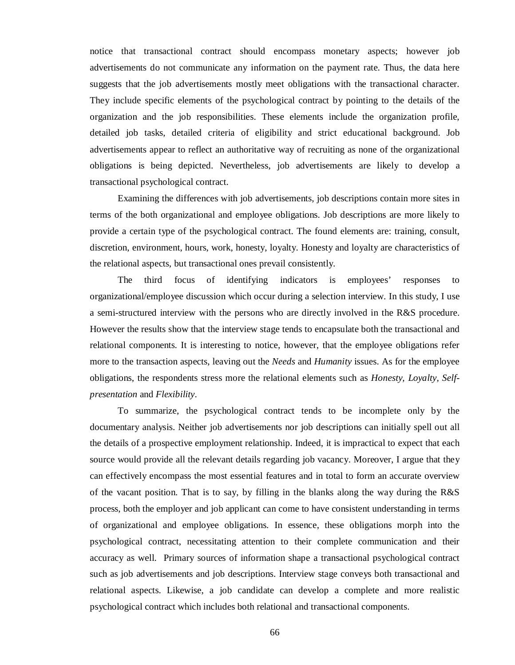notice that transactional contract should encompass monetary aspects; however job advertisements do not communicate any information on the payment rate. Thus, the data here suggests that the job advertisements mostly meet obligations with the transactional character. They include specific elements of the psychological contract by pointing to the details of the organization and the job responsibilities. These elements include the organization profile, detailed job tasks, detailed criteria of eligibility and strict educational background. Job advertisements appear to reflect an authoritative way of recruiting as none of the organizational obligations is being depicted. Nevertheless, job advertisements are likely to develop a transactional psychological contract.

Examining the differences with job advertisements, job descriptions contain more sites in terms of the both organizational and employee obligations. Job descriptions are more likely to provide a certain type of the psychological contract. The found elements are: training, consult, discretion, environment, hours, work, honesty, loyalty. Honesty and loyalty are characteristics of the relational aspects, but transactional ones prevail consistently.

The third focus of identifying indicators is employees' responses to organizational/employee discussion which occur during a selection interview. In this study, I use a semi-structured interview with the persons who are directly involved in the R&S procedure. However the results show that the interview stage tends to encapsulate both the transactional and relational components. It is interesting to notice, however, that the employee obligations refer more to the transaction aspects, leaving out the *Needs* and *Humanity* issues. As for the employee obligations, the respondents stress more the relational elements such as *Honesty, Loyalty, Selfpresentation* and *Flexibility*.

To summarize, the psychological contract tends to be incomplete only by the documentary analysis. Neither job advertisements nor job descriptions can initially spell out all the details of a prospective employment relationship. Indeed, it is impractical to expect that each source would provide all the relevant details regarding job vacancy. Moreover, I argue that they can effectively encompass the most essential features and in total to form an accurate overview of the vacant position. That is to say, by filling in the blanks along the way during the R&S process, both the employer and job applicant can come to have consistent understanding in terms of organizational and employee obligations. In essence, these obligations morph into the psychological contract, necessitating attention to their complete communication and their accuracy as well. Primary sources of information shape a transactional psychological contract such as job advertisements and job descriptions. Interview stage conveys both transactional and relational aspects. Likewise, a job candidate can develop a complete and more realistic psychological contract which includes both relational and transactional components.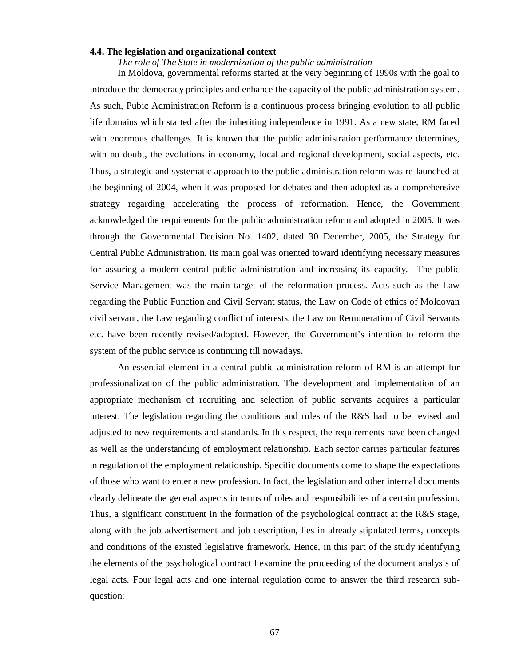## **4.4. The legislation and organizational context**

*The role of The State in modernization of the public administration* 

In Moldova, governmental reforms started at the very beginning of 1990s with the goal to introduce the democracy principles and enhance the capacity of the public administration system. As such, Pubic Administration Reform is a continuous process bringing evolution to all public life domains which started after the inheriting independence in 1991. As a new state, RM faced with enormous challenges. It is known that the public administration performance determines, with no doubt, the evolutions in economy, local and regional development, social aspects, etc. Thus, a strategic and systematic approach to the public administration reform was re-launched at the beginning of 2004, when it was proposed for debates and then adopted as a comprehensive strategy regarding accelerating the process of reformation. Hence, the Government acknowledged the requirements for the public administration reform and adopted in 2005. It was through the Governmental Decision No. 1402, dated 30 December, 2005, the Strategy for Central Public Administration. Its main goal was oriented toward identifying necessary measures for assuring a modern central public administration and increasing its capacity. The public Service Management was the main target of the reformation process. Acts such as the Law regarding the Public Function and Civil Servant status, the Law on Code of ethics of Moldovan civil servant, the Law regarding conflict of interests, the Law on Remuneration of Civil Servants etc. have been recently revised/adopted. However, the Government's intention to reform the system of the public service is continuing till nowadays.

An essential element in a central public administration reform of RM is an attempt for professionalization of the public administration. The development and implementation of an appropriate mechanism of recruiting and selection of public servants acquires a particular interest. The legislation regarding the conditions and rules of the R&S had to be revised and adjusted to new requirements and standards. In this respect, the requirements have been changed as well as the understanding of employment relationship. Each sector carries particular features in regulation of the employment relationship. Specific documents come to shape the expectations of those who want to enter a new profession. In fact, the legislation and other internal documents clearly delineate the general aspects in terms of roles and responsibilities of a certain profession. Thus, a significant constituent in the formation of the psychological contract at the R&S stage, along with the job advertisement and job description, lies in already stipulated terms, concepts and conditions of the existed legislative framework. Hence, in this part of the study identifying the elements of the psychological contract I examine the proceeding of the document analysis of legal acts. Four legal acts and one internal regulation come to answer the third research subquestion: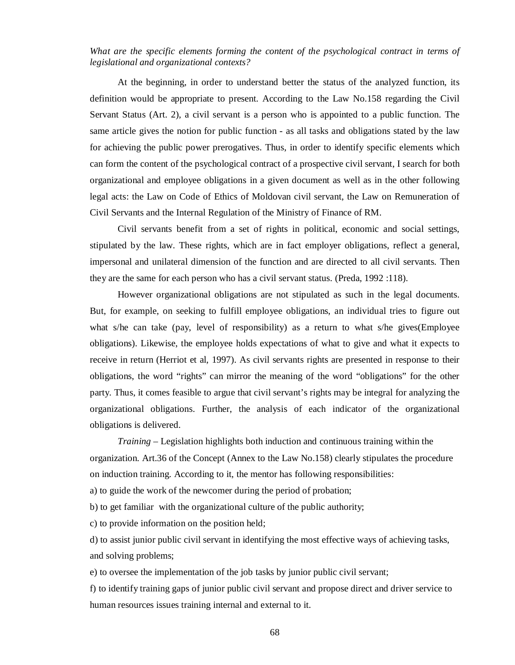## *What are the specific elements forming the content of the psychological contract in terms of legislational and organizational contexts?*

At the beginning, in order to understand better the status of the analyzed function, its definition would be appropriate to present. According to the Law No.158 regarding the Civil Servant Status (Art. 2), a civil servant is a person who is appointed to a public function. The same article gives the notion for public function - as all tasks and obligations stated by the law for achieving the public power prerogatives. Thus, in order to identify specific elements which can form the content of the psychological contract of a prospective civil servant, I search for both organizational and employee obligations in a given document as well as in the other following legal acts: the Law on Code of Ethics of Moldovan civil servant, the Law on Remuneration of Civil Servants and the Internal Regulation of the Ministry of Finance of RM.

Civil servants benefit from a set of rights in political, economic and social settings, stipulated by the law. These rights, which are in fact employer obligations, reflect a general, impersonal and unilateral dimension of the function and are directed to all civil servants. Then they are the same for each person who has a civil servant status. (Preda, 1992 :118).

However organizational obligations are not stipulated as such in the legal documents. But, for example, on seeking to fulfill employee obligations, an individual tries to figure out what s/he can take (pay, level of responsibility) as a return to what s/he gives(Employee obligations). Likewise, the employee holds expectations of what to give and what it expects to receive in return (Herriot et al, 1997). As civil servants rights are presented in response to their obligations, the word "rights" can mirror the meaning of the word "obligations" for the other party. Thus, it comes feasible to argue that civil servant's rights may be integral for analyzing the organizational obligations. Further, the analysis of each indicator of the organizational obligations is delivered.

*Training* – Legislation highlights both induction and continuous training within the organization. Art.36 of the Concept (Annex to the Law No.158) clearly stipulates the procedure on induction training. According to it, the mentor has following responsibilities:

a) to guide the work of the newcomer during the period of probation;

b) to get familiar with the organizational culture of the public authority;

c) to provide information on the position held;

d) to assist junior public civil servant in identifying the most effective ways of achieving tasks, and solving problems;

e) to oversee the implementation of the job tasks by junior public civil servant;

f) to identify training gaps of junior public civil servant and propose direct and driver service to human resources issues training internal and external to it.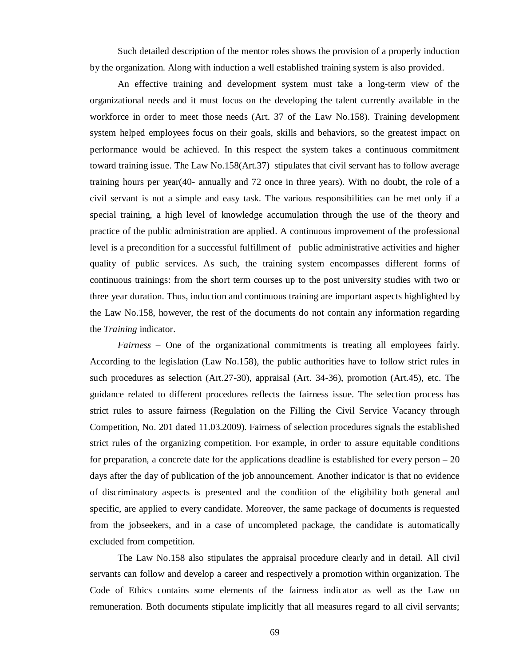Such detailed description of the mentor roles shows the provision of a properly induction by the organization. Along with induction a well established training system is also provided.

An effective training and development system must take a long-term view of the organizational needs and it must focus on the developing the talent currently available in the workforce in order to meet those needs (Art. 37 of the Law No.158). Training development system helped employees focus on their goals, skills and behaviors, so the greatest impact on performance would be achieved. In this respect the system takes a continuous commitment toward training issue. The Law No.158(Art.37) stipulates that civil servant has to follow average training hours per year(40- annually and 72 once in three years). With no doubt, the role of a civil servant is not a simple and easy task. The various responsibilities can be met only if a special training, a high level of knowledge accumulation through the use of the theory and practice of the public administration are applied. A continuous improvement of the professional level is a precondition for a successful fulfillment of public administrative activities and higher quality of public services. As such, the training system encompasses different forms of continuous trainings: from the short term courses up to the post university studies with two or three year duration. Thus, induction and continuous training are important aspects highlighted by the Law No.158, however, the rest of the documents do not contain any information regarding the *Training* indicator.

*Fairness* – One of the organizational commitments is treating all employees fairly. According to the legislation (Law No.158), the public authorities have to follow strict rules in such procedures as selection (Art.27-30), appraisal (Art. 34-36), promotion (Art.45), etc. The guidance related to different procedures reflects the fairness issue. The selection process has strict rules to assure fairness (Regulation on the Filling the Civil Service Vacancy through Competition, No. 201 dated 11.03.2009). Fairness of selection procedures signals the established strict rules of the organizing competition. For example, in order to assure equitable conditions for preparation, a concrete date for the applications deadline is established for every person – 20 days after the day of publication of the job announcement. Another indicator is that no evidence of discriminatory aspects is presented and the condition of the eligibility both general and specific, are applied to every candidate. Moreover, the same package of documents is requested from the jobseekers, and in a case of uncompleted package, the candidate is automatically excluded from competition.

The Law No.158 also stipulates the appraisal procedure clearly and in detail. All civil servants can follow and develop a career and respectively a promotion within organization. The Code of Ethics contains some elements of the fairness indicator as well as the Law on remuneration. Both documents stipulate implicitly that all measures regard to all civil servants;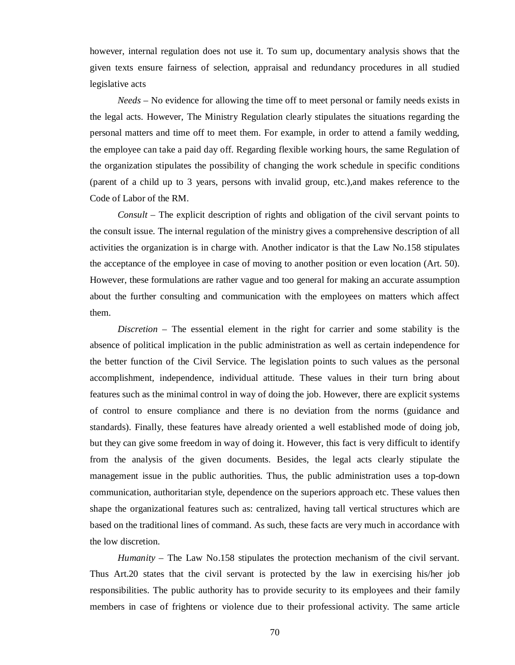however, internal regulation does not use it. To sum up, documentary analysis shows that the given texts ensure fairness of selection, appraisal and redundancy procedures in all studied legislative acts

*Needs* – No evidence for allowing the time off to meet personal or family needs exists in the legal acts. However, The Ministry Regulation clearly stipulates the situations regarding the personal matters and time off to meet them. For example, in order to attend a family wedding, the employee can take a paid day off. Regarding flexible working hours, the same Regulation of the organization stipulates the possibility of changing the work schedule in specific conditions (parent of a child up to 3 years, persons with invalid group, etc.),and makes reference to the Code of Labor of the RM.

*Consult* – The explicit description of rights and obligation of the civil servant points to the consult issue. The internal regulation of the ministry gives a comprehensive description of all activities the organization is in charge with. Another indicator is that the Law No.158 stipulates the acceptance of the employee in case of moving to another position or even location (Art. 50). However, these formulations are rather vague and too general for making an accurate assumption about the further consulting and communication with the employees on matters which affect them.

*Discretion* – The essential element in the right for carrier and some stability is the absence of political implication in the public administration as well as certain independence for the better function of the Civil Service. The legislation points to such values as the personal accomplishment, independence, individual attitude. These values in their turn bring about features such as the minimal control in way of doing the job. However, there are explicit systems of control to ensure compliance and there is no deviation from the norms (guidance and standards). Finally, these features have already oriented a well established mode of doing job, but they can give some freedom in way of doing it. However, this fact is very difficult to identify from the analysis of the given documents. Besides, the legal acts clearly stipulate the management issue in the public authorities. Thus, the public administration uses a top-down communication, authoritarian style, dependence on the superiors approach etc. These values then shape the organizational features such as: centralized, having tall vertical structures which are based on the traditional lines of command. As such, these facts are very much in accordance with the low discretion.

*Humanity* – The Law No.158 stipulates the protection mechanism of the civil servant. Thus Art.20 states that the civil servant is protected by the law in exercising his/her job responsibilities. The public authority has to provide security to its employees and their family members in case of frightens or violence due to their professional activity. The same article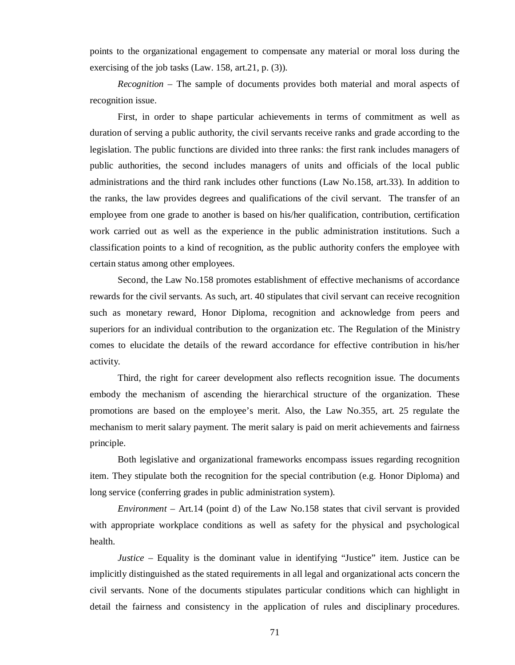points to the organizational engagement to compensate any material or moral loss during the exercising of the job tasks (Law. 158, art.21, p. (3)).

*Recognition* – The sample of documents provides both material and moral aspects of recognition issue.

First, in order to shape particular achievements in terms of commitment as well as duration of serving a public authority, the civil servants receive ranks and grade according to the legislation. The public functions are divided into three ranks: the first rank includes managers of public authorities, the second includes managers of units and officials of the local public administrations and the third rank includes other functions (Law No.158, art.33). In addition to the ranks, the law provides degrees and qualifications of the civil servant. The transfer of an employee from one grade to another is based on his/her qualification, contribution, certification work carried out as well as the experience in the public administration institutions. Such a classification points to a kind of recognition, as the public authority confers the employee with certain status among other employees.

Second, the Law No.158 promotes establishment of effective mechanisms of accordance rewards for the civil servants. As such, art. 40 stipulates that civil servant can receive recognition such as monetary reward, Honor Diploma, recognition and acknowledge from peers and superiors for an individual contribution to the organization etc. The Regulation of the Ministry comes to elucidate the details of the reward accordance for effective contribution in his/her activity.

Third, the right for career development also reflects recognition issue. The documents embody the mechanism of ascending the hierarchical structure of the organization. These promotions are based on the employee's merit. Also, the Law No.355, art. 25 regulate the mechanism to merit salary payment. The merit salary is paid on merit achievements and fairness principle.

Both legislative and organizational frameworks encompass issues regarding recognition item. They stipulate both the recognition for the special contribution (e.g. Honor Diploma) and long service (conferring grades in public administration system).

*Environment* – Art.14 (point d) of the Law No.158 states that civil servant is provided with appropriate workplace conditions as well as safety for the physical and psychological health.

*Justice* – Equality is the dominant value in identifying "Justice" item. Justice can be implicitly distinguished as the stated requirements in all legal and organizational acts concern the civil servants. None of the documents stipulates particular conditions which can highlight in detail the fairness and consistency in the application of rules and disciplinary procedures.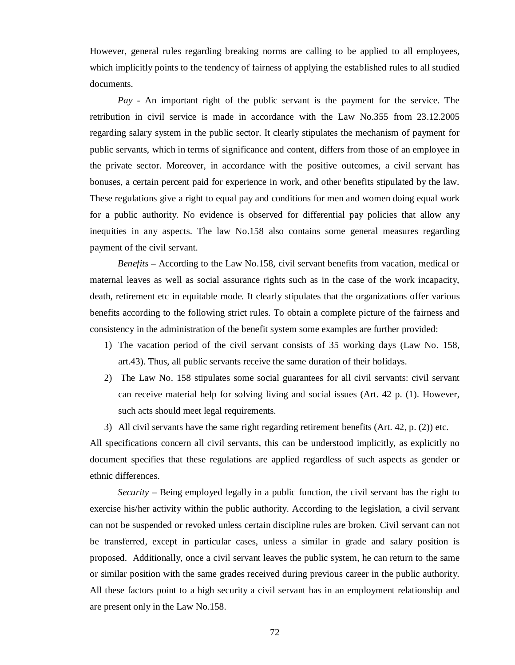However, general rules regarding breaking norms are calling to be applied to all employees, which implicitly points to the tendency of fairness of applying the established rules to all studied documents.

*Pay* - An important right of the public servant is the payment for the service. The retribution in civil service is made in accordance with the Law No.355 from 23.12.2005 regarding salary system in the public sector. It clearly stipulates the mechanism of payment for public servants, which in terms of significance and content, differs from those of an employee in the private sector. Moreover, in accordance with the positive outcomes, a civil servant has bonuses, a certain percent paid for experience in work, and other benefits stipulated by the law. These regulations give a right to equal pay and conditions for men and women doing equal work for a public authority. No evidence is observed for differential pay policies that allow any inequities in any aspects. The law No.158 also contains some general measures regarding payment of the civil servant.

*Benefits* – According to the Law No.158, civil servant benefits from vacation, medical or maternal leaves as well as social assurance rights such as in the case of the work incapacity, death, retirement etc in equitable mode. It clearly stipulates that the organizations offer various benefits according to the following strict rules. To obtain a complete picture of the fairness and consistency in the administration of the benefit system some examples are further provided:

- 1) The vacation period of the civil servant consists of 35 working days (Law No. 158, art.43). Thus, all public servants receive the same duration of their holidays.
- 2) The Law No. 158 stipulates some social guarantees for all civil servants: civil servant can receive material help for solving living and social issues (Art. 42 p. (1). However, such acts should meet legal requirements.
- 3) All civil servants have the same right regarding retirement benefits (Art.  $42$ , p.  $(2)$ ) etc.

All specifications concern all civil servants, this can be understood implicitly, as explicitly no document specifies that these regulations are applied regardless of such aspects as gender or ethnic differences.

*Security* – Being employed legally in a public function, the civil servant has the right to exercise his/her activity within the public authority. According to the legislation, a civil servant can not be suspended or revoked unless certain discipline rules are broken. Civil servant can not be transferred, except in particular cases, unless a similar in grade and salary position is proposed. Additionally, once a civil servant leaves the public system, he can return to the same or similar position with the same grades received during previous career in the public authority. All these factors point to a high security a civil servant has in an employment relationship and are present only in the Law No.158.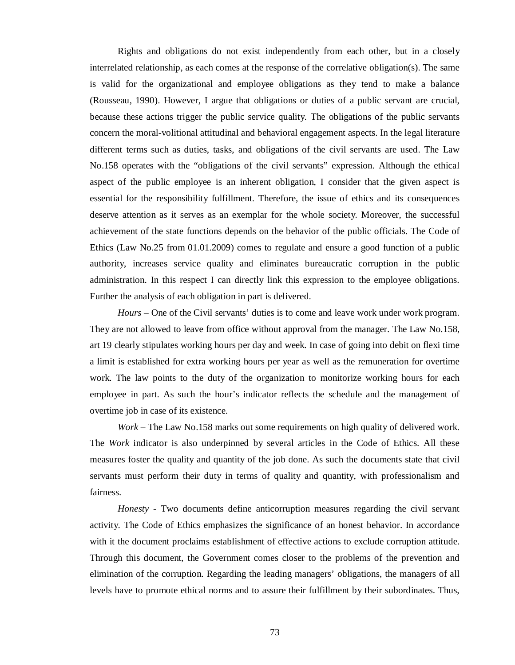Rights and obligations do not exist independently from each other, but in a closely interrelated relationship, as each comes at the response of the correlative obligation(s). The same is valid for the organizational and employee obligations as they tend to make a balance (Rousseau, 1990). However, I argue that obligations or duties of a public servant are crucial, because these actions trigger the public service quality. The obligations of the public servants concern the moral-volitional attitudinal and behavioral engagement aspects. In the legal literature different terms such as duties, tasks, and obligations of the civil servants are used. The Law No.158 operates with the "obligations of the civil servants" expression. Although the ethical aspect of the public employee is an inherent obligation, I consider that the given aspect is essential for the responsibility fulfillment. Therefore, the issue of ethics and its consequences deserve attention as it serves as an exemplar for the whole society. Moreover, the successful achievement of the state functions depends on the behavior of the public officials. The Code of Ethics (Law No.25 from 01.01.2009) comes to regulate and ensure a good function of a public authority, increases service quality and eliminates bureaucratic corruption in the public administration. In this respect I can directly link this expression to the employee obligations. Further the analysis of each obligation in part is delivered.

*Hours* – One of the Civil servants' duties is to come and leave work under work program. They are not allowed to leave from office without approval from the manager. The Law No.158, art 19 clearly stipulates working hours per day and week. In case of going into debit on flexi time a limit is established for extra working hours per year as well as the remuneration for overtime work. The law points to the duty of the organization to monitorize working hours for each employee in part. As such the hour's indicator reflects the schedule and the management of overtime job in case of its existence.

*Work* – The Law No.158 marks out some requirements on high quality of delivered work. The *Work* indicator is also underpinned by several articles in the Code of Ethics. All these measures foster the quality and quantity of the job done. As such the documents state that civil servants must perform their duty in terms of quality and quantity, with professionalism and fairness.

*Honesty* - Two documents define anticorruption measures regarding the civil servant activity. The Code of Ethics emphasizes the significance of an honest behavior. In accordance with it the document proclaims establishment of effective actions to exclude corruption attitude. Through this document, the Government comes closer to the problems of the prevention and elimination of the corruption. Regarding the leading managers' obligations, the managers of all levels have to promote ethical norms and to assure their fulfillment by their subordinates. Thus,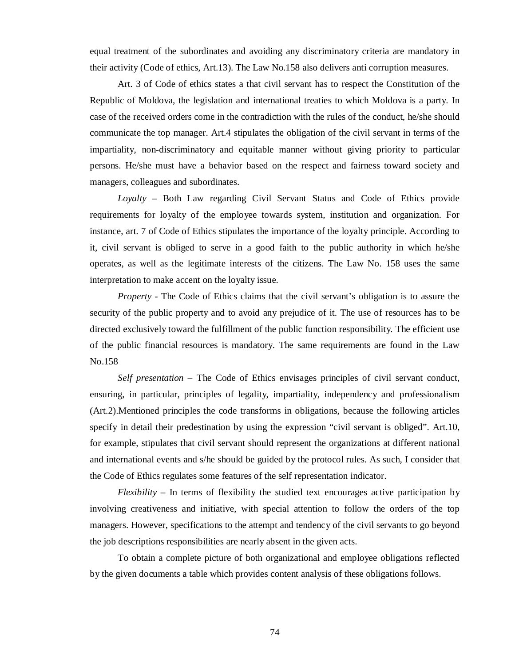equal treatment of the subordinates and avoiding any discriminatory criteria are mandatory in their activity (Code of ethics, Art.13). The Law No.158 also delivers anti corruption measures.

Art. 3 of Code of ethics states a that civil servant has to respect the Constitution of the Republic of Moldova, the legislation and international treaties to which Moldova is a party. In case of the received orders come in the contradiction with the rules of the conduct, he/she should communicate the top manager. Art.4 stipulates the obligation of the civil servant in terms of the impartiality, non-discriminatory and equitable manner without giving priority to particular persons. He/she must have a behavior based on the respect and fairness toward society and managers, colleagues and subordinates.

*Loyalty* – Both Law regarding Civil Servant Status and Code of Ethics provide requirements for loyalty of the employee towards system, institution and organization. For instance, art. 7 of Code of Ethics stipulates the importance of the loyalty principle. According to it, civil servant is obliged to serve in a good faith to the public authority in which he/she operates, as well as the legitimate interests of the citizens. The Law No. 158 uses the same interpretation to make accent on the loyalty issue.

*Property* - The Code of Ethics claims that the civil servant's obligation is to assure the security of the public property and to avoid any prejudice of it. The use of resources has to be directed exclusively toward the fulfillment of the public function responsibility. The efficient use of the public financial resources is mandatory. The same requirements are found in the Law No.158

*Self presentation* – The Code of Ethics envisages principles of civil servant conduct, ensuring, in particular, principles of legality, impartiality, independency and professionalism (Art.2).Mentioned principles the code transforms in obligations, because the following articles specify in detail their predestination by using the expression "civil servant is obliged". Art.10, for example, stipulates that civil servant should represent the organizations at different national and international events and s/he should be guided by the protocol rules. As such, I consider that the Code of Ethics regulates some features of the self representation indicator.

*Flexibility* – In terms of flexibility the studied text encourages active participation by involving creativeness and initiative, with special attention to follow the orders of the top managers. However, specifications to the attempt and tendency of the civil servants to go beyond the job descriptions responsibilities are nearly absent in the given acts.

To obtain a complete picture of both organizational and employee obligations reflected by the given documents a table which provides content analysis of these obligations follows.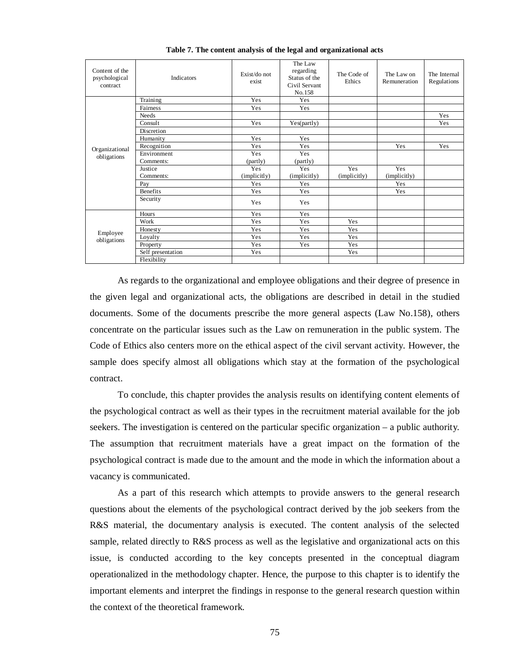| Content of the<br>psychological<br>contract | Indicators        | Exist/do not<br>exist | The Law<br>regarding<br>Status of the<br>Civil Servant<br>No.158 | The Code of<br>Ethics | The Law on<br>Remuneration | The Internal<br>Regulations |
|---------------------------------------------|-------------------|-----------------------|------------------------------------------------------------------|-----------------------|----------------------------|-----------------------------|
|                                             | Training          | Yes                   | Yes                                                              |                       |                            |                             |
|                                             | Fairness          | Yes                   | Yes                                                              |                       |                            |                             |
|                                             | Needs             |                       |                                                                  |                       |                            | Yes                         |
|                                             | Consult           | Yes                   | Yes(partly)                                                      |                       |                            | Yes                         |
|                                             | Discretion        |                       |                                                                  |                       |                            |                             |
|                                             | Humanity          | Yes                   | Yes                                                              |                       |                            |                             |
| Organizational                              | Recognition       | Yes                   | Yes                                                              |                       | Yes                        | Yes                         |
| obligations                                 | Environment       | Yes                   | <b>Yes</b>                                                       |                       |                            |                             |
|                                             | Comments:         | (partly)              | (partly)                                                         |                       |                            |                             |
|                                             | Justice           | Yes                   | Yes                                                              | Yes                   | Yes                        |                             |
|                                             | Comments:         | (implicitly)          | (implicitly)                                                     | (implicitly)          | (implicitly)               |                             |
|                                             | Pay               | Yes                   | Yes                                                              |                       | Yes                        |                             |
|                                             | <b>Benefits</b>   | Yes                   | Yes                                                              |                       | Yes                        |                             |
|                                             | Security          | Yes                   | Yes                                                              |                       |                            |                             |
|                                             | Hours             | Yes                   | Yes                                                              |                       |                            |                             |
|                                             | Work              | Yes                   | Yes                                                              | Yes                   |                            |                             |
|                                             | Honesty           | Yes                   | Yes                                                              | Yes                   |                            |                             |
| Employee<br>obligations                     | Loyalty           | Yes                   | Yes                                                              | Yes                   |                            |                             |
|                                             | Property          | Yes                   | Yes                                                              | Yes                   |                            |                             |
|                                             | Self presentation | Yes                   |                                                                  | Yes                   |                            |                             |
|                                             | Flexibility       |                       |                                                                  |                       |                            |                             |

**Table 7. The content analysis of the legal and organizational acts** 

As regards to the organizational and employee obligations and their degree of presence in the given legal and organizational acts, the obligations are described in detail in the studied documents. Some of the documents prescribe the more general aspects (Law No.158), others concentrate on the particular issues such as the Law on remuneration in the public system. The Code of Ethics also centers more on the ethical aspect of the civil servant activity. However, the sample does specify almost all obligations which stay at the formation of the psychological contract.

To conclude, this chapter provides the analysis results on identifying content elements of the psychological contract as well as their types in the recruitment material available for the job seekers. The investigation is centered on the particular specific organization – a public authority. The assumption that recruitment materials have a great impact on the formation of the psychological contract is made due to the amount and the mode in which the information about a vacancy is communicated.

As a part of this research which attempts to provide answers to the general research questions about the elements of the psychological contract derived by the job seekers from the R&S material, the documentary analysis is executed. The content analysis of the selected sample, related directly to R&S process as well as the legislative and organizational acts on this issue, is conducted according to the key concepts presented in the conceptual diagram operationalized in the methodology chapter. Hence, the purpose to this chapter is to identify the important elements and interpret the findings in response to the general research question within the context of the theoretical framework.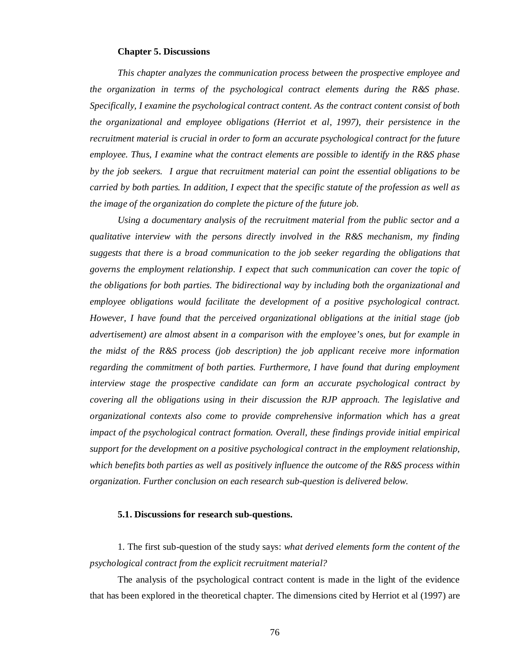### **Chapter 5. Discussions**

*This chapter analyzes the communication process between the prospective employee and the organization in terms of the psychological contract elements during the R&S phase. Specifically, I examine the psychological contract content. As the contract content consist of both the organizational and employee obligations (Herriot et al, 1997), their persistence in the recruitment material is crucial in order to form an accurate psychological contract for the future employee. Thus, I examine what the contract elements are possible to identify in the R&S phase by the job seekers. I argue that recruitment material can point the essential obligations to be carried by both parties. In addition, I expect that the specific statute of the profession as well as the image of the organization do complete the picture of the future job.* 

*Using a documentary analysis of the recruitment material from the public sector and a qualitative interview with the persons directly involved in the R&S mechanism, my finding suggests that there is a broad communication to the job seeker regarding the obligations that governs the employment relationship. I expect that such communication can cover the topic of the obligations for both parties. The bidirectional way by including both the organizational and employee obligations would facilitate the development of a positive psychological contract. However, I have found that the perceived organizational obligations at the initial stage (job advertisement) are almost absent in a comparison with the employee's ones, but for example in the midst of the R&S process (job description) the job applicant receive more information regarding the commitment of both parties. Furthermore, I have found that during employment interview stage the prospective candidate can form an accurate psychological contract by covering all the obligations using in their discussion the RJP approach. The legislative and organizational contexts also come to provide comprehensive information which has a great impact of the psychological contract formation. Overall, these findings provide initial empirical support for the development on a positive psychological contract in the employment relationship, which benefits both parties as well as positively influence the outcome of the R&S process within organization. Further conclusion on each research sub-question is delivered below.* 

### **5.1. Discussions for research sub-questions.**

1. The first sub-question of the study says: *what derived elements form the content of the psychological contract from the explicit recruitment material?*

The analysis of the psychological contract content is made in the light of the evidence that has been explored in the theoretical chapter. The dimensions cited by Herriot et al (1997) are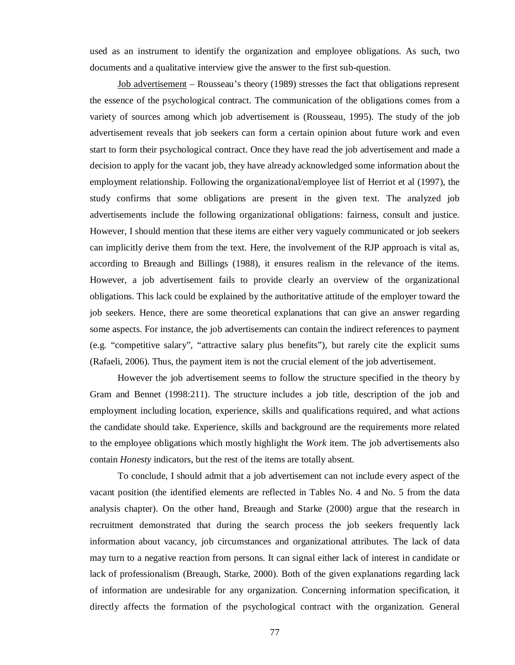used as an instrument to identify the organization and employee obligations. As such, two documents and a qualitative interview give the answer to the first sub-question.

Job advertisement – Rousseau's theory (1989) stresses the fact that obligations represent the essence of the psychological contract. The communication of the obligations comes from a variety of sources among which job advertisement is (Rousseau, 1995). The study of the job advertisement reveals that job seekers can form a certain opinion about future work and even start to form their psychological contract. Once they have read the job advertisement and made a decision to apply for the vacant job, they have already acknowledged some information about the employment relationship. Following the organizational/employee list of Herriot et al (1997), the study confirms that some obligations are present in the given text. The analyzed job advertisements include the following organizational obligations: fairness, consult and justice. However, I should mention that these items are either very vaguely communicated or job seekers can implicitly derive them from the text. Here, the involvement of the RJP approach is vital as, according to Breaugh and Billings (1988), it ensures realism in the relevance of the items. However, a job advertisement fails to provide clearly an overview of the organizational obligations. This lack could be explained by the authoritative attitude of the employer toward the job seekers. Hence, there are some theoretical explanations that can give an answer regarding some aspects. For instance, the job advertisements can contain the indirect references to payment (e.g. "competitive salary", "attractive salary plus benefits"), but rarely cite the explicit sums (Rafaeli, 2006). Thus, the payment item is not the crucial element of the job advertisement.

However the job advertisement seems to follow the structure specified in the theory by Gram and Bennet (1998:211). The structure includes a job title, description of the job and employment including location, experience, skills and qualifications required, and what actions the candidate should take. Experience, skills and background are the requirements more related to the employee obligations which mostly highlight the *Work* item. The job advertisements also contain *Honesty* indicators, but the rest of the items are totally absent.

To conclude, I should admit that a job advertisement can not include every aspect of the vacant position (the identified elements are reflected in Tables No. 4 and No. 5 from the data analysis chapter). On the other hand, Breaugh and Starke (2000) argue that the research in recruitment demonstrated that during the search process the job seekers frequently lack information about vacancy, job circumstances and organizational attributes. The lack of data may turn to a negative reaction from persons. It can signal either lack of interest in candidate or lack of professionalism (Breaugh, Starke, 2000). Both of the given explanations regarding lack of information are undesirable for any organization. Concerning information specification, it directly affects the formation of the psychological contract with the organization. General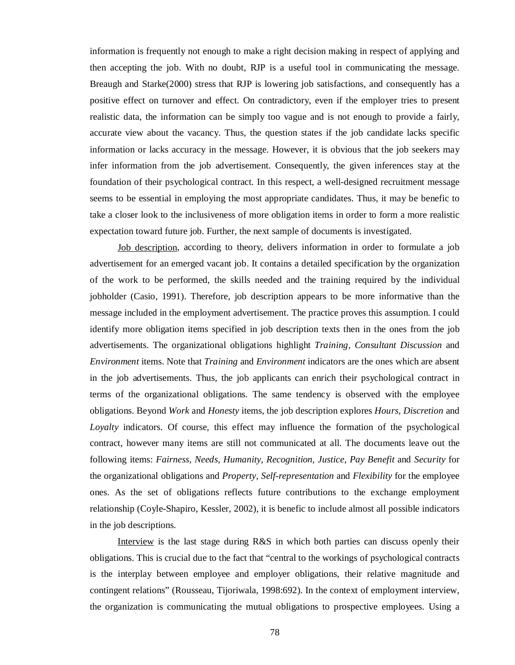information is frequently not enough to make a right decision making in respect of applying and then accepting the job. With no doubt, RJP is a useful tool in communicating the message. Breaugh and Starke(2000) stress that RJP is lowering job satisfactions, and consequently has a positive effect on turnover and effect. On contradictory, even if the employer tries to present realistic data, the information can be simply too vague and is not enough to provide a fairly, accurate view about the vacancy. Thus, the question states if the job candidate lacks specific information or lacks accuracy in the message. However, it is obvious that the job seekers may infer information from the job advertisement. Consequently, the given inferences stay at the foundation of their psychological contract. In this respect, a well-designed recruitment message seems to be essential in employing the most appropriate candidates. Thus, it may be benefic to take a closer look to the inclusiveness of more obligation items in order to form a more realistic expectation toward future job. Further, the next sample of documents is investigated.

Job description, according to theory, delivers information in order to formulate a job advertisement for an emerged vacant job. It contains a detailed specification by the organization of the work to be performed, the skills needed and the training required by the individual jobholder (Casio, 1991). Therefore, job description appears to be more informative than the message included in the employment advertisement. The practice proves this assumption. I could identify more obligation items specified in job description texts then in the ones from the job advertisements. The organizational obligations highlight *Training, Consultant Discussion* and *Environment* items. Note that *Training* and *Environment* indicators are the ones which are absent in the job advertisements. Thus, the job applicants can enrich their psychological contract in terms of the organizational obligations. The same tendency is observed with the employee obligations. Beyond *Work* and *Honesty* items, the job description explores *Hours, Discretion* and *Loyalty* indicators. Of course, this effect may influence the formation of the psychological contract, however many items are still not communicated at all. The documents leave out the following items: *Fairness, Needs, Humanity, Recognition, Justice, Pay Benefit* and *Security* for the organizational obligations and *Property, Self-representation* and *Flexibility* for the employee ones. As the set of obligations reflects future contributions to the exchange employment relationship (Coyle-Shapiro, Kessler, 2002), it is benefic to include almost all possible indicators in the job descriptions.

Interview is the last stage during R&S in which both parties can discuss openly their obligations. This is crucial due to the fact that "central to the workings of psychological contracts is the interplay between employee and employer obligations, their relative magnitude and contingent relations" (Rousseau, Tijoriwala, 1998:692). In the context of employment interview, the organization is communicating the mutual obligations to prospective employees. Using a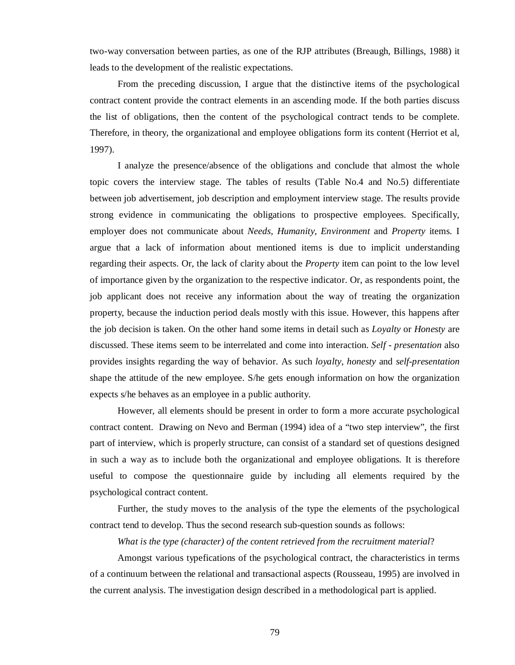two-way conversation between parties, as one of the RJP attributes (Breaugh, Billings, 1988) it leads to the development of the realistic expectations.

From the preceding discussion, I argue that the distinctive items of the psychological contract content provide the contract elements in an ascending mode. If the both parties discuss the list of obligations, then the content of the psychological contract tends to be complete. Therefore, in theory, the organizational and employee obligations form its content (Herriot et al, 1997).

I analyze the presence/absence of the obligations and conclude that almost the whole topic covers the interview stage. The tables of results (Table No.4 and No.5) differentiate between job advertisement, job description and employment interview stage. The results provide strong evidence in communicating the obligations to prospective employees. Specifically, employer does not communicate about *Needs*, *Humanity*, *Environment* and *Property* items. I argue that a lack of information about mentioned items is due to implicit understanding regarding their aspects. Or, the lack of clarity about the *Property* item can point to the low level of importance given by the organization to the respective indicator. Or, as respondents point, the job applicant does not receive any information about the way of treating the organization property, because the induction period deals mostly with this issue. However, this happens after the job decision is taken. On the other hand some items in detail such as *Loyalty* or *Honesty* are discussed*.* These items seem to be interrelated and come into interaction. *Self - presentation* also provides insights regarding the way of behavior. As such *loyalty, honesty* and *self-presentation* shape the attitude of the new employee. S/he gets enough information on how the organization expects s/he behaves as an employee in a public authority.

However, all elements should be present in order to form a more accurate psychological contract content. Drawing on Nevo and Berman (1994) idea of a "two step interview", the first part of interview, which is properly structure, can consist of a standard set of questions designed in such a way as to include both the organizational and employee obligations. It is therefore useful to compose the questionnaire guide by including all elements required by the psychological contract content.

Further, the study moves to the analysis of the type the elements of the psychological contract tend to develop. Thus the second research sub-question sounds as follows:

*What is the type (character) of the content retrieved from the recruitment material*?

Amongst various typefications of the psychological contract, the characteristics in terms of a continuum between the relational and transactional aspects (Rousseau, 1995) are involved in the current analysis. The investigation design described in a methodological part is applied.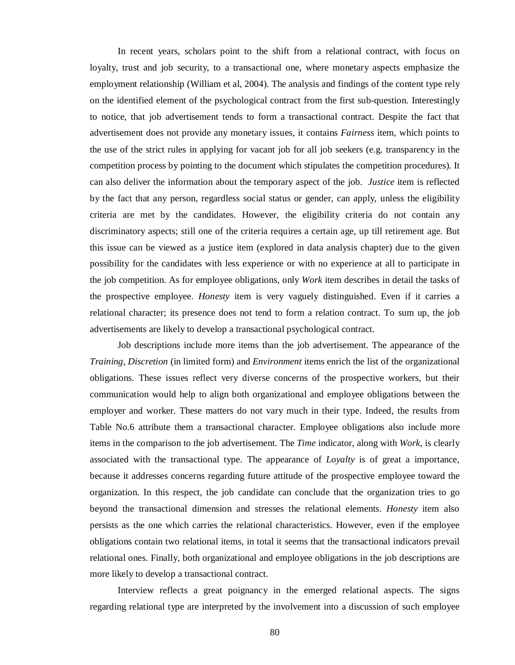In recent years, scholars point to the shift from a relational contract, with focus on loyalty, trust and job security, to a transactional one, where monetary aspects emphasize the employment relationship (William et al, 2004). The analysis and findings of the content type rely on the identified element of the psychological contract from the first sub-question. Interestingly to notice, that job advertisement tends to form a transactional contract. Despite the fact that advertisement does not provide any monetary issues, it contains *Fairness* item, which points to the use of the strict rules in applying for vacant job for all job seekers (e.g. transparency in the competition process by pointing to the document which stipulates the competition procedures). It can also deliver the information about the temporary aspect of the job. *Justice* item is reflected by the fact that any person, regardless social status or gender, can apply, unless the eligibility criteria are met by the candidates. However, the eligibility criteria do not contain any discriminatory aspects; still one of the criteria requires a certain age, up till retirement age. But this issue can be viewed as a justice item (explored in data analysis chapter) due to the given possibility for the candidates with less experience or with no experience at all to participate in the job competition. As for employee obligations, only *Work* item describes in detail the tasks of the prospective employee. *Honesty* item is very vaguely distinguished. Even if it carries a relational character; its presence does not tend to form a relation contract. To sum up, the job advertisements are likely to develop a transactional psychological contract.

Job descriptions include more items than the job advertisement. The appearance of the *Training, Discretion* (in limited form) and *Environment* items enrich the list of the organizational obligations. These issues reflect very diverse concerns of the prospective workers, but their communication would help to align both organizational and employee obligations between the employer and worker. These matters do not vary much in their type. Indeed, the results from Table No.6 attribute them a transactional character. Employee obligations also include more items in the comparison to the job advertisement. The *Time* indicator, along with *Work*, is clearly associated with the transactional type. The appearance of *Loyalty* is of great a importance, because it addresses concerns regarding future attitude of the prospective employee toward the organization. In this respect, the job candidate can conclude that the organization tries to go beyond the transactional dimension and stresses the relational elements. *Honesty* item also persists as the one which carries the relational characteristics. However, even if the employee obligations contain two relational items, in total it seems that the transactional indicators prevail relational ones. Finally, both organizational and employee obligations in the job descriptions are more likely to develop a transactional contract.

Interview reflects a great poignancy in the emerged relational aspects. The signs regarding relational type are interpreted by the involvement into a discussion of such employee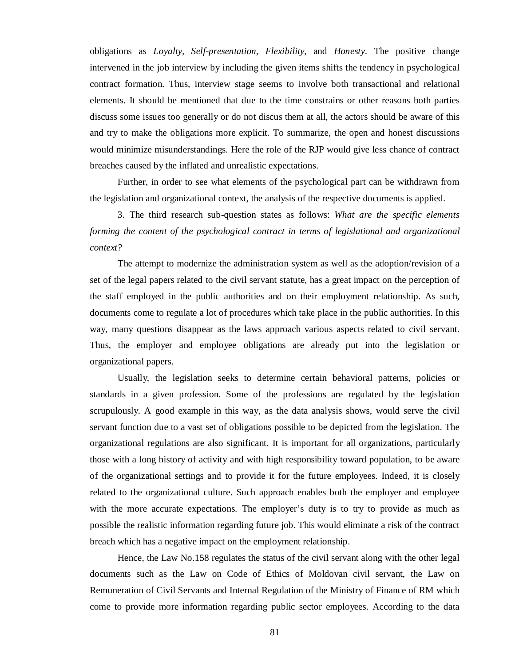obligations as *Loyalty, Self-presentation, Flexibility,* and *Honesty*. The positive change intervened in the job interview by including the given items shifts the tendency in psychological contract formation. Thus, interview stage seems to involve both transactional and relational elements. It should be mentioned that due to the time constrains or other reasons both parties discuss some issues too generally or do not discus them at all, the actors should be aware of this and try to make the obligations more explicit. To summarize, the open and honest discussions would minimize misunderstandings. Here the role of the RJP would give less chance of contract breaches caused by the inflated and unrealistic expectations.

Further, in order to see what elements of the psychological part can be withdrawn from the legislation and organizational context, the analysis of the respective documents is applied.

3. The third research sub-question states as follows: *What are the specific elements forming the content of the psychological contract in terms of legislational and organizational context?*

The attempt to modernize the administration system as well as the adoption/revision of a set of the legal papers related to the civil servant statute, has a great impact on the perception of the staff employed in the public authorities and on their employment relationship. As such, documents come to regulate a lot of procedures which take place in the public authorities. In this way, many questions disappear as the laws approach various aspects related to civil servant. Thus, the employer and employee obligations are already put into the legislation or organizational papers.

Usually, the legislation seeks to determine certain behavioral patterns, policies or standards in a given profession. Some of the professions are regulated by the legislation scrupulously. A good example in this way, as the data analysis shows, would serve the civil servant function due to a vast set of obligations possible to be depicted from the legislation. The organizational regulations are also significant. It is important for all organizations, particularly those with a long history of activity and with high responsibility toward population, to be aware of the organizational settings and to provide it for the future employees. Indeed, it is closely related to the organizational culture. Such approach enables both the employer and employee with the more accurate expectations. The employer's duty is to try to provide as much as possible the realistic information regarding future job. This would eliminate a risk of the contract breach which has a negative impact on the employment relationship.

Hence, the Law No.158 regulates the status of the civil servant along with the other legal documents such as the Law on Code of Ethics of Moldovan civil servant, the Law on Remuneration of Civil Servants and Internal Regulation of the Ministry of Finance of RM which come to provide more information regarding public sector employees. According to the data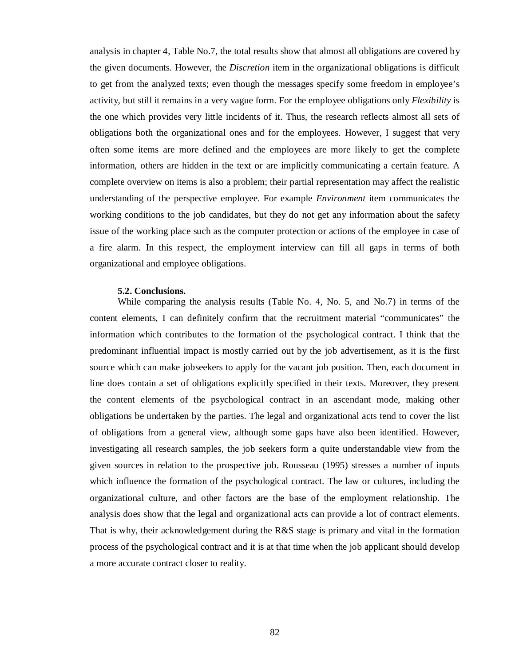analysis in chapter 4, Table No.7, the total results show that almost all obligations are covered by the given documents. However, the *Discretion* item in the organizational obligations is difficult to get from the analyzed texts; even though the messages specify some freedom in employee's activity, but still it remains in a very vague form. For the employee obligations only *Flexibility* is the one which provides very little incidents of it. Thus, the research reflects almost all sets of obligations both the organizational ones and for the employees. However, I suggest that very often some items are more defined and the employees are more likely to get the complete information, others are hidden in the text or are implicitly communicating a certain feature. A complete overview on items is also a problem; their partial representation may affect the realistic understanding of the perspective employee. For example *Environment* item communicates the working conditions to the job candidates, but they do not get any information about the safety issue of the working place such as the computer protection or actions of the employee in case of a fire alarm. In this respect, the employment interview can fill all gaps in terms of both organizational and employee obligations.

### **5.2. Conclusions.**

While comparing the analysis results (Table No. 4, No. 5, and No.7) in terms of the content elements, I can definitely confirm that the recruitment material "communicates" the information which contributes to the formation of the psychological contract. I think that the predominant influential impact is mostly carried out by the job advertisement, as it is the first source which can make jobseekers to apply for the vacant job position. Then, each document in line does contain a set of obligations explicitly specified in their texts. Moreover, they present the content elements of the psychological contract in an ascendant mode, making other obligations be undertaken by the parties. The legal and organizational acts tend to cover the list of obligations from a general view, although some gaps have also been identified. However, investigating all research samples, the job seekers form a quite understandable view from the given sources in relation to the prospective job. Rousseau (1995) stresses a number of inputs which influence the formation of the psychological contract. The law or cultures, including the organizational culture, and other factors are the base of the employment relationship. The analysis does show that the legal and organizational acts can provide a lot of contract elements. That is why, their acknowledgement during the R&S stage is primary and vital in the formation process of the psychological contract and it is at that time when the job applicant should develop a more accurate contract closer to reality.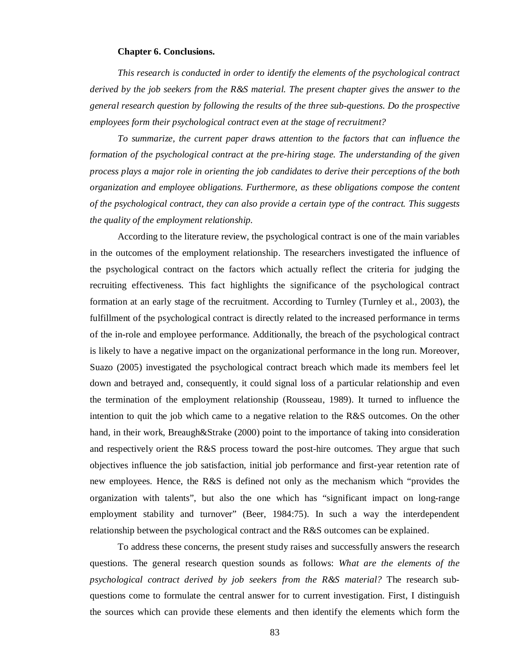### **Chapter 6. Conclusions.**

*This research is conducted in order to identify the elements of the psychological contract derived by the job seekers from the R&S material. The present chapter gives the answer to the general research question by following the results of the three sub-questions. Do the prospective employees form their psychological contract even at the stage of recruitment?* 

*To summarize, the current paper draws attention to the factors that can influence the formation of the psychological contract at the pre-hiring stage. The understanding of the given process plays a major role in orienting the job candidates to derive their perceptions of the both organization and employee obligations. Furthermore, as these obligations compose the content of the psychological contract, they can also provide a certain type of the contract. This suggests the quality of the employment relationship.*

According to the literature review, the psychological contract is one of the main variables in the outcomes of the employment relationship. The researchers investigated the influence of the psychological contract on the factors which actually reflect the criteria for judging the recruiting effectiveness. This fact highlights the significance of the psychological contract formation at an early stage of the recruitment. According to Turnley (Turnley et al., 2003), the fulfillment of the psychological contract is directly related to the increased performance in terms of the in-role and employee performance. Additionally, the breach of the psychological contract is likely to have a negative impact on the organizational performance in the long run. Moreover, Suazo (2005) investigated the psychological contract breach which made its members feel let down and betrayed and, consequently, it could signal loss of a particular relationship and even the termination of the employment relationship (Rousseau, 1989). It turned to influence the intention to quit the job which came to a negative relation to the R&S outcomes. On the other hand, in their work, Breaugh&Strake (2000) point to the importance of taking into consideration and respectively orient the R&S process toward the post-hire outcomes. They argue that such objectives influence the job satisfaction, initial job performance and first-year retention rate of new employees. Hence, the R&S is defined not only as the mechanism which "provides the organization with talents", but also the one which has "significant impact on long-range employment stability and turnover" (Beer, 1984:75). In such a way the interdependent relationship between the psychological contract and the R&S outcomes can be explained.

To address these concerns, the present study raises and successfully answers the research questions. The general research question sounds as follows: *What are the elements of the psychological contract derived by job seekers from the R&S material?* The research subquestions come to formulate the central answer for to current investigation. First, I distinguish the sources which can provide these elements and then identify the elements which form the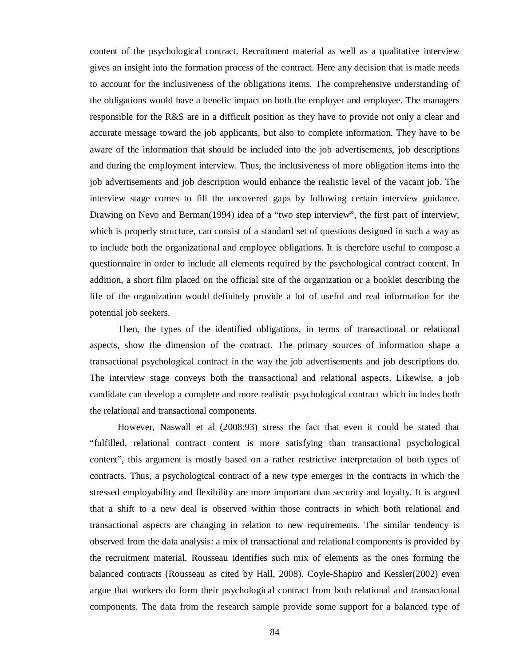content of the psychological contract. Recruitment material as well as a qualitative interview gives an insight into the formation process of the contract. Here any decision that is made needs to account for the inclusiveness of the obligations items. The comprehensive understanding of the obligations would have a benefic impact on both the employer and employee. The managers responsible for the R&S are in a difficult position as they have to provide not only a clear and accurate message toward the job applicants, but also to complete information. They have to be aware of the information that should be included into the job advertisements, job descriptions and during the employment interview. Thus, the inclusiveness of more obligation items into the job advertisements and job description would enhance the realistic level of the vacant job. The interview stage comes to fill the uncovered gaps by following certain interview guidance. Drawing on Nevo and Berman(1994) idea of a "two step interview", the first part of interview, which is properly structure, can consist of a standard set of questions designed in such a way as to include both the organizational and employee obligations. It is therefore useful to compose a questionnaire in order to include all elements required by the psychological contract content. In addition, a short film placed on the official site of the organization or a booklet describing the life of the organization would definitely provide a lot of useful and real information for the potential job seekers.

Then, the types of the identified obligations, in terms of transactional or relational aspects, show the dimension of the contract. The primary sources of information shape a transactional psychological contract in the way the job advertisements and job descriptions do. The interview stage conveys both the transactional and relational aspects. Likewise, a job candidate can develop a complete and more realistic psychological contract which includes both the relational and transactional components.

However, Naswall et al (2008:93) stress the fact that even it could be stated that "fulfilled, relational contract content is more satisfying than transactional psychological content", this argument is mostly based on a rather restrictive interpretation of both types of contracts. Thus, a psychological contract of a new type emerges in the contracts in which the stressed employability and flexibility are more important than security and loyalty. It is argued that a shift to a new deal is observed within those contracts in which both relational and transactional aspects are changing in relation to new requirements. The similar tendency is observed from the data analysis: a mix of transactional and relational components is provided by the recruitment material. Rousseau identifies such mix of elements as the ones forming the balanced contracts (Rousseau as cited by Hall, 2008). Coyle-Shapiro and Kessler(2002) even argue that workers do form their psychological contract from both relational and transactional components. The data from the research sample provide some support for a balanced type of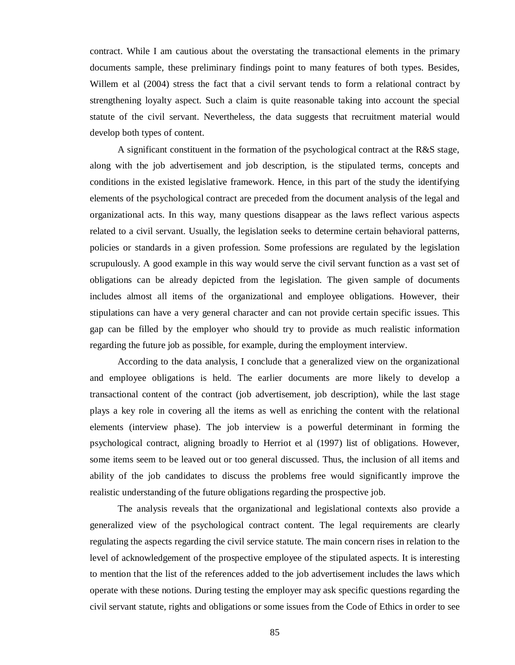contract. While I am cautious about the overstating the transactional elements in the primary documents sample, these preliminary findings point to many features of both types. Besides, Willem et al (2004) stress the fact that a civil servant tends to form a relational contract by strengthening loyalty aspect. Such a claim is quite reasonable taking into account the special statute of the civil servant. Nevertheless, the data suggests that recruitment material would develop both types of content.

A significant constituent in the formation of the psychological contract at the R&S stage, along with the job advertisement and job description, is the stipulated terms, concepts and conditions in the existed legislative framework. Hence, in this part of the study the identifying elements of the psychological contract are preceded from the document analysis of the legal and organizational acts. In this way, many questions disappear as the laws reflect various aspects related to a civil servant. Usually, the legislation seeks to determine certain behavioral patterns, policies or standards in a given profession. Some professions are regulated by the legislation scrupulously. A good example in this way would serve the civil servant function as a vast set of obligations can be already depicted from the legislation. The given sample of documents includes almost all items of the organizational and employee obligations. However, their stipulations can have a very general character and can not provide certain specific issues. This gap can be filled by the employer who should try to provide as much realistic information regarding the future job as possible, for example, during the employment interview.

According to the data analysis, I conclude that a generalized view on the organizational and employee obligations is held. The earlier documents are more likely to develop a transactional content of the contract (job advertisement, job description), while the last stage plays a key role in covering all the items as well as enriching the content with the relational elements (interview phase). The job interview is a powerful determinant in forming the psychological contract, aligning broadly to Herriot et al (1997) list of obligations. However, some items seem to be leaved out or too general discussed. Thus, the inclusion of all items and ability of the job candidates to discuss the problems free would significantly improve the realistic understanding of the future obligations regarding the prospective job.

The analysis reveals that the organizational and legislational contexts also provide a generalized view of the psychological contract content. The legal requirements are clearly regulating the aspects regarding the civil service statute. The main concern rises in relation to the level of acknowledgement of the prospective employee of the stipulated aspects. It is interesting to mention that the list of the references added to the job advertisement includes the laws which operate with these notions. During testing the employer may ask specific questions regarding the civil servant statute, rights and obligations or some issues from the Code of Ethics in order to see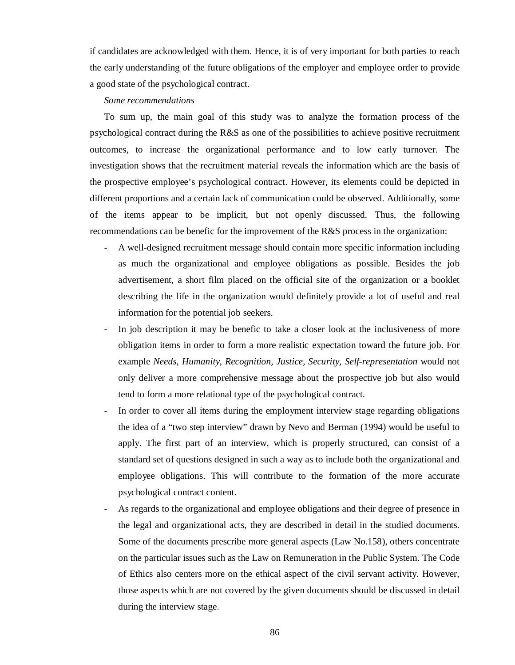if candidates are acknowledged with them. Hence, it is of very important for both parties to reach the early understanding of the future obligations of the employer and employee order to provide a good state of the psychological contract.

#### *Some recommendations*

To sum up, the main goal of this study was to analyze the formation process of the psychological contract during the R&S as one of the possibilities to achieve positive recruitment outcomes, to increase the organizational performance and to low early turnover. The investigation shows that the recruitment material reveals the information which are the basis of the prospective employee's psychological contract. However, its elements could be depicted in different proportions and a certain lack of communication could be observed. Additionally, some of the items appear to be implicit, but not openly discussed. Thus, the following recommendations can be benefic for the improvement of the R&S process in the organization:

- A well-designed recruitment message should contain more specific information including as much the organizational and employee obligations as possible. Besides the job advertisement, a short film placed on the official site of the organization or a booklet describing the life in the organization would definitely provide a lot of useful and real information for the potential job seekers.
- In job description it may be benefic to take a closer look at the inclusiveness of more obligation items in order to form a more realistic expectation toward the future job. For example *Needs, Humanity, Recognition, Justice, Security*, *Self-representation* would not only deliver a more comprehensive message about the prospective job but also would tend to form a more relational type of the psychological contract.
- In order to cover all items during the employment interview stage regarding obligations the idea of a "two step interview" drawn by Nevo and Berman (1994) would be useful to apply. The first part of an interview, which is properly structured, can consist of a standard set of questions designed in such a way as to include both the organizational and employee obligations. This will contribute to the formation of the more accurate psychological contract content.
- As regards to the organizational and employee obligations and their degree of presence in the legal and organizational acts, they are described in detail in the studied documents. Some of the documents prescribe more general aspects (Law No.158), others concentrate on the particular issues such as the Law on Remuneration in the Public System. The Code of Ethics also centers more on the ethical aspect of the civil servant activity. However, those aspects which are not covered by the given documents should be discussed in detail during the interview stage.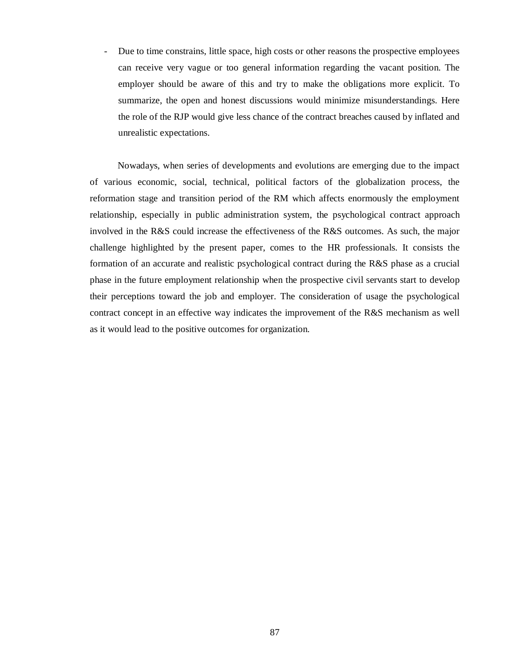- Due to time constrains, little space, high costs or other reasons the prospective employees can receive very vague or too general information regarding the vacant position. The employer should be aware of this and try to make the obligations more explicit. To summarize, the open and honest discussions would minimize misunderstandings. Here the role of the RJP would give less chance of the contract breaches caused by inflated and unrealistic expectations.

Nowadays, when series of developments and evolutions are emerging due to the impact of various economic, social, technical, political factors of the globalization process, the reformation stage and transition period of the RM which affects enormously the employment relationship, especially in public administration system, the psychological contract approach involved in the R&S could increase the effectiveness of the R&S outcomes. As such, the major challenge highlighted by the present paper, comes to the HR professionals. It consists the formation of an accurate and realistic psychological contract during the R&S phase as a crucial phase in the future employment relationship when the prospective civil servants start to develop their perceptions toward the job and employer. The consideration of usage the psychological contract concept in an effective way indicates the improvement of the R&S mechanism as well as it would lead to the positive outcomes for organization.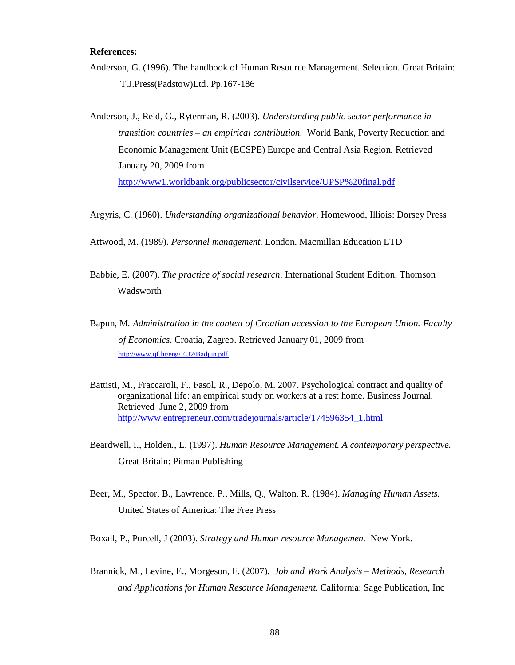## **References:**

- Anderson, G. (1996). The handbook of Human Resource Management. Selection. Great Britain: T.J.Press(Padstow)Ltd. Pp.167-186
- Anderson, J., Reid, G., Ryterman, R. (2003). *Understanding public sector performance in transition countries – an empirical contribution*. World Bank, Poverty Reduction and Economic Management Unit (ECSPE) Europe and Central Asia Region. Retrieved January 20, 2009 from <http://www1.worldbank.org/publicsector/civilservice/UPSP%20final.pdf>
- Argyris, C. (1960). *Understanding organizational behavior*. Homewood, Illiois: Dorsey Press
- Attwood, M. (1989). *Personnel management.* London. Macmillan Education LTD
- Babbie, E. (2007). *The practice of social research*. International Student Edition. Thomson Wadsworth
- Baрun, M. *Administration in the context of Croatian accession to the European Union. Faculty of Economics*. Croatia, Zagreb. Retrieved January 01, 2009 from <http://www.ijf.hr/eng/EU2/Badjun.pdf>
- Battisti, M., Fraccaroli, F., Fasol, R., Depolo, M. 2007. Psychological contract and quality of organizational life: an empirical study on workers at a rest home. Business Journal. Retrieved June 2, 2009 from [http://www.entrepreneur.com/tradejournals/article/174596354\\_1.html](http://www.entrepreneur.com/tradejournals/article/174596354_1.html)
- Beardwell, I., Holden., L. (1997). *Human Resource Management. A contemporary perspective.*  Great Britain: Pitman Publishing
- Beer, M., Spector, B., Lawrence. P., Mills, Q., Walton, R. (1984). *Managing Human Assets.* United States of America: The Free Press
- Boxall, P., Purcell, J (2003). *Strategy and Human resource Managemen.* New York.
- Brannick, M., Levine, E., Morgeson, F. (2007). *Job and Work Analysis – Methods, Research and Applications for Human Resource Management.* California: Sage Publication, Inc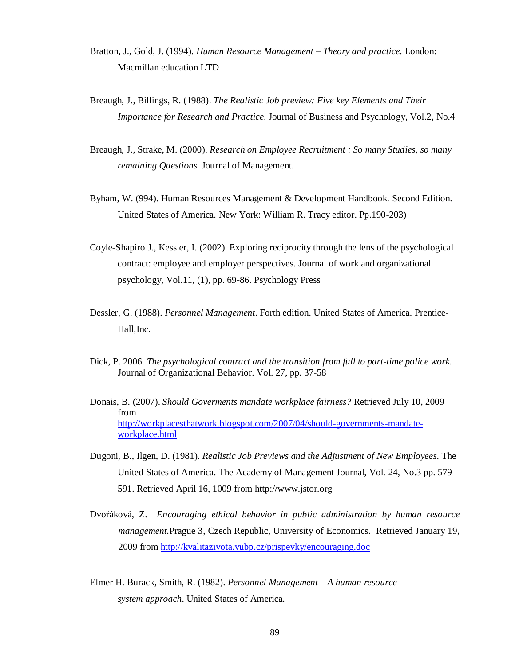- Bratton, J., Gold, J. (1994). *Human Resource Management – Theory and practice*. London: Macmillan education LTD
- Breaugh, J., Billings, R. (1988). *The Realistic Job preview: Five key Elements and Their Importance for Research and Practice*. Journal of Business and Psychology, Vol.2, No.4
- Breaugh, J., Strake, M. (2000). *Research on Employee Recruitment : So many Studies, so many remaining Questions*. Journal of Management.
- Byham, W. (994). Human Resources Management & Development Handbook. Second Edition. United States of America. New York: William R. Tracy editor. Pp.190-203)
- Coyle-Shapiro J., Kessler, I. (2002). Exploring reciprocity through the lens of the psychological contract: employee and employer perspectives. Journal of work and organizational psychology, Vol.11, (1), pp. 69-86. Psychology Press
- Dessler, G. (1988). *Personnel Management*. Forth edition. United States of America. Prentice-Hall,Inc.
- Dick, P. 2006. *The psychological contract and the transition from full to part-time police work*. Journal of Organizational Behavior. Vol. 27, pp. 37-58
- Donais, B. (2007). *Should Goverments mandate workplace fairness?* Retrieved July 10, 2009 from <http://workplacesthatwork.blogspot.com/2007/04/should-governments-mandate>workplace.html
- Dugoni, B., Ilgen, D. (1981). *Realistic Job Previews and the Adjustment of New Employees*. The United States of America. The Academy of Management Journal, Vol. 24, No.3 pp. 579- 591. Retrieved April 16, 1009 from<http://www.jstor.org>
- Dvořáková, Z. *Encouraging ethical behavior in public administration by human resource management.*Prague 3, Czech Republic, University of Economics. Retrieved January 19, 2009 from <http://kvalitazivota.vubp.cz/prispevky/encouraging.doc>
- Elmer H. Burack, Smith, R. (1982). *Personnel Management – A human resource system approach*. United States of America.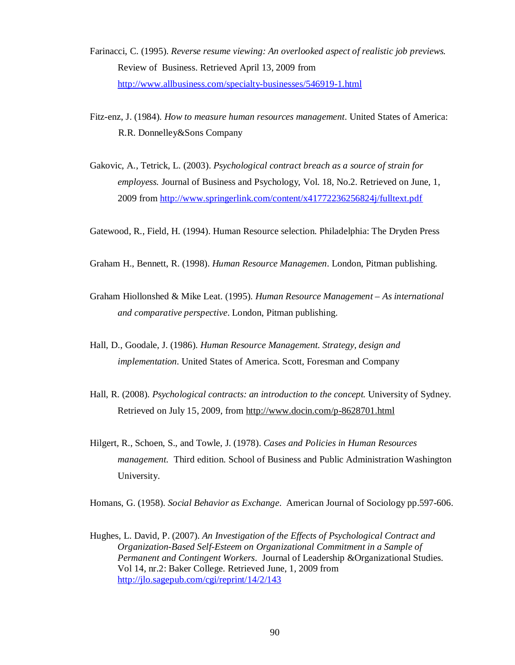- Farinacci, C. (1995). *Reverse resume viewing: An overlooked aspect of realistic job previews.*  Review of Business. Retrieved April 13, 2009 from <http://www.allbusiness.com/specialty-businesses/546919-1.html>
- Fitz-enz, J. (1984). *How to measure human resources management*. United States of America: R.R. Donnelley&Sons Company
- Gakovic, A., Tetrick, L. (2003). *Psychological contract breach as a source of strain for employess.* Journal of Business and Psychology, Vol. 18, No.2. Retrieved on June, 1, 2009 from<http://www.springerlink.com/content/x41772236256824j/fulltext.pdf>

Gatewood, R., Field, H. (1994). Human Resource selection. Philadelphia: The Dryden Press

- Graham H., Bennett, R. (1998). *Human Resource Managemen*. London, Pitman publishing.
- Graham Hiollonshed & Mike Leat. (1995). *Human Resource Management As international and comparative perspective*. London, Pitman publishing.
- Hall, D., Goodale, J. (1986). *Human Resource Management. Strategy, design and implementation.* United States of America. Scott, Foresman and Company
- Hall, R. (2008). *Psychological contracts: an introduction to the concept.* University of Sydney. Retrieved on July 15, 2009, from <http://www.docin.com/p-8628701.html>
- Hilgert, R., Schoen, S., and Towle, J. (1978). *Cases and Policies in Human Resources management.* Third edition. School of Business and Public Administration Washington University.

Homans, G. (1958). *Social Behavior as Exchange*. American Journal of Sociology pp.597-606.

Hughes, L. David, P. (2007). *An Investigation of the Effects of Psychological Contract and Organization-Based Self-Esteem on Organizational Commitment in a Sample of Permanent and Contingent Workers*. Journal of Leadership &Organizational Studies. Vol 14, nr.2: Baker College. Retrieved June, 1, 2009 from <http://jlo.sagepub.com/cgi/reprint/14/2/143>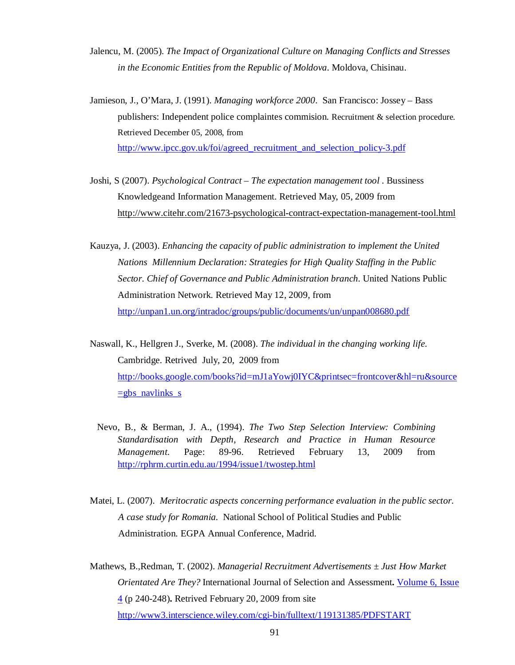- Jalencu, M. (2005). *The Impact of Organizational Culture on Managing Conflicts and Stresses in the Economic Entities from the Republic of Moldova*. Moldova, Chisinau.
- Jamieson, J., O'Mara, J. (1991). *Managing workforce 2000*. San Francisco: Jossey Bass publishers: Independent police complaintes commision. Recruitment & selection procedure*.*  Retrieved December 05, 2008, from [http://www.ipcc.gov.uk/foi/agreed\\_recruitment\\_and\\_selection\\_policy-3.pdf](http://www.ipcc.gov.uk/foi/agreed_recruitment_and_selection_policy-3.pdf)
- Joshi, S (2007). *Psychological Contract – The expectation management tool* . Bussiness Knowledgeand Information Management. Retrieved May, 05, 2009 from <http://www.citehr.com/21673-psychological-contract-expectation-management-tool.html>
- Kauzya, J. (2003). *Enhancing the capacity of public administration to implement the United Nations Millennium Declaration: Strategies for High Quality Staffing in the Public Sector. Chief of Governance and Public Administration branch*. United Nations Public Administration Network. Retrieved May 12, 2009, from <http://unpan1.un.org/intradoc/groups/public/documents/un/unpan008680.pdf>
- Naswall, K., Hellgren J., Sverke, M. (2008). *The individual in the changing working life*. Cambridge. Retrived July, 20, 2009 from <http://books.google.com/books?id=mJ1aYowj0IYC&printsec=frontcover&hl=ru&source>  $=$ gbs navlinks s
	- Nevo, B., & Berman, J. A., (1994). *The Two Step Selection Interview: Combining Standardisation with Depth*, *Research and Practice in Human Resource Management*. Page: 89-96. Retrieved February 13, 2009 from <http://rphrm.curtin.edu.au/1994/issue1/twostep.html>
- Matei, L. (2007). *Meritocratic aspects concerning performance evaluation in the public sector. A case study for Romania*. National School of Political Studies and Public Administration. EGPA Annual Conference, Madrid.
- Mathews, B.,Redman, T. (2002). *Managerial Recruitment Advertisements ± Just How Market Orientated Are They?* International Journal of Selection and Assessment**.** Volume 6, Issue 4 (p 240-248)**.** Retrived February 20, 2009 from site <http://www3.interscience.wiley.com/cgi-bin/fulltext/119131385/PDFSTART>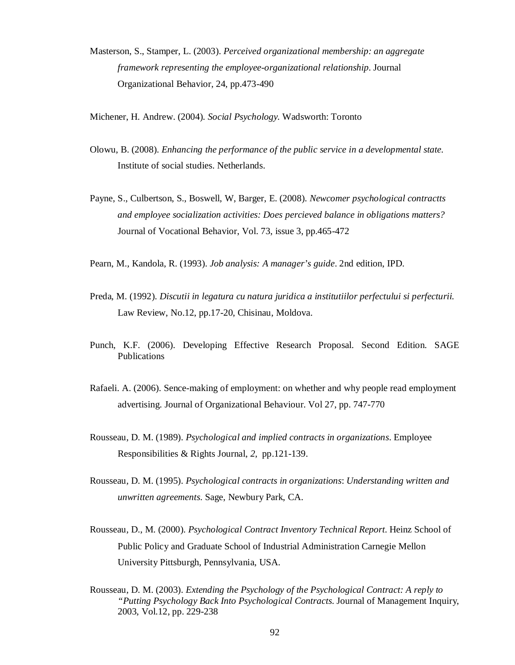- Masterson, S., Stamper, L. (2003). *Perceived organizational membership: an aggregate framework representing the employee-organizational relationship*. Journal Organizational Behavior, 24, pp.473-490
- Michener, H. Andrew. (2004)*. Social Psychology.* Wadsworth: Toronto
- Olowu, B. (2008). *Enhancing the performance of the public service in a developmental state.*  Institute of social studies. Netherlands.
- Payne, S., Culbertson, S., Boswell, W, Barger, E. (2008). *Newcomer psychological contractts and employee socialization activities: Does percieved balance in obligations matters?* Journal of Vocational Behavior, Vol. 73, issue 3, pp.465-472
- Pearn, M., Kandola, R. (1993). *Job analysis: A manager's guide*. 2nd edition, IPD.
- Preda, M. (1992). *Discutii in legatura cu natura juridica a institutiilor perfectului si perfecturii*. Law Review, No.12, pp.17-20, Chisinau, Moldova.
- Punch, K.F. (2006). Developing Effective Research Proposal. Second Edition. SAGE Publications
- Rafaeli. A. (2006). Sence-making of employment: on whether and why people read employment advertising. Journal of Organizational Behaviour. Vol 27, pp. 747-770
- Rousseau, D. M. (1989). *Psychological and implied contracts in organizations*. Employee Responsibilities & Rights Journal, *2*, pp.121-139.
- Rousseau, D. M. (1995). *Psychological contracts in organizations*: *Understanding written and unwritten agreements*. Sage, Newbury Park, CA.
- Rousseau, D., M. (2000). *Psychological Contract Inventory Technical Report*. Heinz School of Public Policy and Graduate School of Industrial Administration Carnegie Mellon University Pittsburgh, Pennsylvania, USA.
- Rousseau, D. M. (2003). *Extending the Psychology of the Psychological Contract: A reply to "Putting Psychology Back Into Psychological Contracts*. Journal of Management Inquiry, 2003, Vol.12, pp. 229-238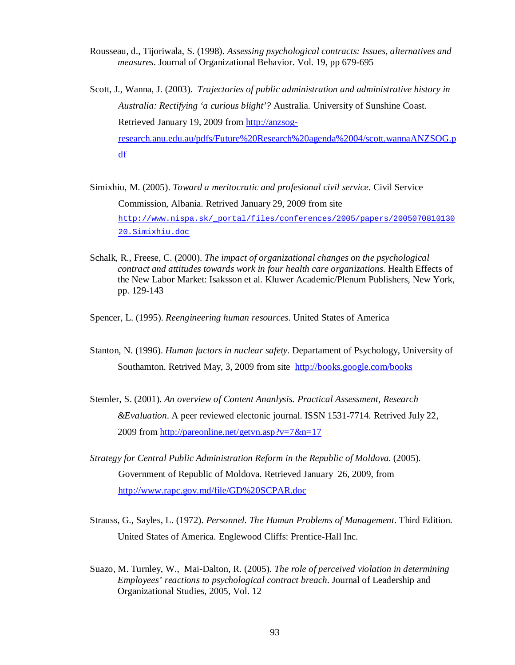Rousseau, d., Tijoriwala, S. (1998). *Assessing psychological contracts: Issues, alternatives and measures*. Journal of Organizational Behavior. Vol. 19, pp 679-695

Scott, J., Wanna, J. (2003). *Trajectories of public administration and administrative history in Australia: Rectifying 'a curious blight'?* Australia. University of Sunshine Coast. Retrieved January 19, 2009 from http://anzsogresearch.anu.edu.au/pdfs/Future%20Research%20agenda%2004/scott.wannaANZSOG.p df

Simixhiu, M. (2005). *Toward a meritocratic and profesional civil service*. Civil Service Commission, Albania. Retrived January 29, 2009 from site [http://www.nispa.sk/\\_portal/files/conferences/2005/papers/2005070810130](http://www.nispa.sk/_portal/files/conferences/2005/papers/2005070810130) 20.Simixhiu.doc

Schalk, R., Freese, C. (2000). *The impact of organizational changes on the psychological contract and attitudes towards work in four health care organizations.* Health Effects of the New Labor Market: Isaksson et al. Kluwer Academic/Plenum Publishers, New York, pp. 129-143

Spencer, L. (1995). *Reengineering human resources*. United States of America

- Stanton, N. (1996). *Human factors in nuclear safety*. Departament of Psychology, University of Southamton. Retrived May, 3, 2009 from site <http://books.google.com/books>
- Stemler, S. (2001). *An overview of Content Ananlysis. Practical Assessment, Research &Evaluation*. A peer reviewed electonic journal. ISSN 1531-7714. Retrived July 22, 2009 from<http://pareonline.net/getvn.asp?v=7&n=17>
- *Strategy for Central Public Administration Reform in the Republic of Moldova*. (2005). Government of Republic of Moldova. Retrieved January 26, 2009, from <http://www.rapc.gov.md/file/GD%20SCPAR.doc>
- Strauss, G., Sayles, L. (1972). *Personnel. The Human Problems of Management*. Third Edition. United States of America. Englewood Cliffs: Prentice-Hall Inc.
- Suazo, M. Turnley, W., Mai-Dalton, R. (2005). *The role of perceived violation in determining Employees' reactions to psychological contract breach*. Journal of Leadership and Organizational Studies, 2005, Vol. 12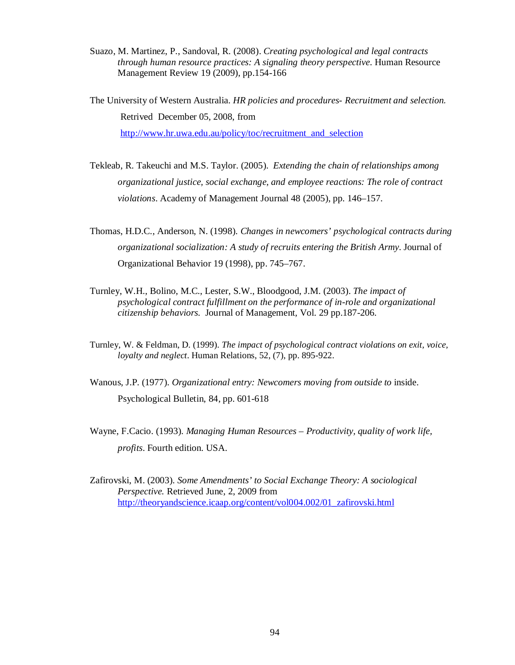- Suazo, M. Martinez, P., Sandoval, R. (2008). *Creating psychological and legal contracts through human resource practices: A signaling theory perspective*. Human Resource Management Review 19 (2009), pp.154-166
- The University of Western Australia. *HR policies and procedures- Recruitment and selection.*  Retrived December 05, 2008, from http://www.hr.uwa.edu.au/policy/toc/recruitment and selection
- Tekleab, R. Takeuchi and M.S. Taylor. (2005). *Extending the chain of relationships among organizational justice, social exchange, and employee reactions: The role of contract violations*. Academy of Management Journal 48 (2005), pp. 146–157.
- Thomas, H.D.C., Anderson, N. (1998). *Changes in newcomers' psychological contracts during organizational socialization: A study of recruits entering the British Army*. Journal of Organizational Behavior 19 (1998), pp. 745–767.
- Turnley, W.H., Bolino, M.C., Lester, S.W., Bloodgood, J.M. (2003). *The impact of psychological contract fulfillment on the performance of in-role and organizational citizenship behaviors.* Journal of Management*,* Vol. 29 pp.187-206.
- Turnley, W. & Feldman, D. (1999). *The impact of psychological contract violations on exit, voice, loyalty and neglect*. Human Relations, 52, (7), pp. 895-922.
- Wanous, J.P. (1977). *Organizational entry: Newcomers moving from outside to* inside. Psychological Bulletin, 84, pp. 601-618
- Wayne, F.Cacio. (1993). *Managing Human Resources – Productivity, quality of work life, profits*. Fourth edition. USA.
- Zafirovski, M. (2003). *Some Amendments' to Social Exchange Theory: A sociological Perspective.* Retrieved June, 2, 2009 from [http://theoryandscience.icaap.org/content/vol004.002/01\\_zafirovski.html](http://theoryandscience.icaap.org/content/vol004.002/01_zafirovski.html)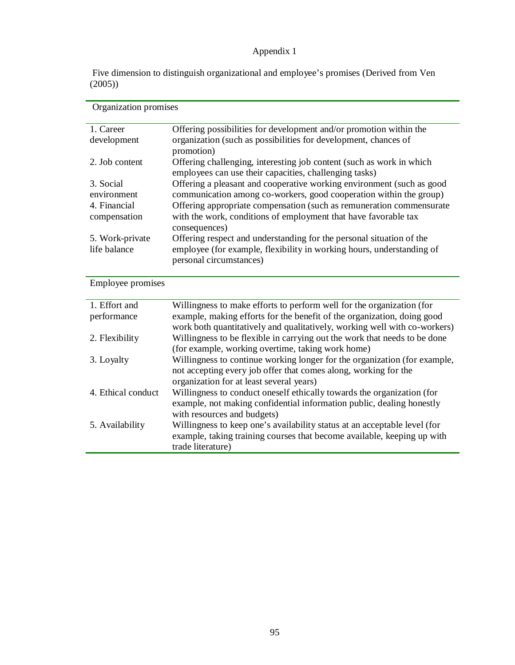# Appendix 1

Five dimension to distinguish organizational and employee's promises (Derived from Ven (2005))

| Organization promises           |                                                                                                                                                                          |
|---------------------------------|--------------------------------------------------------------------------------------------------------------------------------------------------------------------------|
| 1. Career                       | Offering possibilities for development and/or promotion within the                                                                                                       |
| development                     | organization (such as possibilities for development, chances of<br>promotion)                                                                                            |
| 2. Job content                  | Offering challenging, interesting job content (such as work in which<br>employees can use their capacities, challenging tasks)                                           |
| 3. Social                       | Offering a pleasant and cooperative working environment (such as good                                                                                                    |
| environment<br>4. Financial     | communication among co-workers, good cooperation within the group)<br>Offering appropriate compensation (such as remuneration commensurate                               |
| compensation                    | with the work, conditions of employment that have favorable tax<br>consequences)                                                                                         |
| 5. Work-private<br>life balance | Offering respect and understanding for the personal situation of the<br>employee (for example, flexibility in working hours, understanding of<br>personal circumstances) |

Employee promises

| 1. Effort and      | Willingness to make efforts to perform well for the organization (for     |
|--------------------|---------------------------------------------------------------------------|
| performance        | example, making efforts for the benefit of the organization, doing good   |
|                    | work both quantitatively and qualitatively, working well with co-workers) |
| 2. Flexibility     | Willingness to be flexible in carrying out the work that needs to be done |
|                    | (for example, working overtime, taking work home)                         |
| 3. Loyalty         | Willingness to continue working longer for the organization (for example, |
|                    | not accepting every job offer that comes along, working for the           |
|                    | organization for at least several years)                                  |
| 4. Ethical conduct | Willingness to conduct oneself ethically towards the organization (for    |
|                    | example, not making confidential information public, dealing honestly     |
|                    | with resources and budgets)                                               |
| 5. Availability    | Willingness to keep one's availability status at an acceptable level (for |
|                    | example, taking training courses that become available, keeping up with   |
|                    | trade literature)                                                         |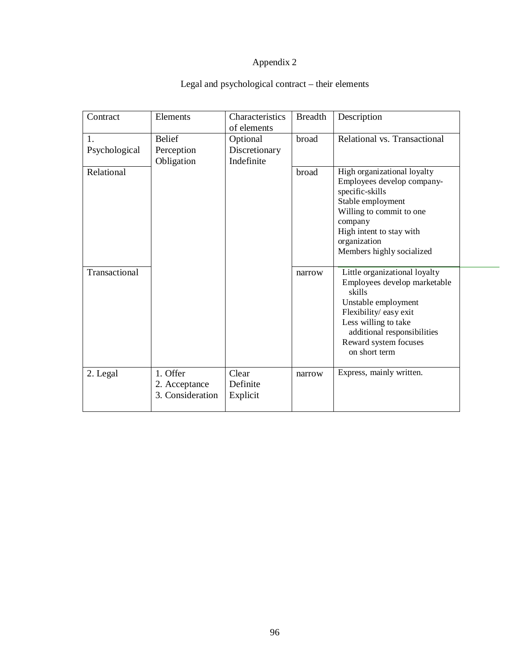# Appendix 2

# Legal and psychological contract – their elements

| Contract            | Elements                                      | Characteristics<br>of elements          | <b>Breadth</b> | Description                                                                                                                                                                                                               |
|---------------------|-----------------------------------------------|-----------------------------------------|----------------|---------------------------------------------------------------------------------------------------------------------------------------------------------------------------------------------------------------------------|
| 1.<br>Psychological | <b>Belief</b><br>Perception<br>Obligation     | Optional<br>Discretionary<br>Indefinite | broad          | Relational vs. Transactional                                                                                                                                                                                              |
| Relational          |                                               |                                         | broad          | High organizational loyalty<br>Employees develop company-<br>specific-skills<br>Stable employment<br>Willing to commit to one<br>company<br>High intent to stay with<br>organization<br>Members highly socialized         |
| Transactional       |                                               |                                         | narrow         | Little organizational loyalty<br>Employees develop marketable<br>skills<br>Unstable employment<br>Flexibility/ easy exit<br>Less willing to take<br>additional responsibilities<br>Reward system focuses<br>on short term |
| 2. Legal            | 1. Offer<br>2. Acceptance<br>3. Consideration | Clear<br>Definite<br>Explicit           | narrow         | Express, mainly written.                                                                                                                                                                                                  |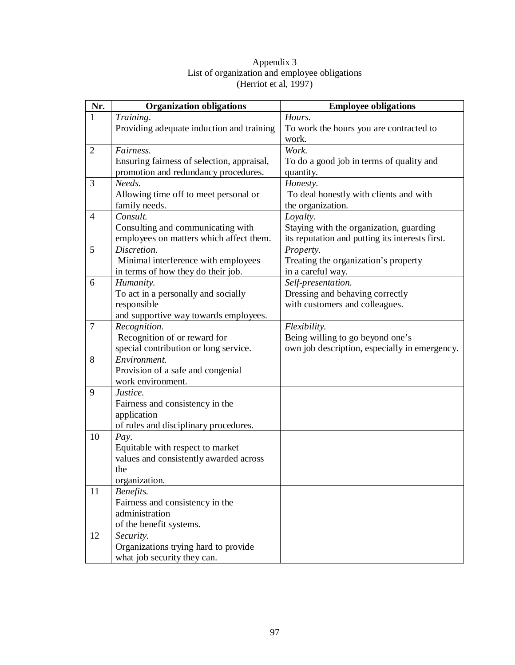| Nr.            | <b>Organization obligations</b>            | <b>Employee obligations</b>                     |
|----------------|--------------------------------------------|-------------------------------------------------|
| 1              | Training.                                  | Hours.                                          |
|                | Providing adequate induction and training  | To work the hours you are contracted to         |
|                |                                            | work.                                           |
| $\overline{2}$ | Fairness.                                  | Work.                                           |
|                | Ensuring fairness of selection, appraisal, | To do a good job in terms of quality and        |
|                | promotion and redundancy procedures.       | quantity.                                       |
| 3              | Needs.                                     | Honesty.                                        |
|                | Allowing time off to meet personal or      | To deal honestly with clients and with          |
|                | family needs.                              | the organization.                               |
| $\overline{4}$ | Consult.                                   | Loyalty.                                        |
|                | Consulting and communicating with          | Staying with the organization, guarding         |
|                | employees on matters which affect them.    | its reputation and putting its interests first. |
| 5              | Discretion.                                | Property.                                       |
|                | Minimal interference with employees        | Treating the organization's property            |
|                | in terms of how they do their job.         | in a careful way.                               |
| 6              | Humanity.                                  | Self-presentation.                              |
|                | To act in a personally and socially        | Dressing and behaving correctly                 |
|                | responsible                                | with customers and colleagues.                  |
|                | and supportive way towards employees.      |                                                 |
| $\tau$         | Recognition.                               | Flexibility.                                    |
|                | Recognition of or reward for               | Being willing to go beyond one's                |
|                | special contribution or long service.      | own job description, especially in emergency.   |
| 8              | Environment.                               |                                                 |
|                | Provision of a safe and congenial          |                                                 |
|                | work environment.                          |                                                 |
| 9              | Justice.                                   |                                                 |
|                | Fairness and consistency in the            |                                                 |
|                | application                                |                                                 |
|                | of rules and disciplinary procedures.      |                                                 |
| 10             | Pay.                                       |                                                 |
|                | Equitable with respect to market           |                                                 |
|                | values and consistently awarded across     |                                                 |
|                | the                                        |                                                 |
| 11             | organization.<br>Benefits.                 |                                                 |
|                | Fairness and consistency in the            |                                                 |
|                | administration                             |                                                 |
|                | of the benefit systems.                    |                                                 |
| 12             | Security.                                  |                                                 |
|                | Organizations trying hard to provide       |                                                 |
|                | what job security they can.                |                                                 |
|                |                                            |                                                 |

## Appendix 3 List of organization and employee obligations (Herriot et al, 1997)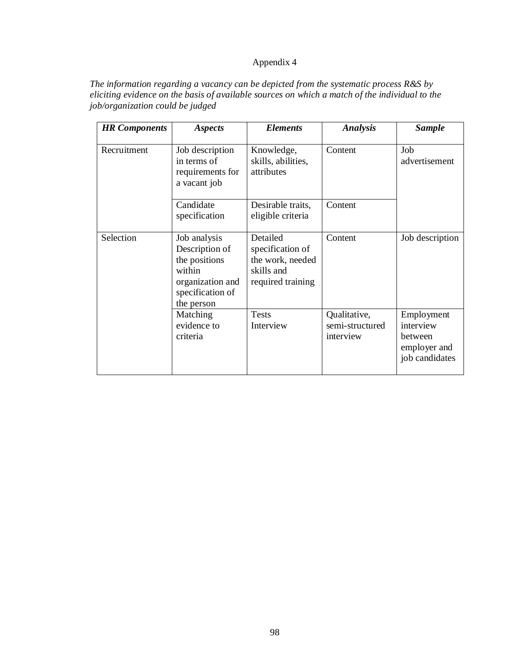# Appendix 4

*The information regarding a vacancy can be depicted from the systematic process R&S by eliciting evidence on the basis of available sources on which a match of the individual to the job/organization could be judged* 

| <b>HR</b> Components | <b>Aspects</b>                                                                                                  | <b>Elements</b>                                                                     | <b>Analysis</b>                              | <b>Sample</b>                                                        |
|----------------------|-----------------------------------------------------------------------------------------------------------------|-------------------------------------------------------------------------------------|----------------------------------------------|----------------------------------------------------------------------|
| Recruitment          | Job description<br>in terms of<br>requirements for<br>a vacant job                                              | Knowledge,<br>skills, abilities,<br>attributes                                      | Content                                      | Job<br>advertisement                                                 |
|                      | Candidate<br>specification                                                                                      | Desirable traits,<br>eligible criteria                                              | Content                                      |                                                                      |
| Selection            | Job analysis<br>Description of<br>the positions<br>within<br>organization and<br>specification of<br>the person | Detailed<br>specification of<br>the work, needed<br>skills and<br>required training | Content                                      | Job description                                                      |
|                      | Matching<br>evidence to<br>criteria                                                                             | <b>Tests</b><br>Interview                                                           | Qualitative,<br>semi-structured<br>interview | Employment<br>interview<br>between<br>employer and<br>job candidates |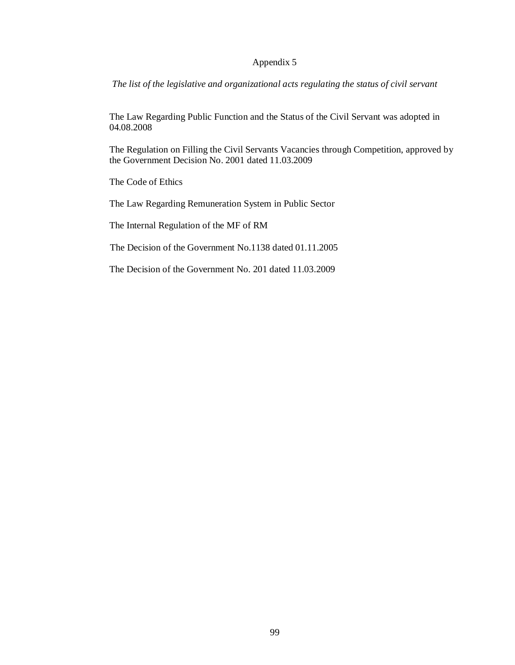## Appendix 5

*The list of the legislative and organizational acts regulating the status of civil servant* 

The Law Regarding Public Function and the Status of the Civil Servant was adopted in 04.08.2008

The Regulation on Filling the Civil Servants Vacancies through Competition, approved by the Government Decision No. 2001 dated 11.03.2009

The Code of Ethics

The Law Regarding Remuneration System in Public Sector

The Internal Regulation of the MF of RM

The Decision of the Government No.1138 dated 01.11.2005

The Decision of the Government No. 201 dated 11.03.2009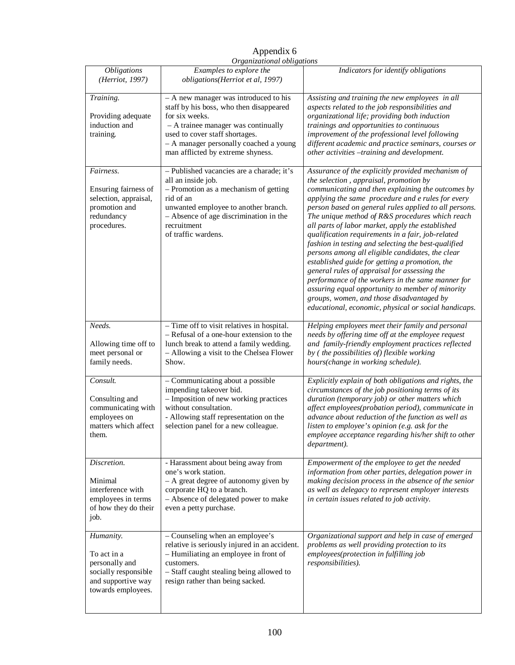|                                                                                                                | Organizational obligations                                                                                                                                                                                                                                 |                                                                                                                                                                                                                                                                                                                                                                                                                                                                                                                                                                                                                                                                                                                                                                                                                                                       |
|----------------------------------------------------------------------------------------------------------------|------------------------------------------------------------------------------------------------------------------------------------------------------------------------------------------------------------------------------------------------------------|-------------------------------------------------------------------------------------------------------------------------------------------------------------------------------------------------------------------------------------------------------------------------------------------------------------------------------------------------------------------------------------------------------------------------------------------------------------------------------------------------------------------------------------------------------------------------------------------------------------------------------------------------------------------------------------------------------------------------------------------------------------------------------------------------------------------------------------------------------|
| <b>Obligations</b><br>(Herriot, 1997)                                                                          | Examples to explore the<br>obligations(Herriot et al, 1997)                                                                                                                                                                                                | Indicators for identify obligations                                                                                                                                                                                                                                                                                                                                                                                                                                                                                                                                                                                                                                                                                                                                                                                                                   |
| Training.<br>Providing adequate<br>induction and<br>training.                                                  | - A new manager was introduced to his<br>staff by his boss, who then disappeared<br>for six weeks.<br>- A trainee manager was continually<br>used to cover staff shortages.<br>- A manager personally coached a young<br>man afflicted by extreme shyness. | Assisting and training the new employees in all<br>aspects related to the job responsibilities and<br>organizational life; providing both induction<br>trainings and opportunities to continuous<br>improvement of the professional level following<br>different academic and practice seminars, courses or<br>other activities -training and development.                                                                                                                                                                                                                                                                                                                                                                                                                                                                                            |
| Fairness.<br>Ensuring fairness of<br>selection, appraisal,<br>promotion and<br>redundancy<br>procedures.       | - Published vacancies are a charade; it's<br>all an inside job.<br>- Promotion as a mechanism of getting<br>rid of an<br>unwanted employee to another branch.<br>- Absence of age discrimination in the<br>recruitment<br>of traffic wardens.              | Assurance of the explicitly provided mechanism of<br>the selection, appraisal, promotion by<br>communicating and then explaining the outcomes by<br>applying the same procedure and e rules for every<br>person based on general rules applied to all persons.<br>The unique method of R&S procedures which reach<br>all parts of labor market, apply the established<br>qualification requirements in a fair, job-related<br>fashion in testing and selecting the best-qualified<br>persons among all eligible candidates, the clear<br>established guide for getting a promotion, the<br>general rules of appraisal for assessing the<br>performance of the workers in the same manner for<br>assuring equal opportunity to member of minority<br>groups, women, and those disadvantaged by<br>educational, economic, physical or social handicaps. |
| Needs.<br>Allowing time off to<br>meet personal or<br>family needs.                                            | - Time off to visit relatives in hospital.<br>- Refusal of a one-hour extension to the<br>lunch break to attend a family wedding.<br>- Allowing a visit to the Chelsea Flower<br>Show.                                                                     | Helping employees meet their family and personal<br>needs by offering time off at the employee request<br>and family-friendly employment practices reflected<br>by (the possibilities of) flexible working<br>hours(change in working schedule).                                                                                                                                                                                                                                                                                                                                                                                                                                                                                                                                                                                                      |
| Consult.<br>Consulting and<br>communicating with<br>employees on<br>matters which affect<br>them.              | - Communicating about a possible<br>impending takeover bid.<br>- Imposition of new working practices<br>without consultation.<br>- Allowing staff representation on the<br>selection panel for a new colleague.                                            | Explicitly explain of both obligations and rights, the<br>circumstances of the job positioning terms of its<br>duration (temporary job) or other matters which<br>affect employees(probation period), communicate in<br>advance about reduction of the function as well as<br>listen to employee's opinion (e.g. ask for the<br>employee acceptance regarding his/her shift to other<br>department).                                                                                                                                                                                                                                                                                                                                                                                                                                                  |
| Discretion.<br>Minimal<br>interference with<br>employees in terms<br>of how they do their<br>job.              | - Harassment about being away from<br>one's work station.<br>- A great degree of autonomy given by<br>corporate HQ to a branch.<br>- Absence of delegated power to make<br>even a petty purchase.                                                          | Empowerment of the employee to get the needed<br>information from other parties, delegation power in<br>making decision process in the absence of the senior<br>as well as delegacy to represent employer interests<br>in certain issues related to job activity.                                                                                                                                                                                                                                                                                                                                                                                                                                                                                                                                                                                     |
| Humanity.<br>To act in a<br>personally and<br>socially responsible<br>and supportive way<br>towards employees. | - Counseling when an employee's<br>relative is seriously injured in an accident.<br>- Humiliating an employee in front of<br>customers.<br>- Staff caught stealing being allowed to<br>resign rather than being sacked.                                    | Organizational support and help in case of emerged<br>problems as well providing protection to its<br>employees(protection in fulfilling job<br>responsibilities).                                                                                                                                                                                                                                                                                                                                                                                                                                                                                                                                                                                                                                                                                    |

Appendix 6 *Organizational obligations*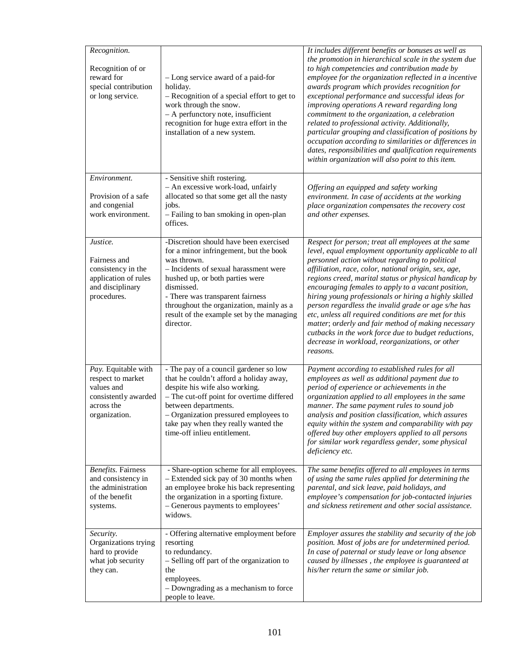| Recognition.<br>Recognition of or<br>reward for<br>special contribution<br>or long service.                   | - Long service award of a paid-for<br>holiday.<br>- Recognition of a special effort to get to<br>work through the snow.<br>- A perfunctory note, insufficient<br>recognition for huge extra effort in the<br>installation of a new system.                                                                                          | It includes different benefits or bonuses as well as<br>the promotion in hierarchical scale in the system due<br>to high competencies and contribution made by<br>employee for the organization reflected in a incentive<br>awards program which provides recognition for<br>exceptional performance and successful ideas for<br>improving operations A reward regarding long<br>commitment to the organization, a celebration<br>related to professional activity. Additionally,<br>particular grouping and classification of positions by<br>occupation according to similarities or differences in<br>dates, responsibilities and qualification requirements<br>within organization will also point to this item. |
|---------------------------------------------------------------------------------------------------------------|-------------------------------------------------------------------------------------------------------------------------------------------------------------------------------------------------------------------------------------------------------------------------------------------------------------------------------------|----------------------------------------------------------------------------------------------------------------------------------------------------------------------------------------------------------------------------------------------------------------------------------------------------------------------------------------------------------------------------------------------------------------------------------------------------------------------------------------------------------------------------------------------------------------------------------------------------------------------------------------------------------------------------------------------------------------------|
| Environment.<br>Provision of a safe<br>and congenial<br>work environment.                                     | - Sensitive shift rostering.<br>- An excessive work-load, unfairly<br>allocated so that some get all the nasty<br>jobs.<br>- Failing to ban smoking in open-plan<br>offices.                                                                                                                                                        | Offering an equipped and safety working<br>environment. In case of accidents at the working<br>place organization compensates the recovery cost<br>and other expenses.                                                                                                                                                                                                                                                                                                                                                                                                                                                                                                                                               |
| Justice.<br>Fairness and<br>consistency in the<br>application of rules<br>and disciplinary<br>procedures.     | -Discretion should have been exercised<br>for a minor infringement, but the book<br>was thrown.<br>- Incidents of sexual harassment were<br>hushed up, or both parties were<br>dismissed.<br>- There was transparent fairness<br>throughout the organization, mainly as a<br>result of the example set by the managing<br>director. | Respect for person; treat all employees at the same<br>level, equal employment opportunity applicable to all<br>personnel action without regarding to political<br>affiliation, race, color, national origin, sex, age,<br>regions creed, marital status or physical handicap by<br>encouraging females to apply to a vacant position,<br>hiring young professionals or hiring a highly skilled<br>person regardless the invalid grade or age s/he has<br>etc, unless all required conditions are met for this<br>matter; orderly and fair method of making necessary<br>cutbacks in the work force due to budget reductions,<br>decrease in workload, reorganizations, or other<br>reasons.                         |
| Pay. Equitable with<br>respect to market<br>values and<br>consistently awarded<br>across the<br>organization. | - The pay of a council gardener so low<br>that he couldn't afford a holiday away,<br>despite his wife also working.<br>- The cut-off point for overtime differed<br>between departments.<br>- Organization pressured employees to<br>take pay when they really wanted the<br>time-off inlieu entitlement.                           | Payment according to established rules for all<br>employees as well as additional payment due to<br>period of experience or achievements in the<br>organization applied to all employees in the same<br>manner. The same payment rules to sound job<br>analysis and position classification, which assures<br>equity within the system and comparability with pay<br>offered buy other employers applied to all persons<br>for similar work regardless gender, some physical<br>deficiency etc.                                                                                                                                                                                                                      |
| <b>Benefits</b> . Fairness<br>and consistency in<br>the administration<br>of the benefit<br>systems.          | - Share-option scheme for all employees.<br>- Extended sick pay of 30 months when<br>an employee broke his back representing<br>the organization in a sporting fixture.<br>- Generous payments to employees'<br>widows.                                                                                                             | The same benefits offered to all employees in terms<br>of using the same rules applied for determining the<br>parental, and sick leave, paid holidays, and<br>employee's compensation for job-contacted injuries<br>and sickness retirement and other social assistance.                                                                                                                                                                                                                                                                                                                                                                                                                                             |
| Security.<br>Organizations trying<br>hard to provide<br>what job security<br>they can.                        | - Offering alternative employment before<br>resorting<br>to redundancy.<br>- Selling off part of the organization to<br>the<br>employees.<br>- Downgrading as a mechanism to force<br>people to leave.                                                                                                                              | Employer assures the stability and security of the job<br>position. Most of jobs are for undetermined period.<br>In case of paternal or study leave or long absence<br>caused by illnesses, the employee is guaranteed at<br>his/her return the same or similar job.                                                                                                                                                                                                                                                                                                                                                                                                                                                 |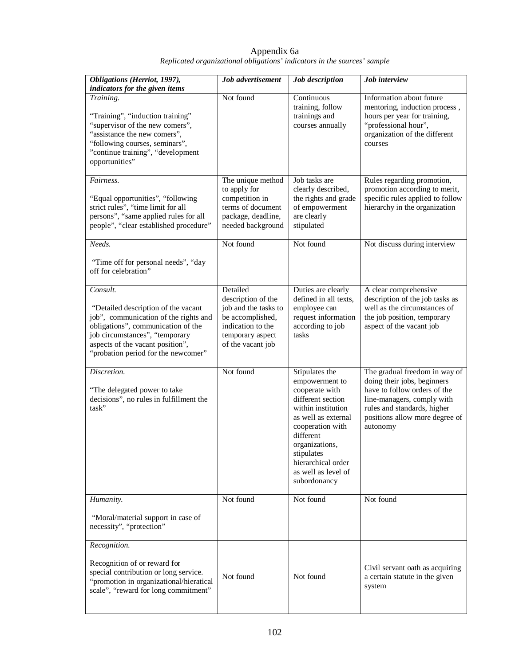| Obligations (Herriot, 1997),<br>indicators for the given items                                                                                                                                                                              | Job advertisement                                                                                                                        | Job description                                                                                                                                                                                                                                    | Job interview                                                                                                                                                                                           |
|---------------------------------------------------------------------------------------------------------------------------------------------------------------------------------------------------------------------------------------------|------------------------------------------------------------------------------------------------------------------------------------------|----------------------------------------------------------------------------------------------------------------------------------------------------------------------------------------------------------------------------------------------------|---------------------------------------------------------------------------------------------------------------------------------------------------------------------------------------------------------|
| Training.<br>"Training", "induction training"<br>"supervisor of the new comers",<br>"assistance the new comers",<br>"following courses, seminars",<br>"continue training", "development<br>opportunities"                                   | Not found                                                                                                                                | Continuous<br>training, follow<br>trainings and<br>courses annually                                                                                                                                                                                | Information about future<br>mentoring, induction process,<br>hours per year for training,<br>"professional hour",<br>organization of the different<br>courses                                           |
| Fairness.<br>"Equal opportunities", "following<br>strict rules", "time limit for all<br>persons", "same applied rules for all<br>people", "clear established procedure"                                                                     | The unique method<br>to apply for<br>competition in<br>terms of document<br>package, deadline,<br>needed background                      | Job tasks are<br>clearly described,<br>the rights and grade<br>of empowerment<br>are clearly<br>stipulated                                                                                                                                         | Rules regarding promotion,<br>promotion according to merit,<br>specific rules applied to follow<br>hierarchy in the organization                                                                        |
| Needs.<br>"Time off for personal needs", "day<br>off for celebration"                                                                                                                                                                       | Not found                                                                                                                                | Not found                                                                                                                                                                                                                                          | Not discuss during interview                                                                                                                                                                            |
| Consult.<br>"Detailed description of the vacant<br>job", communication of the rights and<br>obligations", communication of the<br>job circumstances", "temporary<br>aspects of the vacant position",<br>"probation period for the newcomer" | Detailed<br>description of the<br>job and the tasks to<br>be accomplished,<br>indication to the<br>temporary aspect<br>of the vacant job | Duties are clearly<br>defined in all texts,<br>employee can<br>request information<br>according to job<br>tasks                                                                                                                                    | A clear comprehensive<br>description of the job tasks as<br>well as the circumstances of<br>the job position, temporary<br>aspect of the vacant job                                                     |
| Discretion.<br>"The delegated power to take<br>decisions", no rules in fulfillment the<br>task"                                                                                                                                             | Not found                                                                                                                                | Stipulates the<br>empowerment to<br>cooperate with<br>different section<br>within institution<br>as well as external<br>cooperation with<br>different<br>organizations,<br>stipulates<br>hierarchical order<br>as well as level of<br>subordonancy | The gradual freedom in way of<br>doing their jobs, beginners<br>have to follow orders of the<br>line-managers, comply with<br>rules and standards, higher<br>positions allow more degree of<br>autonomy |
| Humanity.                                                                                                                                                                                                                                   | Not found                                                                                                                                | Not found                                                                                                                                                                                                                                          | Not found                                                                                                                                                                                               |
| "Moral/material support in case of<br>necessity", "protection"<br>Recognition.                                                                                                                                                              |                                                                                                                                          |                                                                                                                                                                                                                                                    |                                                                                                                                                                                                         |
| Recognition of or reward for<br>special contribution or long service.<br>"promotion in organizational/hieratical<br>scale", "reward for long commitment"                                                                                    | Not found                                                                                                                                | Not found                                                                                                                                                                                                                                          | Civil servant oath as acquiring<br>a certain statute in the given<br>system                                                                                                                             |

Appendix 6a *Replicated organizational obligations' indicators in the sources' sample* 

 $\mathbf l$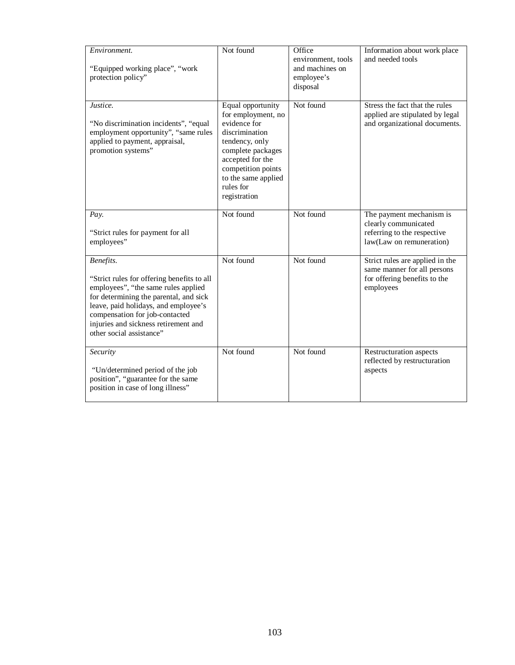| Environment.<br>"Equipped working place", "work<br>protection policy"                                                                                                                                                                                                                  | Not found                                                                                                                                                                                                      | Office<br>environment, tools<br>and machines on<br>employee's<br>disposal | Information about work place<br>and needed tools                                                            |
|----------------------------------------------------------------------------------------------------------------------------------------------------------------------------------------------------------------------------------------------------------------------------------------|----------------------------------------------------------------------------------------------------------------------------------------------------------------------------------------------------------------|---------------------------------------------------------------------------|-------------------------------------------------------------------------------------------------------------|
| Justice.<br>"No discrimination incidents", "equal<br>employment opportunity", "same rules<br>applied to payment, appraisal,<br>promotion systems"                                                                                                                                      | Equal opportunity<br>for employment, no<br>evidence for<br>discrimination<br>tendency, only<br>complete packages<br>accepted for the<br>competition points<br>to the same applied<br>rules for<br>registration | Not found                                                                 | Stress the fact that the rules<br>applied are stipulated by legal<br>and organizational documents.          |
| Pay.<br>"Strict rules for payment for all<br>employees"                                                                                                                                                                                                                                | Not found                                                                                                                                                                                                      | Not found                                                                 | The payment mechanism is<br>clearly communicated<br>referring to the respective<br>law(Law on remuneration) |
| Benefits.<br>"Strict rules for offering benefits to all<br>employees", "the same rules applied<br>for determining the parental, and sick<br>leave, paid holidays, and employee's<br>compensation for job-contacted<br>injuries and sickness retirement and<br>other social assistance" | Not found                                                                                                                                                                                                      | Not found                                                                 | Strict rules are applied in the<br>same manner for all persons<br>for offering benefits to the<br>employees |
| Security<br>"Un/determined period of the job<br>position", "guarantee for the same<br>position in case of long illness"                                                                                                                                                                | Not found                                                                                                                                                                                                      | Not found                                                                 | Restructuration aspects<br>reflected by restructuration<br>aspects                                          |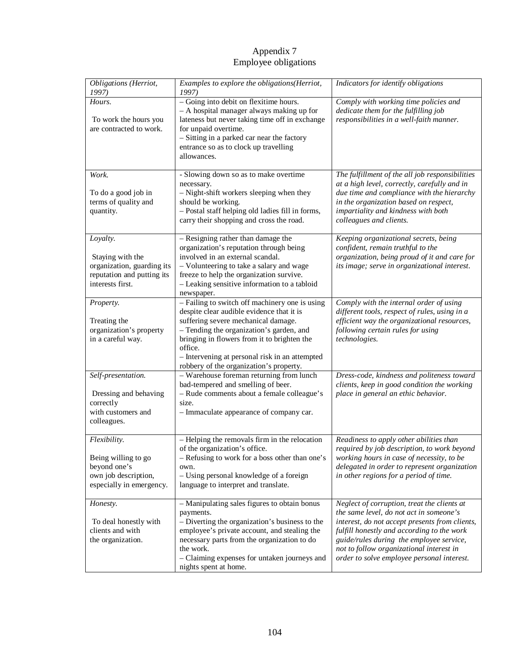# Appendix 7 Employee obligations

| Obligations (Herriot,                                                                                        | Examples to explore the obligations(Herriot,                                                                                                                                                                                                                                                                                          | Indicators for identify obligations                                                                                                                                                                                                                                                                                          |
|--------------------------------------------------------------------------------------------------------------|---------------------------------------------------------------------------------------------------------------------------------------------------------------------------------------------------------------------------------------------------------------------------------------------------------------------------------------|------------------------------------------------------------------------------------------------------------------------------------------------------------------------------------------------------------------------------------------------------------------------------------------------------------------------------|
| 1997)                                                                                                        | 1997)                                                                                                                                                                                                                                                                                                                                 |                                                                                                                                                                                                                                                                                                                              |
| Hours.<br>To work the hours you<br>are contracted to work.                                                   | - Going into debit on flexitime hours.<br>- A hospital manager always making up for<br>lateness but never taking time off in exchange<br>for unpaid overtime.<br>- Sitting in a parked car near the factory<br>entrance so as to clock up travelling<br>allowances.                                                                   | Comply with working time policies and<br>dedicate them for the fulfilling job<br>responsibilities in a well-faith manner.                                                                                                                                                                                                    |
| Work.<br>To do a good job in<br>terms of quality and<br>quantity.                                            | - Slowing down so as to make overtime<br>necessary.<br>- Night-shift workers sleeping when they<br>should be working.<br>- Postal staff helping old ladies fill in forms,<br>carry their shopping and cross the road.                                                                                                                 | The fulfillment of the all job responsibilities<br>at a high level, correctly, carefully and in<br>due time and compliance with the hierarchy<br>in the organization based on respect,<br>impartiality and kindness with both<br>colleagues and clients.                                                                     |
| Loyalty.<br>Staying with the<br>organization, guarding its<br>reputation and putting its<br>interests first. | - Resigning rather than damage the<br>organization's reputation through being<br>involved in an external scandal.<br>- Volunteering to take a salary and wage<br>freeze to help the organization survive.<br>- Leaking sensitive information to a tabloid<br>newspaper.                                                               | Keeping organizational secrets, being<br>confident, remain truthful to the<br>organization, being proud of it and care for<br>its image; serve in organizational interest.                                                                                                                                                   |
| Property.<br>Treating the<br>organization's property<br>in a careful way.                                    | - Failing to switch off machinery one is using<br>despite clear audible evidence that it is<br>suffering severe mechanical damage.<br>- Tending the organization's garden, and<br>bringing in flowers from it to brighten the<br>office.<br>- Intervening at personal risk in an attempted<br>robbery of the organization's property. | Comply with the internal order of using<br>different tools, respect of rules, using in a<br>efficient way the organizational resources,<br>following certain rules for using<br>technologies.                                                                                                                                |
| Self-presentation.<br>Dressing and behaving<br>correctly<br>with customers and<br>colleagues.                | - Warehouse foreman returning from lunch<br>bad-tempered and smelling of beer.<br>- Rude comments about a female colleague's<br>size.<br>- Immaculate appearance of company car.                                                                                                                                                      | Dress-code, kindness and politeness toward<br>clients, keep in good condition the working<br>place in general an ethic behavior.                                                                                                                                                                                             |
| Flexibility.<br>Being willing to go<br>beyond one's<br>own job description,<br>especially in emergency.      | - Helping the removals firm in the relocation<br>of the organization's office.<br>- Refusing to work for a boss other than one's<br>own.<br>- Using personal knowledge of a foreign<br>language to interpret and translate.                                                                                                           | Readiness to apply other abilities than<br>required by job description, to work beyond<br>working hours in case of necessity, to be<br>delegated in order to represent organization<br>in other regions for a period of time.                                                                                                |
| Honesty.<br>To deal honestly with<br>clients and with<br>the organization.                                   | - Manipulating sales figures to obtain bonus<br>payments.<br>- Diverting the organization's business to the<br>employee's private account, and stealing the<br>necessary parts from the organization to do<br>the work.<br>- Claiming expenses for untaken journeys and<br>nights spent at home.                                      | Neglect of corruption, treat the clients at<br>the same level, do not act in someone's<br>interest, do not accept presents from clients,<br>fulfill honestly and according to the work<br>guide/rules during the employee service,<br>not to follow organizational interest in<br>order to solve employee personal interest. |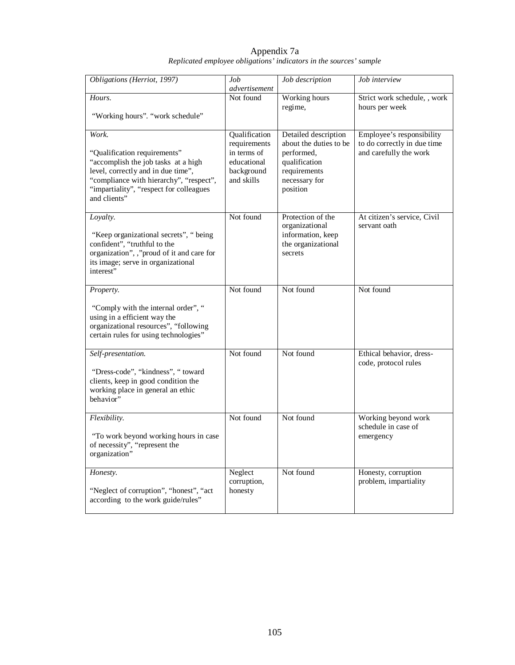| Appendix 7a                                                        |  |
|--------------------------------------------------------------------|--|
| Replicated employee obligations' indicators in the sources' sample |  |

| Obligations (Herriot, 1997)                                                                                                                                                                                     | Job<br>advertisement                                   | Job description                                                                           | Job interview                                            |  |
|-----------------------------------------------------------------------------------------------------------------------------------------------------------------------------------------------------------------|--------------------------------------------------------|-------------------------------------------------------------------------------------------|----------------------------------------------------------|--|
| Hours.<br>"Working hours". "work schedule"                                                                                                                                                                      | Not found                                              | Working hours<br>regime,                                                                  | Strict work schedule, , work<br>hours per week           |  |
| Work.                                                                                                                                                                                                           | Qualification<br>requirements                          | Detailed description<br>about the duties to be                                            | Employee's responsibility<br>to do correctly in due time |  |
| "Qualification requirements"<br>"accomplish the job tasks at a high<br>level, correctly and in due time",<br>"compliance with hierarchy", "respect",<br>"impartiality", "respect for colleagues<br>and clients" | in terms of<br>educational<br>background<br>and skills | performed,<br>qualification<br>requirements<br>necessary for<br>position                  | and carefully the work                                   |  |
| Loyalty.<br>"Keep organizational secrets", "being<br>confident", "truthful to the<br>organization", ,"proud of it and care for<br>its image; serve in organizational<br>interest"                               | Not found                                              | Protection of the<br>organizational<br>information, keep<br>the organizational<br>secrets | At citizen's service, Civil<br>servant oath              |  |
| Property.<br>"Comply with the internal order", "<br>using in a efficient way the                                                                                                                                | Not found                                              | Not found                                                                                 | Not found                                                |  |
| organizational resources", "following<br>certain rules for using technologies"                                                                                                                                  |                                                        |                                                                                           |                                                          |  |
| Self-presentation.<br>"Dress-code", "kindness", " toward<br>clients, keep in good condition the<br>working place in general an ethic<br>behavior"                                                               | Not found                                              | Not found                                                                                 | Ethical behavior, dress-<br>code, protocol rules         |  |
| Flexibility.<br>"To work beyond working hours in case<br>of necessity", "represent the<br>organization"                                                                                                         | Not found                                              | Not found                                                                                 | Working beyond work<br>schedule in case of<br>emergency  |  |
| Honesty.<br>"Neglect of corruption", "honest", "act<br>according to the work guide/rules"                                                                                                                       | Neglect<br>corruption,<br>honesty                      | Not found                                                                                 | Honesty, corruption<br>problem, impartiality             |  |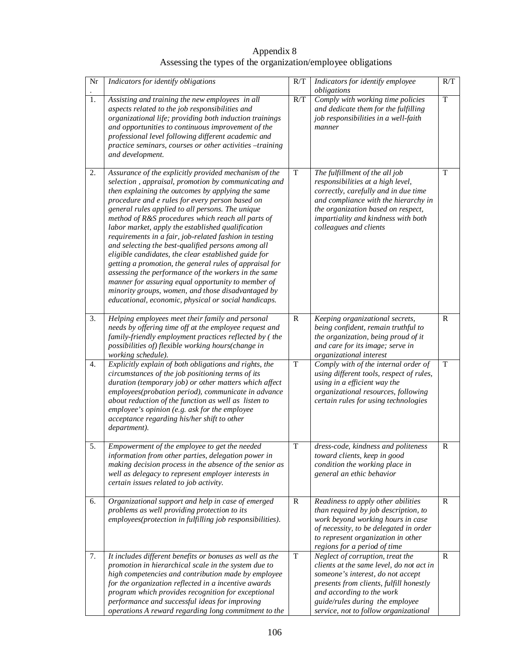Appendix 8 Assessing the types of the organization/employee obligations

| Nr               | Indicators for identify obligations                                                                                                                                                                                                                                                                                                                                                                                                                                                                                                                                                                                                                                                                                                                                                                                                                | R/T          | Indicators for identify employee<br>obligations                                                                                                                                                                                                                       | R/T            |
|------------------|----------------------------------------------------------------------------------------------------------------------------------------------------------------------------------------------------------------------------------------------------------------------------------------------------------------------------------------------------------------------------------------------------------------------------------------------------------------------------------------------------------------------------------------------------------------------------------------------------------------------------------------------------------------------------------------------------------------------------------------------------------------------------------------------------------------------------------------------------|--------------|-----------------------------------------------------------------------------------------------------------------------------------------------------------------------------------------------------------------------------------------------------------------------|----------------|
| $\overline{1}$ . | Assisting and training the new employees in all<br>aspects related to the job responsibilities and<br>organizational life; providing both induction trainings<br>and opportunities to continuous improvement of the<br>professional level following different academic and<br>practice seminars, courses or other activities -training<br>and development.                                                                                                                                                                                                                                                                                                                                                                                                                                                                                         | R/T          | Comply with working time policies<br>and dedicate them for the fulfilling<br>job responsibilities in a well-faith<br>manner                                                                                                                                           | $\overline{T}$ |
| 2.               | Assurance of the explicitly provided mechanism of the<br>selection, appraisal, promotion by communicating and<br>then explaining the outcomes by applying the same<br>procedure and e rules for every person based on<br>general rules applied to all persons. The unique<br>method of R&S procedures which reach all parts of<br>labor market, apply the established qualification<br>requirements in a fair, job-related fashion in testing<br>and selecting the best-qualified persons among all<br>eligible candidates, the clear established guide for<br>getting a promotion, the general rules of appraisal for<br>assessing the performance of the workers in the same<br>manner for assuring equal opportunity to member of<br>minority groups, women, and those disadvantaged by<br>educational, economic, physical or social handicaps. | $\mathbf T$  | The fulfillment of the all job<br>responsibilities at a high level,<br>correctly, carefully and in due time<br>and compliance with the hierarchy in<br>the organization based on respect,<br>impartiality and kindness with both<br>colleagues and clients            | $\mathbf T$    |
| 3.               | Helping employees meet their family and personal<br>needs by offering time off at the employee request and<br>family-friendly employment practices reflected by (the<br>possibilities of) flexible working hours(change in<br>working schedule).                                                                                                                                                                                                                                                                                                                                                                                                                                                                                                                                                                                                   | $\mathbb{R}$ | Keeping organizational secrets,<br>being confident, remain truthful to<br>the organization, being proud of it<br>and care for its image; serve in<br>organizational interest                                                                                          | R              |
| 4.               | Explicitly explain of both obligations and rights, the<br>circumstances of the job positioning terms of its<br>duration (temporary job) or other matters which affect<br>employees(probation period), communicate in advance<br>about reduction of the function as well as listen to<br>employee's opinion (e.g. ask for the employee<br>acceptance regarding his/her shift to other<br>department).                                                                                                                                                                                                                                                                                                                                                                                                                                               | T            | Comply with of the internal order of<br>using different tools, respect of rules,<br>using in a efficient way the<br>organizational resources, following<br>certain rules for using technologies                                                                       | $\overline{T}$ |
| 5.               | Empowerment of the employee to get the needed<br>information from other parties, delegation power in<br>making decision process in the absence of the senior as<br>well as delegacy to represent employer interests in<br>certain issues related to job activity.                                                                                                                                                                                                                                                                                                                                                                                                                                                                                                                                                                                  | T            | dress-code, kindness and politeness<br>toward clients, keep in good<br>condition the working place in<br>general an ethic behavior                                                                                                                                    | $\mathbb{R}$   |
| 6.               | Organizational support and help in case of emerged<br>problems as well providing protection to its<br>employees(protection in fulfilling job responsibilities).                                                                                                                                                                                                                                                                                                                                                                                                                                                                                                                                                                                                                                                                                    | $\mathbb{R}$ | Readiness to apply other abilities<br>than required by job description, to<br>work beyond working hours in case<br>of necessity, to be delegated in order<br>to represent organization in other<br>regions for a period of time                                       | R              |
| 7.               | It includes different benefits or bonuses as well as the<br>promotion in hierarchical scale in the system due to<br>high competencies and contribution made by employee<br>for the organization reflected in a incentive awards<br>program which provides recognition for exceptional<br>performance and successful ideas for improving<br>operations A reward regarding long commitment to the                                                                                                                                                                                                                                                                                                                                                                                                                                                    | T            | Neglect of corruption, treat the<br>clients at the same level, do not act in<br>someone's interest, do not accept<br>presents from clients, fulfill honestly<br>and according to the work<br>guide/rules during the employee<br>service, not to follow organizational | $\mathbb{R}$   |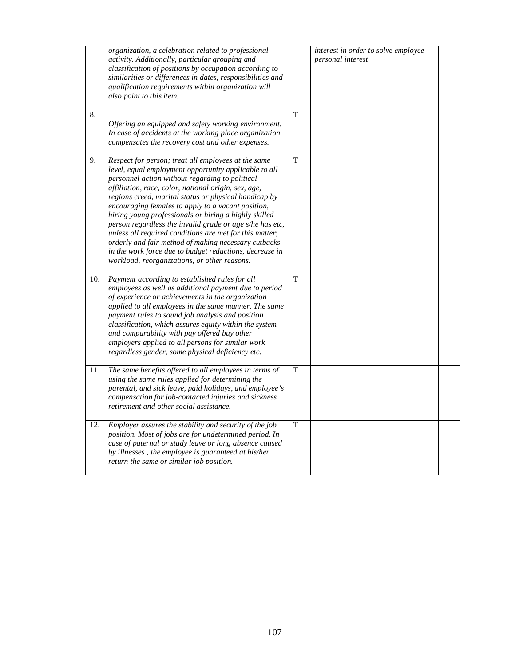|     | organization, a celebration related to professional<br>activity. Additionally, particular grouping and<br>classification of positions by occupation according to<br>similarities or differences in dates, responsibilities and<br>qualification requirements within organization will<br>also point to this item.                                                                                                                                                                                                                                                                                                                                                                         |                | interest in order to solve employee<br>personal interest |  |
|-----|-------------------------------------------------------------------------------------------------------------------------------------------------------------------------------------------------------------------------------------------------------------------------------------------------------------------------------------------------------------------------------------------------------------------------------------------------------------------------------------------------------------------------------------------------------------------------------------------------------------------------------------------------------------------------------------------|----------------|----------------------------------------------------------|--|
| 8.  | Offering an equipped and safety working environment.<br>In case of accidents at the working place organization<br>compensates the recovery cost and other expenses.                                                                                                                                                                                                                                                                                                                                                                                                                                                                                                                       | T              |                                                          |  |
| 9.  | Respect for person; treat all employees at the same<br>level, equal employment opportunity applicable to all<br>personnel action without regarding to political<br>affiliation, race, color, national origin, sex, age,<br>regions creed, marital status or physical handicap by<br>encouraging females to apply to a vacant position,<br>hiring young professionals or hiring a highly skilled<br>person regardless the invalid grade or age s/he has etc,<br>unless all required conditions are met for this matter;<br>orderly and fair method of making necessary cutbacks<br>in the work force due to budget reductions, decrease in<br>workload, reorganizations, or other reasons. | $\mathbf T$    |                                                          |  |
| 10. | Payment according to established rules for all<br>employees as well as additional payment due to period<br>of experience or achievements in the organization<br>applied to all employees in the same manner. The same<br>payment rules to sound job analysis and position<br>classification, which assures equity within the system<br>and comparability with pay offered buy other<br>employers applied to all persons for similar work<br>regardless gender, some physical deficiency etc.                                                                                                                                                                                              | $\overline{T}$ |                                                          |  |
| 11. | The same benefits offered to all employees in terms of<br>using the same rules applied for determining the<br>parental, and sick leave, paid holidays, and employee's<br>compensation for job-contacted injuries and sickness<br>retirement and other social assistance.                                                                                                                                                                                                                                                                                                                                                                                                                  | T              |                                                          |  |
| 12. | Employer assures the stability and security of the job<br>position. Most of jobs are for undetermined period. In<br>case of paternal or study leave or long absence caused<br>by illnesses, the employee is guaranteed at his/her<br>return the same or similar job position.                                                                                                                                                                                                                                                                                                                                                                                                             | T              |                                                          |  |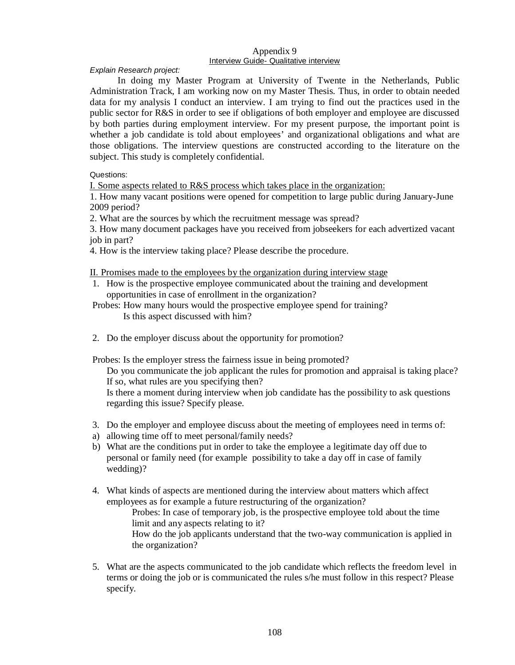## Appendix 9 Interview Guide- Qualitative interview

*Explain Research project:* 

In doing my Master Program at University of Twente in the Netherlands, Public Administration Track, I am working now on my Master Thesis. Thus, in order to obtain needed data for my analysis I conduct an interview. I am trying to find out the practices used in the public sector for R&S in order to see if obligations of both employer and employee are discussed by both parties during employment interview. For my present purpose, the important point is whether a job candidate is told about employees' and organizational obligations and what are those obligations. The interview questions are constructed according to the literature on the subject. This study is completely confidential.

Questions:

I. Some aspects related to R&S process which takes place in the organization:

1. How many vacant positions were opened for competition to large public during January-June 2009 period?

2. What are the sources by which the recruitment message was spread?

3. How many document packages have you received from jobseekers for each advertized vacant job in part?

4. How is the interview taking place? Please describe the procedure.

II. Promises made to the employees by the organization during interview stage

- 1. How is the prospective employee communicated about the training and development opportunities in case of enrollment in the organization?
- Probes: How many hours would the prospective employee spend for training? Is this aspect discussed with him?
- 2. Do the employer discuss about the opportunity for promotion?

Probes: Is the employer stress the fairness issue in being promoted?

Do you communicate the job applicant the rules for promotion and appraisal is taking place? If so, what rules are you specifying then?

Is there a moment during interview when job candidate has the possibility to ask questions regarding this issue? Specify please.

- 3. Do the employer and employee discuss about the meeting of employees need in terms of:
- a) allowing time off to meet personal/family needs?
- b) What are the conditions put in order to take the employee a legitimate day off due to personal or family need (for example possibility to take a day off in case of family wedding)?
- 4. What kinds of aspects are mentioned during the interview about matters which affect employees as for example a future restructuring of the organization?

Probes: In case of temporary job, is the prospective employee told about the time limit and any aspects relating to it?

How do the job applicants understand that the two-way communication is applied in the organization?

5. What are the aspects communicated to the job candidate which reflects the freedom level in terms or doing the job or is communicated the rules s/he must follow in this respect? Please specify.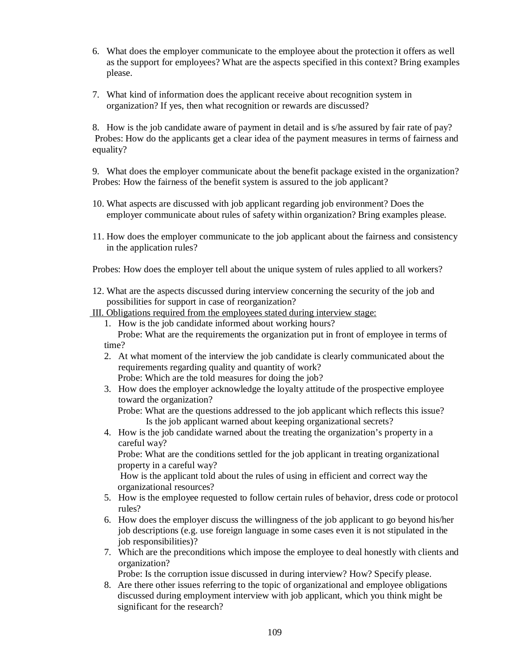- 6. What does the employer communicate to the employee about the protection it offers as well as the support for employees? What are the aspects specified in this context? Bring examples please.
- 7. What kind of information does the applicant receive about recognition system in organization? If yes, then what recognition or rewards are discussed?

8. How is the job candidate aware of payment in detail and is s/he assured by fair rate of pay? Probes: How do the applicants get a clear idea of the payment measures in terms of fairness and equality?

9. What does the employer communicate about the benefit package existed in the organization? Probes: How the fairness of the benefit system is assured to the job applicant?

- 10. What aspects are discussed with job applicant regarding job environment? Does the employer communicate about rules of safety within organization? Bring examples please.
- 11. How does the employer communicate to the job applicant about the fairness and consistency in the application rules?

Probes: How does the employer tell about the unique system of rules applied to all workers?

- 12. What are the aspects discussed during interview concerning the security of the job and possibilities for support in case of reorganization?
- III. Obligations required from the employees stated during interview stage:
	- 1. How is the job candidate informed about working hours? Probe: What are the requirements the organization put in front of employee in terms of
	- time?
	- 2. At what moment of the interview the job candidate is clearly communicated about the requirements regarding quality and quantity of work?

Probe: Which are the told measures for doing the job?

3. How does the employer acknowledge the loyalty attitude of the prospective employee toward the organization?

Probe: What are the questions addressed to the job applicant which reflects this issue? Is the job applicant warned about keeping organizational secrets?

4. How is the job candidate warned about the treating the organization's property in a careful way?

Probe: What are the conditions settled for the job applicant in treating organizational property in a careful way?

How is the applicant told about the rules of using in efficient and correct way the organizational resources?

- 5. How is the employee requested to follow certain rules of behavior, dress code or protocol rules?
- 6. How does the employer discuss the willingness of the job applicant to go beyond his/her job descriptions (e.g. use foreign language in some cases even it is not stipulated in the job responsibilities)?
- 7. Which are the preconditions which impose the employee to deal honestly with clients and organization?

Probe: Is the corruption issue discussed in during interview? How? Specify please.

8. Are there other issues referring to the topic of organizational and employee obligations discussed during employment interview with job applicant, which you think might be significant for the research?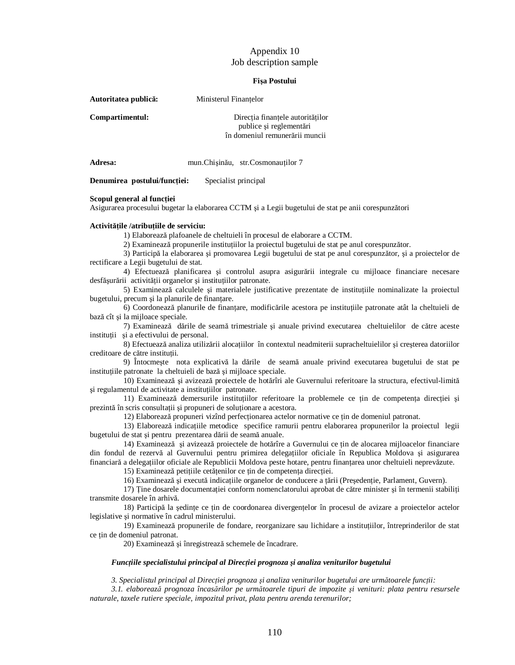# Appendix 10 Job description sample

## **Fişa Postului**

| Autoritatea publică: | Ministerul Finantelor                                                                         |
|----------------------|-----------------------------------------------------------------------------------------------|
| Compartimentul:      | Directia finantele autorităților<br>publice și reglementări<br>în domeniul remunerării muncii |
| Adresa:              | mun. Chisinău, str. Cosmonauților 7                                                           |

**Denumirea postului/funcţiei:** Specialist principal

### **Scopul general al funcţiei**

Asigurarea procesului bugetar la elaborarea CCTM şi a Legii bugetului de stat pe anii corespunzători

### **Activităţile /atribuţiile de serviciu:**

1) Elaborează plafoanele de cheltuieli în procesul de elaborare a CCTM.

2) Examinează propunerile instituţiilor la proiectul bugetului de stat pe anul corespunzător.

3) Participă la elaborarea şi promovarea Legii bugetului de stat pe anul corespunzător, şi a proiectelor de rectificare a Legii bugetului de stat.

4) Efectuează planificarea şi controlul asupra asigurării integrale cu mijloace financiare necesare desfăşurării activităţii organelor şi instituţiilor patronate.

5) Examinează calculele şi materialele justificative prezentate de instituţiile nominalizate la proiectul bugetului, precum și la planurile de finantare.

6) Coordonează planurile de finanţare, modificările acestora pe instituţiile patronate atât la cheltuieli de bază cît şi la mijloace speciale.

7) Examinează dările de seamă trimestriale şi anuale privind executarea cheltuielilor de către aceste institutii si a efectivului de personal.

8) Efectuează analiza utilizării alocaţiilor în contextul neadmiterii supracheltuielilor şi creşterea datoriilor creditoare de către instituții.

9) Întocmeşte nota explicativă la dările de seamă anuale privind executarea bugetului de stat pe instituţiile patronate la cheltuieli de bază şi mijloace speciale.

10) Examinează şi avizează proiectele de hotărîri ale Guvernului referitoare la structura, efectivul-limită şi regulamentul de activitate a instituţiilor patronate.

11) Examinează demersurile instituţiilor referitoare la problemele ce ţin de competenţa direcţiei şi prezintă în scris consultații și propuneri de soluționare a acestora.

12) Elaborează propuneri vizînd perfecţionarea actelor normative ce ţin de domeniul patronat.

13) Elaborează indicaţiile metodice specifice ramurii pentru elaborarea propunerilor la proiectul legii bugetului de stat şi pentru prezentarea dării de seamă anuale.

14) Examinează şi avizează proiectele de hotărîre a Guvernului ce ţin de alocarea mijloacelor financiare din fondul de rezervă al Guvernului pentru primirea delegaţiilor oficiale în Republica Moldova şi asigurarea financiară a delegaţiilor oficiale ale Republicii Moldova peste hotare, pentru finanţarea unor cheltuieli neprevăzute.

15) Examinează petiţiile cetăţenilor ce ţin de competenţa direcţiei.

16) Examinează şi execută indicaţiile organelor de conducere a ţării (Preşedenţie, Parlament, Guvern).

17) Ţine dosarele documentaţiei conform nomenclatorului aprobat de către minister şi în termenii stabiliţi transmite dosarele în arhivă.

18) Participă la ședințe ce țin de coordonarea divergențelor în procesul de avizare a proiectelor actelor legislative și normative în cadrul ministerului.

19) Examinează propunerile de fondare, reorganizare sau lichidare a instituţiilor, întreprinderilor de stat ce tin de domeniul patronat.

20) Examinează şi înregistrează schemele de încadrare.

### *Funcţiile specialistului principal al Direcţiei prognoza şi analiza veniturilor bugetului*

3. Specialistul principal al Direcției prognoza și analiza veniturilor bugetului are următoarele funcții:

3.1. elaborează prognoza încasărilor pe următoarele tipuri de impozite și venituri: plata pentru resursele *naturale, taxele rutiere speciale, impozitul privat, plata pentru arenda terenurilor;*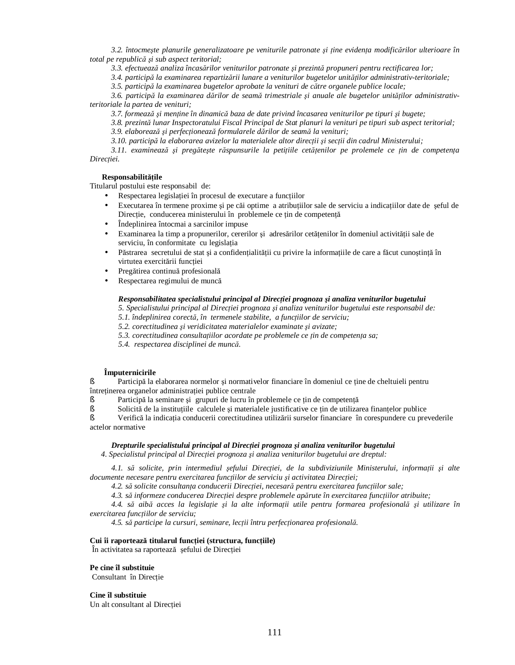3.2. întocmește planurile generalizatoare pe veniturile patronate și ține evidența modificărilor ulterioare în *total pe republică şi sub aspect teritorial;* 

*3.3. efectuează analiza încasărilor veniturilor patronate şi prezintă propuneri pentru rectificarea lor;* 

*3.4. participă la examinarea repartizării lunare a veniturilor bugetelor unităţilor administrativ-teritoriale;* 

*3.5. participă la examinarea bugetelor aprobate la venituri de către organele publice locale;* 

3.6. participă la examinarea dărilor de seamă trimestriale și anuale ale bugetelor unităților administrativ*teritoriale la partea de venituri;* 

3.7. formează și menține în dinamică baza de date privind încasarea veniturilor pe tipuri și bugete;

3.8. prezintă lunar Inspectoratului Fiscal Principal de Stat planuri la venituri pe tipuri sub aspect teritorial;

*3.9. elaborează şi perfecţionează formularele dărilor de seamă la venituri;* 

3.10. participă la elaborarea avizelor la materialele altor direcții și secții din cadrul Ministerului;

3.11. examinează și pregătește răspunsurile la petițiile cetățenilor pe prolemele ce țin de competența *Direcţiei.* 

### **Responsabilităţile**

Titularul postului este responsabil de:

- Respectarea legislației în procesul de executare a funcțiilor
- Executarea în termene proxime şi pe căi optime a atribuţiilor sale de serviciu a indicaţiilor date de şeful de Direcție, conducerea ministerului în problemele ce țin de competență
- Îndeplinirea întocmai a sarcinilor impuse
- Examinarea la timp a propunerilor, cererilor și adresărilor cetățenilor în domeniul activității sale de serviciu, în conformitate cu legislaţia
- Păstrarea secretului de stat şi a confidenţialităţii cu privire la informaţiile de care a făcut cunoştinţă în virtutea exercitării functiei
- Pregătirea continuă profesională
- Respectarea regimului de muncă

### *Responsabilitatea specialistului principal al Direcţiei prognoza şi analiza veniturilor bugetului*

*5. Specialistului principal al Direcţiei prognoza şi analiza veniturilor bugetului este responsabil de:* 

*5.1. îndeplinirea corectă, în termenele stabilite, a funcţiilor de serviciu;* 

*5.2. corectitudinea şi veridicitatea materialelor examinate şi avizate;* 

- *5.3. corectitudinea consultaţiilor acordate pe problemele ce ţin de competenţa sa;*
- *5.4. respectarea disciplinei de muncă.*

## **Împuternicirile**

§ Participă la elaborarea normelor şi normativelor financiare în domeniul ce ţine de cheltuieli pentru întreţinerea organelor administraţiei publice centrale

§ Participă la seminare şi grupuri de lucru în problemele ce ţin de competenţă

§ Solicită de la instituţiile calculele şi materialele justificative ce ţin de utilizarea finanţelor publice

§ Verifică la indicaţia conducerii corectitudinea utilizării surselor financiare în corespundere cu prevederile actelor normative

# *Drepturile specialistului principal al Direcţiei prognoza şi analiza veniturilor bugetului*

*4. Specialistul principal al Direcţiei prognoza şi analiza veniturilor bugetului are dreptul:* 

4.1. să solicite, prin intermediul șefului Direcției, de la subdiviziunile Ministerului, informații și alte *documente necesare pentru exercitarea funcţiilor de serviciu şi activitatea Direcţiei;* 

*4.2. să solicite consultanţa conducerii Direcţiei, necesară pentru exercitarea funcţiilor sale;* 

4.3. să informeze conducerea Direcției despre problemele apărute în exercitarea funcțiilor atribuite;

4.4. să aibă acces la legislație și la alte informații utile pentru formarea profesională și utilizare în *exercitarea funcţiilor de serviciu;* 

*4.5. să participe la cursuri, seminare, lecţii întru perfecţionarea profesională.* 

# **Cui îi raportează titularul funcţiei (structura, funcţiile)**

În activitatea sa raportează şefului de Direcţiei

### **Pe cine îl substituie**

Consultant în Directie

### **Cine îl substituie**

Un alt consultant al Direcției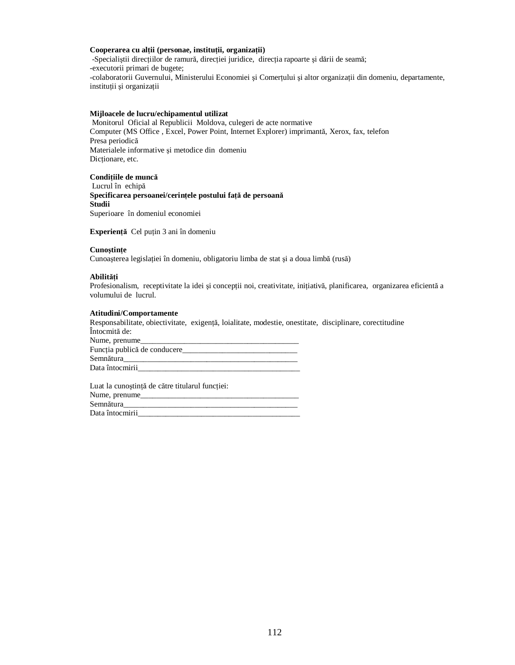## **Cooperarea cu alţii (personae, instituţii, organizaţii)**

-Specialiştii direcţiilor de ramură, direcţiei juridice, direcţia rapoarte şi dării de seamă; -executorii primari de bugete; -colaboratorii Guvernului, Ministerului Economiei şi Comerţului şi altor organizaţii din domeniu, departamente, instituţii şi organizaţii

## **Mijloacele de lucru/echipamentul utilizat**

Monitorul Oficial al Republicii Moldova, culegeri de acte normative Computer (MS Office , Excel, Power Point, Internet Explorer) imprimantă, Xerox, fax, telefon Presa periodică Materialele informative şi metodice din domeniu Dicţionare, etc.

**Condiţiile de muncă**

Lucrul în echipă **Specificarea persoanei/cerinţele postului faţă de persoană Studii**  Superioare în domeniul economiei

**Experienţă** Cel puţin 3 ani în domeniu

## **Cunoştinţe**

Cunoaşterea legislaţiei în domeniu, obligatoriu limba de stat şi a doua limbă (rusă)

## **Abilităţi**

Profesionalism, receptivitate la idei și concepții noi, creativitate, inițiativă, planificarea, organizarea eficientă a volumului de lucrul.

## **Atitudini/Comportamente**

Responsabilitate, obiectivitate, exigenţă, loialitate, modestie, onestitate, disciplinare, corectitudine Întocmită de: Nume, prenume\_ Funcţia publică de conducere\_\_\_\_\_\_\_\_\_\_\_\_\_\_\_\_\_\_\_\_\_\_\_\_\_\_\_\_\_ Semnătura\_\_\_\_\_\_\_\_\_\_\_\_\_\_\_\_\_\_\_\_\_\_\_\_\_\_\_\_\_\_\_\_\_\_\_\_\_\_\_\_\_\_\_\_ Data întocmirii\_

Luat la cunoștință de către titularul funcției: Nume, prenume\_\_\_\_\_\_\_\_\_\_\_\_\_\_\_\_\_\_\_\_\_\_\_\_\_\_\_\_\_\_\_\_\_\_\_\_\_\_\_\_ Semnătura\_\_\_\_\_\_\_\_\_\_\_\_\_\_\_\_\_\_\_\_\_\_\_\_\_\_\_\_\_\_\_\_\_\_\_\_\_\_\_\_\_\_\_\_ Data întocmirii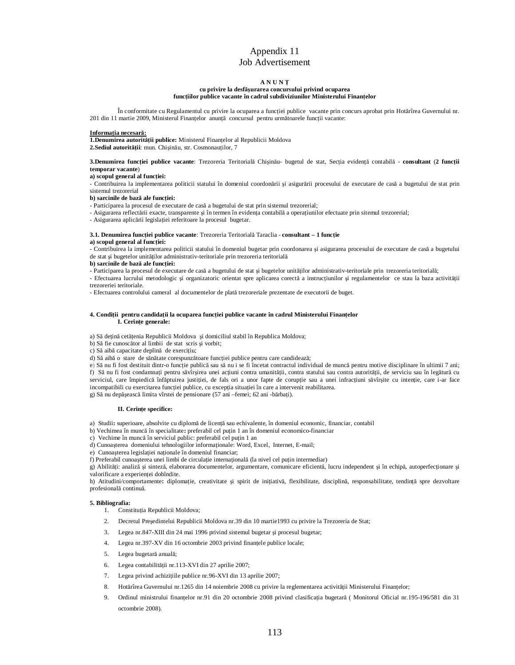# Appendix 11 Job Advertisement

### **A N U N Ţ**

#### **cu privire la desfăşurarea concursului privind ocuparea funcţiilor publice vacante în cadrul subdiviziunilor Ministerului Finanţelor**

În conformitate cu Regulamentul cu privire la ocuparea a funcției publice vacante prin concurs aprobat prin Hotărîrea Guvernului nr. 201 din 11 martie 2009, Ministerul Finantelor anunță concursul pentru următoarele funcții vacante:

#### **Informaţia necesară:**

**1.Denumirea autorităţii publice:** Ministerul Finanţelor al Republicii Moldova

**2.Sediul autorităţii**: mun. Chişinău, str. Cosmonauţilor, 7

#### **3.Denumirea funcţiei publice vacante**: Trezoreria Teritorială Chişinău- bugetul de stat, Secţia evidenţă contabilă - **consultant** (**2 funcţii temporar vacante**)

**a) scopul general al funcţiei:**

- Contribuirea la implementarea politicii statului în domeniul coordonării şi asigurării procesului de executare de casă a bugetului de stat prin sistemul trezorerial

**b) sarcinile de bază ale funcţiei:** 

**-** Participarea la procesul de executare de casă a bugetului de stat prin sistemul trezorerial;

- Asigurarea reflectării exacte, transparente şi în termen în evidenţa contabilă a operaţiunilor efectuate prin sitemul trezorerial;

- Asigurarea aplicării legislaţiei referitoare la procesul bugetar.

#### **3.1. Denumirea funcţiei publice vacante**: Trezoreria Teritorială Taraclia - **consultant – 1 funcţie**

**a) scopul general al funcţiei:**

- Contribuirea la implementarea politicii statului în domeniul bugetar prin coordonarea şi asigurarea procesului de executare de casă a bugetului de stat şi bugetelor unităţilor administrativ-teritoriale prin trezoreria teritorială

**b) sarcinile de bază ale funcţiei:** 

- Participarea la procesul de executare de casă a bugetului de stat și bugetelor unităților administrativ-teritoriale prin trezoreria teritorială;

- Efectuarea lucrului metodologic și organizatoric orientat spre aplicarea corectă a instrucțiunilor și regulamentelor ce stau la baza activității trezoreriei teritoriale.

- Efectuarea controlului cameral al documentelor de plată trezoreriale prezentate de executorii de buget.

#### 4. Condiții pentru candidații la ocuparea funcției publice vacante în cadrul Ministerului Finanțelor **I. Cerinţe generale:**

a) Să deţină cetăţenia Republicii Moldova şi domiciliul stabil în Republica Moldova;

b) Să fie cunoscător al limbii de stat scris şi vorbit;

c) Să aibă capacitate deplină de exercițiu;

d) Să aibă o stare de sănătate corespunzătoare funcţiei publice pentru care candidează;

e) Să nu fi fost destituit dintr-o funcție publică sau să nu i se fi încetat contractul individual de muncă pentru motive disciplinare în ultimii 7 ani; f) Să nu fi fost condamnaţi pentru săvîrşirea unei acţiuni contra umanităţii, contra statului sau contra autorităţii, de serviciu sau în legătură cu serviciul, care împiedică înfăptuirea justiției, de fals ori a unor fapte de corupție sau a unei infracțiuni săvîrșite cu intenție, care i-ar face incompatibili cu exercitarea funcţiei publice, cu excepţia situaţiei în care a intervenit reabilitarea. g) Să nu depășească limita vîrstei de pensionare (57 ani –femei; 62 ani -bărbati).

#### **II. Cerinţe specifice:**

a)Studii**:** superioare, absolvite cu diplomă de licenţă sau echivalente, în domeniul economic, financiar, contabil

b) Vechimea în muncă în specialitate**:** preferabil cel puţin 1 an în domeniul economico-financiar

c)Vechime în muncă în serviciul public: preferabil cel puţin 1 an

d) Cunoaşterea domeniului tehnologiilor informaţionale: Word, Excel, Internet, E-mail;

e) Cunoașterea legislației naționale în domeniul financiar;

f) Preferabil cunoașterea unei limbi de circulație internațională (la nivel cel puțin intermediar)

g) Abilităţi: analiză şi sinteză, elaborarea documentelor, argumentare, comunicare eficientă, lucru independent şi în echipă, autoperfecţionare şi valorificare a experientei dobîndite.

h) Atitudini/comportamente: diplomație, creativitate și spirit de inițiativă, flexibilitate, disciplină, responsabilitate, tendință spre dezvoltare profesională continuă.

#### **5. Bibliografia:**

1. Constituția Republicii Moldova;

- 2. Decretul Preşedintelui Republicii Moldova nr.39 din 10 martie1993 cu privire la Trezoreria de Stat;
- 3. Legea nr.847-XIII din 24 mai 1996 privind sistemul bugetar şi procesul bugetar;
- 4. Legea nr.397-XV din 16 octombrie 2003 privind finanţele publice locale;
- 5. Legea bugetară anuală;
- 6. Legea contabilităţii nr.113-XVI din 27 aprilie 2007;
- 7. Legea privind achizițiile publice nr.96-XVI din 13 aprilie 2007;
- 8. Hotărîrea Guvernului nr.1265 din 14 noiembrie 2008 cu privire la reglementarea activității Ministerului Finanțelor;
- 9. Ordinul ministrului finantelor nr.91 din 20 octombrie 2008 privind clasificatia bugetară (Monitorul Oficial nr.195-196/581 din 31 octombrie 2008).